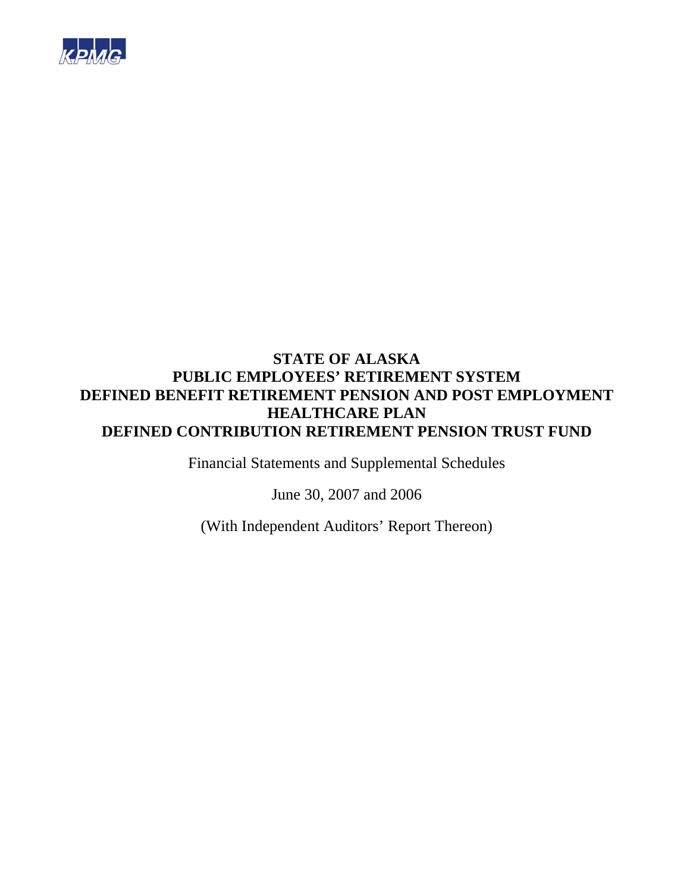

Financial Statements and Supplemental Schedules

June 30, 2007 and 2006

(With Independent Auditors' Report Thereon)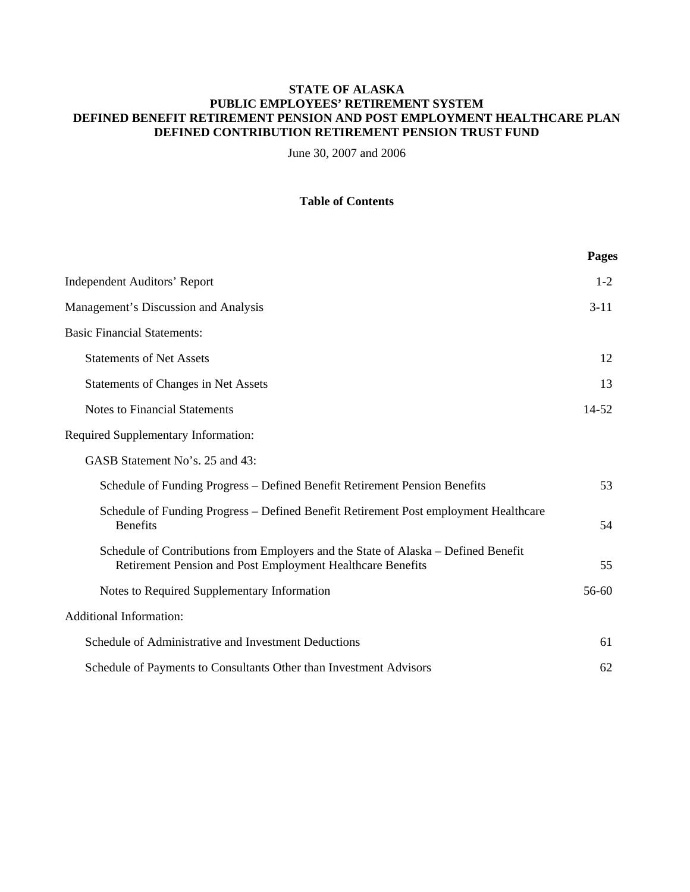June 30, 2007 and 2006

# **Table of Contents**

|                                                                                                                                                  | Pages     |
|--------------------------------------------------------------------------------------------------------------------------------------------------|-----------|
| <b>Independent Auditors' Report</b>                                                                                                              | $1 - 2$   |
| Management's Discussion and Analysis                                                                                                             | $3 - 11$  |
| <b>Basic Financial Statements:</b>                                                                                                               |           |
| <b>Statements of Net Assets</b>                                                                                                                  | 12        |
| <b>Statements of Changes in Net Assets</b>                                                                                                       | 13        |
| <b>Notes to Financial Statements</b>                                                                                                             | $14 - 52$ |
| <b>Required Supplementary Information:</b>                                                                                                       |           |
| GASB Statement No's. 25 and 43:                                                                                                                  |           |
| Schedule of Funding Progress – Defined Benefit Retirement Pension Benefits                                                                       | 53        |
| Schedule of Funding Progress - Defined Benefit Retirement Post employment Healthcare<br><b>Benefits</b>                                          | 54        |
| Schedule of Contributions from Employers and the State of Alaska – Defined Benefit<br>Retirement Pension and Post Employment Healthcare Benefits | 55        |
| Notes to Required Supplementary Information                                                                                                      | 56-60     |
| <b>Additional Information:</b>                                                                                                                   |           |
| Schedule of Administrative and Investment Deductions                                                                                             | 61        |
| Schedule of Payments to Consultants Other than Investment Advisors                                                                               | 62        |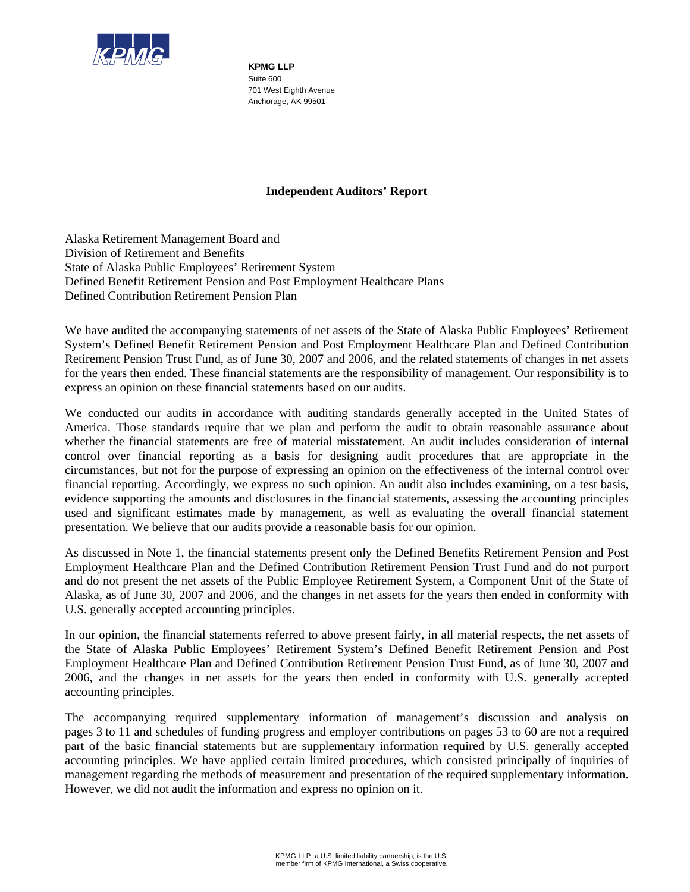

**KPMG LLP**  Suite 600 701 West Eighth Avenue Anchorage, AK 99501

# **Independent Auditors' Report**

Alaska Retirement Management Board and Division of Retirement and Benefits State of Alaska Public Employees' Retirement System Defined Benefit Retirement Pension and Post Employment Healthcare Plans Defined Contribution Retirement Pension Plan

We have audited the accompanying statements of net assets of the State of Alaska Public Employees' Retirement System's Defined Benefit Retirement Pension and Post Employment Healthcare Plan and Defined Contribution Retirement Pension Trust Fund, as of June 30, 2007 and 2006, and the related statements of changes in net assets for the years then ended. These financial statements are the responsibility of management. Our responsibility is to express an opinion on these financial statements based on our audits.

We conducted our audits in accordance with auditing standards generally accepted in the United States of America. Those standards require that we plan and perform the audit to obtain reasonable assurance about whether the financial statements are free of material misstatement. An audit includes consideration of internal control over financial reporting as a basis for designing audit procedures that are appropriate in the circumstances, but not for the purpose of expressing an opinion on the effectiveness of the internal control over financial reporting. Accordingly, we express no such opinion. An audit also includes examining, on a test basis, evidence supporting the amounts and disclosures in the financial statements, assessing the accounting principles used and significant estimates made by management, as well as evaluating the overall financial statement presentation. We believe that our audits provide a reasonable basis for our opinion.

As discussed in Note 1, the financial statements present only the Defined Benefits Retirement Pension and Post Employment Healthcare Plan and the Defined Contribution Retirement Pension Trust Fund and do not purport and do not present the net assets of the Public Employee Retirement System, a Component Unit of the State of Alaska, as of June 30, 2007 and 2006, and the changes in net assets for the years then ended in conformity with U.S. generally accepted accounting principles.

In our opinion, the financial statements referred to above present fairly, in all material respects, the net assets of the State of Alaska Public Employees' Retirement System's Defined Benefit Retirement Pension and Post Employment Healthcare Plan and Defined Contribution Retirement Pension Trust Fund, as of June 30, 2007 and 2006, and the changes in net assets for the years then ended in conformity with U.S. generally accepted accounting principles.

The accompanying required supplementary information of management's discussion and analysis on pages 3 to 11 and schedules of funding progress and employer contributions on pages 53 to 60 are not a required part of the basic financial statements but are supplementary information required by U.S. generally accepted accounting principles. We have applied certain limited procedures, which consisted principally of inquiries of management regarding the methods of measurement and presentation of the required supplementary information. However, we did not audit the information and express no opinion on it.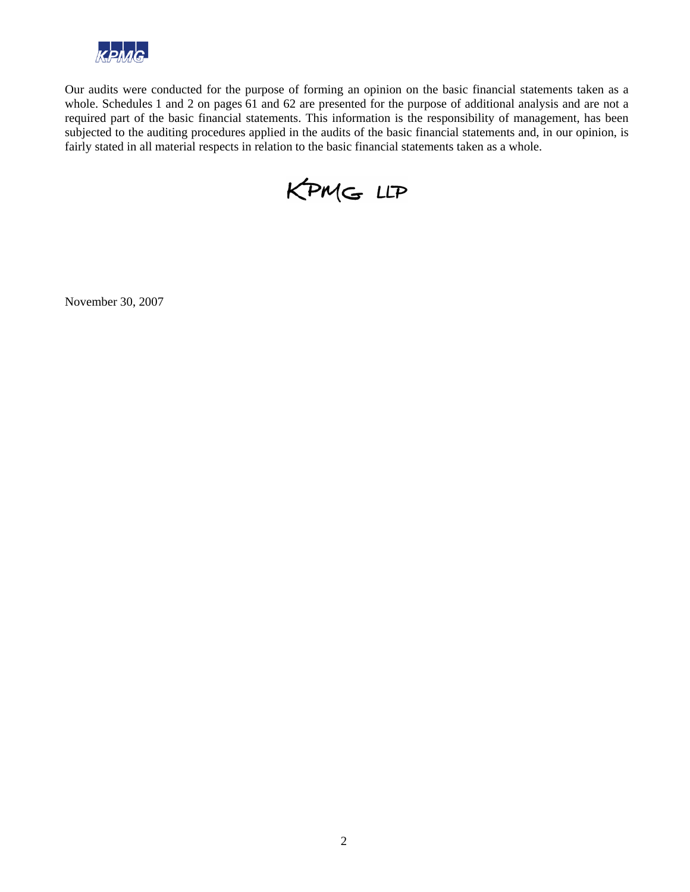

Our audits were conducted for the purpose of forming an opinion on the basic financial statements taken as a whole. Schedules 1 and 2 on pages 61 and 62 are presented for the purpose of additional analysis and are not a required part of the basic financial statements. This information is the responsibility of management, has been subjected to the auditing procedures applied in the audits of the basic financial statements and, in our opinion, is fairly stated in all material respects in relation to the basic financial statements taken as a whole.



November 30, 2007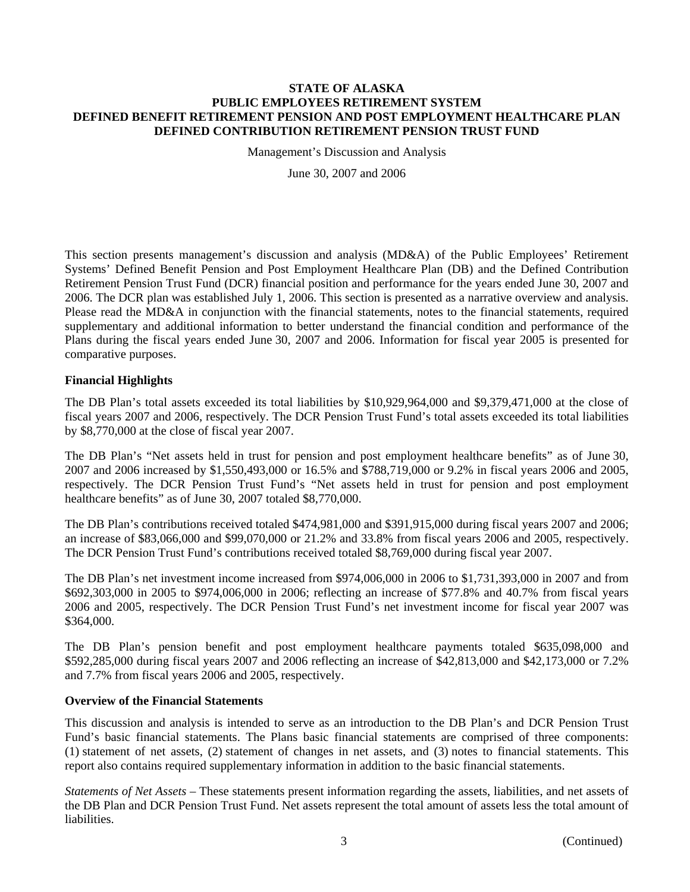Management's Discussion and Analysis

June 30, 2007 and 2006

This section presents management's discussion and analysis (MD&A) of the Public Employees' Retirement Systems' Defined Benefit Pension and Post Employment Healthcare Plan (DB) and the Defined Contribution Retirement Pension Trust Fund (DCR) financial position and performance for the years ended June 30, 2007 and 2006. The DCR plan was established July 1, 2006. This section is presented as a narrative overview and analysis. Please read the MD&A in conjunction with the financial statements, notes to the financial statements, required supplementary and additional information to better understand the financial condition and performance of the Plans during the fiscal years ended June 30, 2007 and 2006. Information for fiscal year 2005 is presented for comparative purposes.

# **Financial Highlights**

The DB Plan's total assets exceeded its total liabilities by \$10,929,964,000 and \$9,379,471,000 at the close of fiscal years 2007 and 2006, respectively. The DCR Pension Trust Fund's total assets exceeded its total liabilities by \$8,770,000 at the close of fiscal year 2007.

The DB Plan's "Net assets held in trust for pension and post employment healthcare benefits" as of June 30, 2007 and 2006 increased by \$1,550,493,000 or 16.5% and \$788,719,000 or 9.2% in fiscal years 2006 and 2005, respectively. The DCR Pension Trust Fund's "Net assets held in trust for pension and post employment healthcare benefits" as of June 30, 2007 totaled \$8,770,000.

The DB Plan's contributions received totaled \$474,981,000 and \$391,915,000 during fiscal years 2007 and 2006; an increase of \$83,066,000 and \$99,070,000 or 21.2% and 33.8% from fiscal years 2006 and 2005, respectively. The DCR Pension Trust Fund's contributions received totaled \$8,769,000 during fiscal year 2007.

The DB Plan's net investment income increased from \$974,006,000 in 2006 to \$1,731,393,000 in 2007 and from \$692,303,000 in 2005 to \$974,006,000 in 2006; reflecting an increase of \$77.8% and 40.7% from fiscal years 2006 and 2005, respectively. The DCR Pension Trust Fund's net investment income for fiscal year 2007 was \$364,000.

The DB Plan's pension benefit and post employment healthcare payments totaled \$635,098,000 and \$592,285,000 during fiscal years 2007 and 2006 reflecting an increase of \$42,813,000 and \$42,173,000 or 7.2% and 7.7% from fiscal years 2006 and 2005, respectively.

## **Overview of the Financial Statements**

This discussion and analysis is intended to serve as an introduction to the DB Plan's and DCR Pension Trust Fund's basic financial statements. The Plans basic financial statements are comprised of three components: (1) statement of net assets, (2) statement of changes in net assets, and (3) notes to financial statements. This report also contains required supplementary information in addition to the basic financial statements.

*Statements of Net Assets –* These statements present information regarding the assets, liabilities, and net assets of the DB Plan and DCR Pension Trust Fund. Net assets represent the total amount of assets less the total amount of liabilities.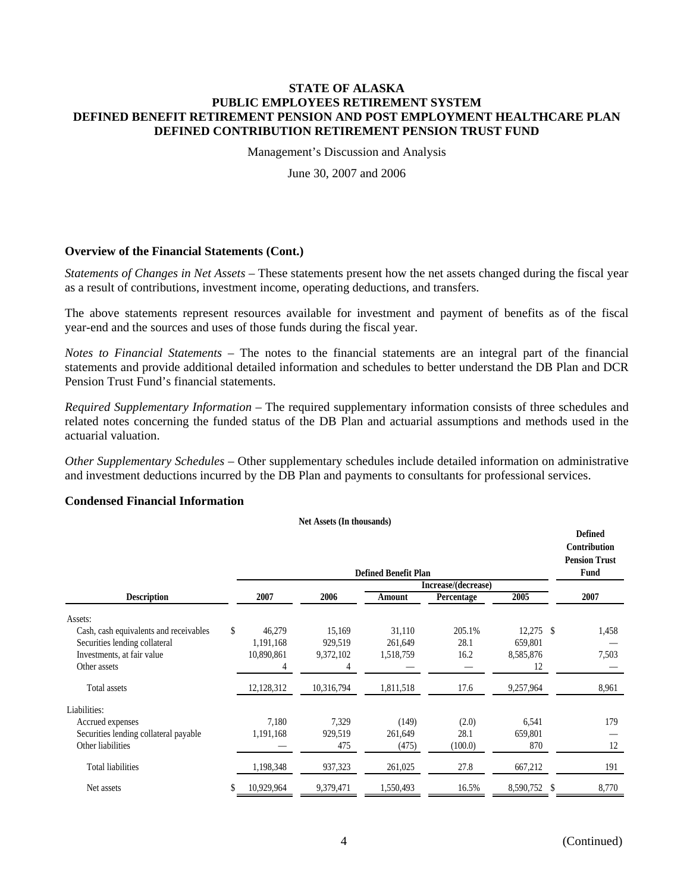Management's Discussion and Analysis

June 30, 2007 and 2006

# **Overview of the Financial Statements (Cont.)**

*Statements of Changes in Net Assets –* These statements present how the net assets changed during the fiscal year as a result of contributions, investment income, operating deductions, and transfers.

The above statements represent resources available for investment and payment of benefits as of the fiscal year-end and the sources and uses of those funds during the fiscal year.

*Notes to Financial Statements –* The notes to the financial statements are an integral part of the financial statements and provide additional detailed information and schedules to better understand the DB Plan and DCR Pension Trust Fund's financial statements.

*Required Supplementary Information –* The required supplementary information consists of three schedules and related notes concerning the funded status of the DB Plan and actuarial assumptions and methods used in the actuarial valuation.

*Other Supplementary Schedules –* Other supplementary schedules include detailed information on administrative and investment deductions incurred by the DB Plan and payments to consultants for professional services.

# **Condensed Financial Information**

**Net Assets (In thousands)**

|                                        |              |            | <b>Defined Benefit Plan</b> | Increase/(decrease) |                 | <b>Defined</b><br>Contribution<br><b>Pension Trust</b><br>Fund |
|----------------------------------------|--------------|------------|-----------------------------|---------------------|-----------------|----------------------------------------------------------------|
| <b>Description</b>                     | 2007         | 2006       | Amount                      | Percentage          | 2005            | 2007                                                           |
| Assets:                                |              |            |                             |                     |                 |                                                                |
| Cash, cash equivalents and receivables | \$<br>46,279 | 15,169     | 31,110                      | 205.1%              | $12,275$ \$     | 1,458                                                          |
| Securities lending collateral          | 1,191,168    | 929,519    | 261,649                     | 28.1                | 659,801         |                                                                |
| Investments, at fair value             | 10,890,861   | 9,372,102  | 1,518,759                   | 16.2                | 8,585,876       | 7,503                                                          |
| Other assets                           | 4            |            |                             |                     | 12              |                                                                |
| Total assets                           | 12,128,312   | 10,316,794 | 1,811,518                   | 17.6                | 9,257,964       | 8,961                                                          |
| Liabilities:                           |              |            |                             |                     |                 |                                                                |
| Accrued expenses                       | 7,180        | 7,329      | (149)                       | (2.0)               | 6,541           | 179                                                            |
| Securities lending collateral payable  | 1,191,168    | 929,519    | 261,649                     | 28.1                | 659,801         |                                                                |
| Other liabilities                      |              | 475        | (475)                       | (100.0)             | 870             | 12                                                             |
| <b>Total liabilities</b>               | 1,198,348    | 937,323    | 261,025                     | 27.8                | 667,212         | 191                                                            |
| Net assets                             | 10,929,964   | 9,379,471  | 1,550,493                   | 16.5%               | 8,590,752<br>-S | 8,770                                                          |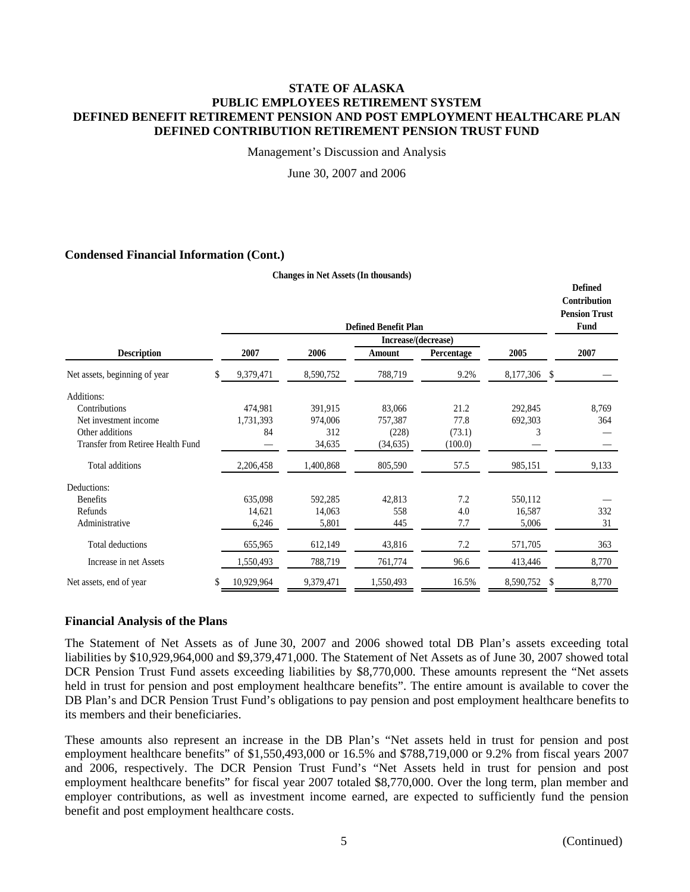Management's Discussion and Analysis

June 30, 2007 and 2006

**Changes in Net Assets (In thousands)**

## **Condensed Financial Information (Cont.)**

|                                   |                  |           | <b>Defined Benefit Plan</b> |            |                 | <b>Defined</b><br>Contribution<br><b>Pension Trust</b><br>Fund |
|-----------------------------------|------------------|-----------|-----------------------------|------------|-----------------|----------------------------------------------------------------|
|                                   |                  |           | Increase/(decrease)         |            |                 |                                                                |
| <b>Description</b>                | 2007             | 2006      | Amount                      | Percentage | 2005            | 2007                                                           |
| Net assets, beginning of year     | \$<br>9,379,471  | 8,590,752 | 788,719                     | 9.2%       | 8,177,306<br>-S |                                                                |
| Additions:                        |                  |           |                             |            |                 |                                                                |
| Contributions                     | 474,981          | 391,915   | 83,066                      | 21.2       | 292,845         | 8,769                                                          |
| Net investment income             | 1,731,393        | 974,006   | 757,387                     | 77.8       | 692,303         | 364                                                            |
| Other additions                   | 84               | 312       | (228)                       | (73.1)     | 3               |                                                                |
| Transfer from Retiree Health Fund |                  | 34,635    | (34, 635)                   | (100.0)    |                 |                                                                |
| Total additions                   | 2,206,458        | 1,400,868 | 805,590                     | 57.5       | 985,151         | 9,133                                                          |
| Deductions:                       |                  |           |                             |            |                 |                                                                |
| <b>Benefits</b>                   | 635,098          | 592,285   | 42,813                      | 7.2        | 550,112         |                                                                |
| Refunds                           | 14,621           | 14,063    | 558                         | 4.0        | 16,587          | 332                                                            |
| Administrative                    | 6,246            | 5,801     | 445                         | 7.7        | 5,006           | 31                                                             |
| Total deductions                  | 655,965          | 612,149   | 43,816                      | 7.2        | 571,705         | 363                                                            |
| Increase in net Assets            | 1,550,493        | 788,719   | 761,774                     | 96.6       | 413,446         | 8,770                                                          |
| Net assets, end of year           | \$<br>10,929,964 | 9,379,471 | 1,550,493                   | 16.5%      | \$<br>8,590,752 | 8,770                                                          |

## **Financial Analysis of the Plans**

The Statement of Net Assets as of June 30, 2007 and 2006 showed total DB Plan's assets exceeding total liabilities by \$10,929,964,000 and \$9,379,471,000. The Statement of Net Assets as of June 30, 2007 showed total DCR Pension Trust Fund assets exceeding liabilities by \$8,770,000. These amounts represent the "Net assets held in trust for pension and post employment healthcare benefits". The entire amount is available to cover the DB Plan's and DCR Pension Trust Fund's obligations to pay pension and post employment healthcare benefits to its members and their beneficiaries.

These amounts also represent an increase in the DB Plan's "Net assets held in trust for pension and post employment healthcare benefits" of \$1,550,493,000 or 16.5% and \$788,719,000 or 9.2% from fiscal years 2007 and 2006, respectively. The DCR Pension Trust Fund's "Net Assets held in trust for pension and post employment healthcare benefits" for fiscal year 2007 totaled \$8,770,000. Over the long term, plan member and employer contributions, as well as investment income earned, are expected to sufficiently fund the pension benefit and post employment healthcare costs.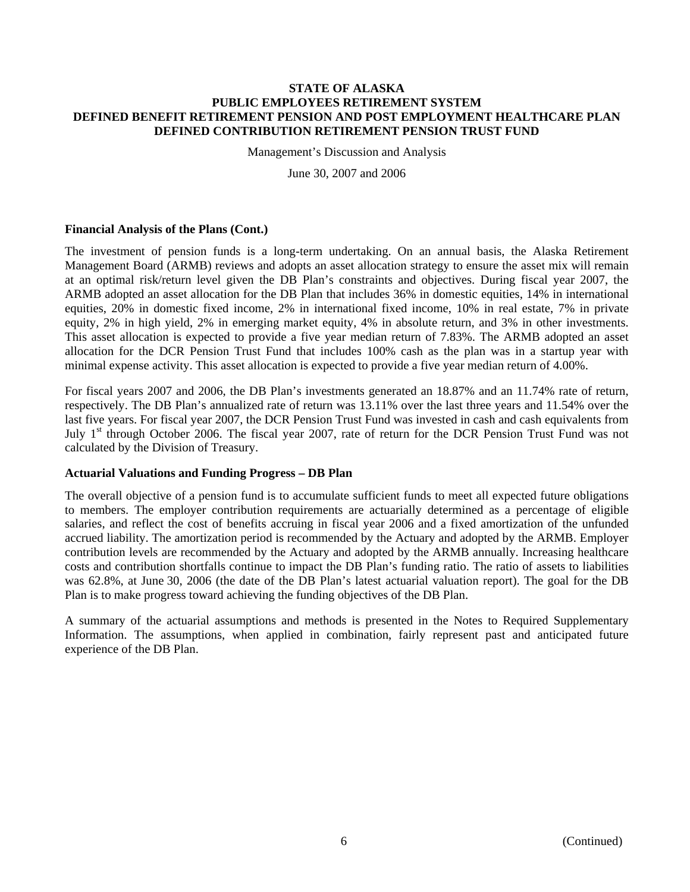Management's Discussion and Analysis

June 30, 2007 and 2006

# **Financial Analysis of the Plans (Cont.)**

The investment of pension funds is a long-term undertaking. On an annual basis, the Alaska Retirement Management Board (ARMB) reviews and adopts an asset allocation strategy to ensure the asset mix will remain at an optimal risk/return level given the DB Plan's constraints and objectives. During fiscal year 2007, the ARMB adopted an asset allocation for the DB Plan that includes 36% in domestic equities, 14% in international equities, 20% in domestic fixed income, 2% in international fixed income, 10% in real estate, 7% in private equity, 2% in high yield, 2% in emerging market equity, 4% in absolute return, and 3% in other investments. This asset allocation is expected to provide a five year median return of 7.83%. The ARMB adopted an asset allocation for the DCR Pension Trust Fund that includes 100% cash as the plan was in a startup year with minimal expense activity. This asset allocation is expected to provide a five year median return of 4.00%.

For fiscal years 2007 and 2006, the DB Plan's investments generated an 18.87% and an 11.74% rate of return, respectively. The DB Plan's annualized rate of return was 13.11% over the last three years and 11.54% over the last five years. For fiscal year 2007, the DCR Pension Trust Fund was invested in cash and cash equivalents from July 1<sup>st</sup> through October 2006. The fiscal year 2007, rate of return for the DCR Pension Trust Fund was not calculated by the Division of Treasury.

## **Actuarial Valuations and Funding Progress – DB Plan**

The overall objective of a pension fund is to accumulate sufficient funds to meet all expected future obligations to members. The employer contribution requirements are actuarially determined as a percentage of eligible salaries, and reflect the cost of benefits accruing in fiscal year 2006 and a fixed amortization of the unfunded accrued liability. The amortization period is recommended by the Actuary and adopted by the ARMB. Employer contribution levels are recommended by the Actuary and adopted by the ARMB annually. Increasing healthcare costs and contribution shortfalls continue to impact the DB Plan's funding ratio. The ratio of assets to liabilities was 62.8%, at June 30, 2006 (the date of the DB Plan's latest actuarial valuation report). The goal for the DB Plan is to make progress toward achieving the funding objectives of the DB Plan.

A summary of the actuarial assumptions and methods is presented in the Notes to Required Supplementary Information. The assumptions, when applied in combination, fairly represent past and anticipated future experience of the DB Plan.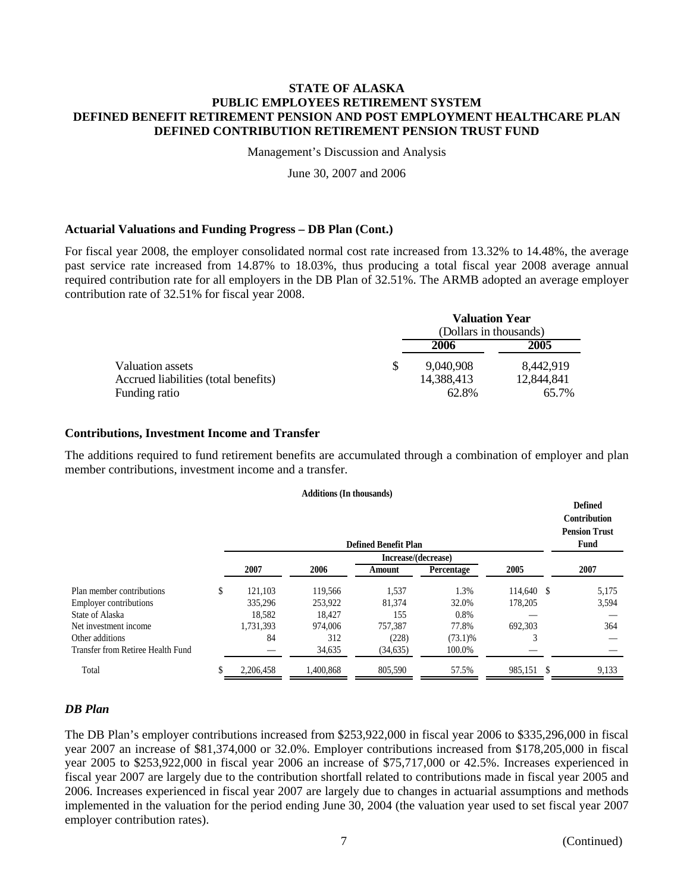Management's Discussion and Analysis

June 30, 2007 and 2006

# **Actuarial Valuations and Funding Progress – DB Plan (Cont.)**

For fiscal year 2008, the employer consolidated normal cost rate increased from 13.32% to 14.48%, the average past service rate increased from 14.87% to 18.03%, thus producing a total fiscal year 2008 average annual required contribution rate for all employers in the DB Plan of 32.51%. The ARMB adopted an average employer contribution rate of 32.51% for fiscal year 2008.

|                                      |   | Valuation Year<br>(Dollars in thousands) |            |
|--------------------------------------|---|------------------------------------------|------------|
|                                      |   | 2006                                     | 2005       |
| Valuation assets                     | S | 9.040.908                                | 8.442.919  |
| Accrued liabilities (total benefits) |   | 14,388,413                               | 12.844.841 |
| Funding ratio                        |   | 62.8%                                    | 65.7%      |

**Valuation Year** 

## **Contributions, Investment Income and Transfer**

The additions required to fund retirement benefits are accumulated through a combination of employer and plan member contributions, investment income and a transfer.

|  |  | <b>Additions (In thousands)</b> |  |
|--|--|---------------------------------|--|
|--|--|---------------------------------|--|

|                                   |               |           | <b>Defined Benefit Plan</b> |            |            | <b>Defined</b><br><b>Contribution</b><br><b>Pension Trust</b><br>Fund |
|-----------------------------------|---------------|-----------|-----------------------------|------------|------------|-----------------------------------------------------------------------|
|                                   |               |           | Increase/(decrease)         |            |            |                                                                       |
|                                   | 2007          | 2006      | Amount                      | Percentage | 2005       | 2007                                                                  |
| Plan member contributions         | \$<br>121,103 | 119,566   | 1,537                       | 1.3%       | 114,640 \$ | 5,175                                                                 |
| <b>Employer contributions</b>     | 335,296       | 253,922   | 81,374                      | 32.0%      | 178,205    | 3,594                                                                 |
| State of Alaska                   | 18,582        | 18,427    | 155                         | 0.8%       |            |                                                                       |
| Net investment income             | 1,731,393     | 974,006   | 757.387                     | 77.8%      | 692.303    | 364                                                                   |
| Other additions                   | 84            | 312       | (228)                       | $(73.1)\%$ | 3          |                                                                       |
| Transfer from Retiree Health Fund |               | 34,635    | (34, 635)                   | 100.0%     |            |                                                                       |
| Total                             | 2,206,458     | 1,400,868 | 805,590                     | 57.5%      | 985,151 \$ | 9,133                                                                 |

# *DB Plan*

The DB Plan's employer contributions increased from \$253,922,000 in fiscal year 2006 to \$335,296,000 in fiscal year 2007 an increase of \$81,374,000 or 32.0%. Employer contributions increased from \$178,205,000 in fiscal year 2005 to \$253,922,000 in fiscal year 2006 an increase of \$75,717,000 or 42.5%. Increases experienced in fiscal year 2007 are largely due to the contribution shortfall related to contributions made in fiscal year 2005 and 2006. Increases experienced in fiscal year 2007 are largely due to changes in actuarial assumptions and methods implemented in the valuation for the period ending June 30, 2004 (the valuation year used to set fiscal year 2007 employer contribution rates).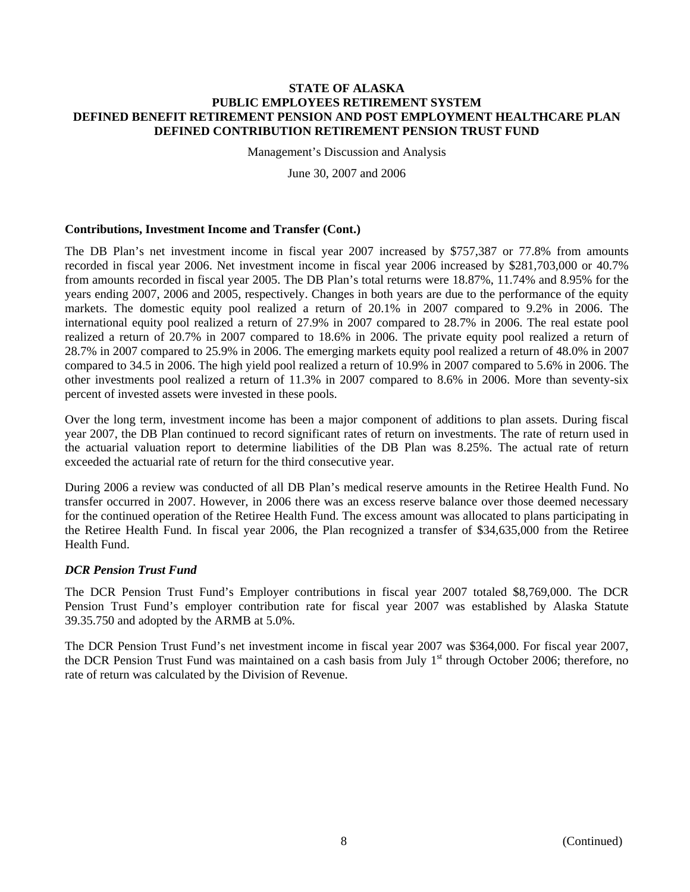Management's Discussion and Analysis

June 30, 2007 and 2006

# **Contributions, Investment Income and Transfer (Cont.)**

The DB Plan's net investment income in fiscal year 2007 increased by \$757,387 or 77.8% from amounts recorded in fiscal year 2006. Net investment income in fiscal year 2006 increased by \$281,703,000 or 40.7% from amounts recorded in fiscal year 2005. The DB Plan's total returns were 18.87%, 11.74% and 8.95% for the years ending 2007, 2006 and 2005, respectively. Changes in both years are due to the performance of the equity markets. The domestic equity pool realized a return of 20.1% in 2007 compared to 9.2% in 2006. The international equity pool realized a return of 27.9% in 2007 compared to 28.7% in 2006. The real estate pool realized a return of 20.7% in 2007 compared to 18.6% in 2006. The private equity pool realized a return of 28.7% in 2007 compared to 25.9% in 2006. The emerging markets equity pool realized a return of 48.0% in 2007 compared to 34.5 in 2006. The high yield pool realized a return of 10.9% in 2007 compared to 5.6% in 2006. The other investments pool realized a return of 11.3% in 2007 compared to 8.6% in 2006. More than seventy-six percent of invested assets were invested in these pools.

Over the long term, investment income has been a major component of additions to plan assets. During fiscal year 2007, the DB Plan continued to record significant rates of return on investments. The rate of return used in the actuarial valuation report to determine liabilities of the DB Plan was 8.25%. The actual rate of return exceeded the actuarial rate of return for the third consecutive year.

During 2006 a review was conducted of all DB Plan's medical reserve amounts in the Retiree Health Fund. No transfer occurred in 2007. However, in 2006 there was an excess reserve balance over those deemed necessary for the continued operation of the Retiree Health Fund. The excess amount was allocated to plans participating in the Retiree Health Fund. In fiscal year 2006, the Plan recognized a transfer of \$34,635,000 from the Retiree Health Fund.

# *DCR Pension Trust Fund*

The DCR Pension Trust Fund's Employer contributions in fiscal year 2007 totaled \$8,769,000. The DCR Pension Trust Fund's employer contribution rate for fiscal year 2007 was established by Alaska Statute 39.35.750 and adopted by the ARMB at 5.0%.

The DCR Pension Trust Fund's net investment income in fiscal year 2007 was \$364,000. For fiscal year 2007, the DCR Pension Trust Fund was maintained on a cash basis from July 1<sup>st</sup> through October 2006; therefore, no rate of return was calculated by the Division of Revenue.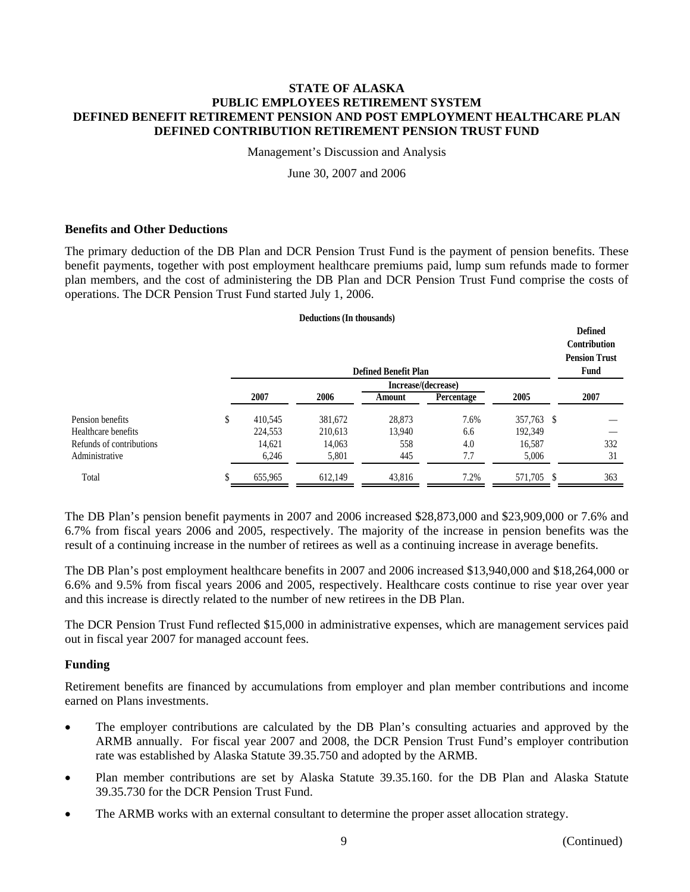Management's Discussion and Analysis

June 30, 2007 and 2006

# **Benefits and Other Deductions**

The primary deduction of the DB Plan and DCR Pension Trust Fund is the payment of pension benefits. These benefit payments, together with post employment healthcare premiums paid, lump sum refunds made to former plan members, and the cost of administering the DB Plan and DCR Pension Trust Fund comprise the costs of operations. The DCR Pension Trust Fund started July 1, 2006.

#### **Deductions (In thousands)**

|                          |               |         | <b>Defined Benefit Plan</b> |            |                 | Defined<br><b>Contribution</b><br><b>Pension Trust</b><br>Fund |
|--------------------------|---------------|---------|-----------------------------|------------|-----------------|----------------------------------------------------------------|
|                          |               |         | Increase/(decrease)         |            |                 |                                                                |
|                          | 2007          | 2006    | Amount                      | Percentage | 2005            | 2007                                                           |
| Pension benefits         | \$<br>410,545 | 381,672 | 28,873                      | 7.6%       | 357,763 \$      |                                                                |
| Healthcare benefits      | 224,553       | 210,613 | 13,940                      | 6.6        | 192,349         |                                                                |
| Refunds of contributions | 14,621        | 14,063  | 558                         | 4.0        | 16,587          | 332                                                            |
| Administrative           | 6,246         | 5,801   | 445                         | 7.7        | 5,006           | 31                                                             |
| Total                    | 655,965       | 612,149 | 43,816                      | 7.2%       | 571,705<br>- \$ | 363                                                            |

The DB Plan's pension benefit payments in 2007 and 2006 increased \$28,873,000 and \$23,909,000 or 7.6% and 6.7% from fiscal years 2006 and 2005, respectively. The majority of the increase in pension benefits was the result of a continuing increase in the number of retirees as well as a continuing increase in average benefits.

The DB Plan's post employment healthcare benefits in 2007 and 2006 increased \$13,940,000 and \$18,264,000 or 6.6% and 9.5% from fiscal years 2006 and 2005, respectively. Healthcare costs continue to rise year over year and this increase is directly related to the number of new retirees in the DB Plan.

The DCR Pension Trust Fund reflected \$15,000 in administrative expenses, which are management services paid out in fiscal year 2007 for managed account fees.

## **Funding**

Retirement benefits are financed by accumulations from employer and plan member contributions and income earned on Plans investments.

- The employer contributions are calculated by the DB Plan's consulting actuaries and approved by the ARMB annually. For fiscal year 2007 and 2008, the DCR Pension Trust Fund's employer contribution rate was established by Alaska Statute 39.35.750 and adopted by the ARMB.
- Plan member contributions are set by Alaska Statute 39.35.160. for the DB Plan and Alaska Statute 39.35.730 for the DCR Pension Trust Fund.
- The ARMB works with an external consultant to determine the proper asset allocation strategy.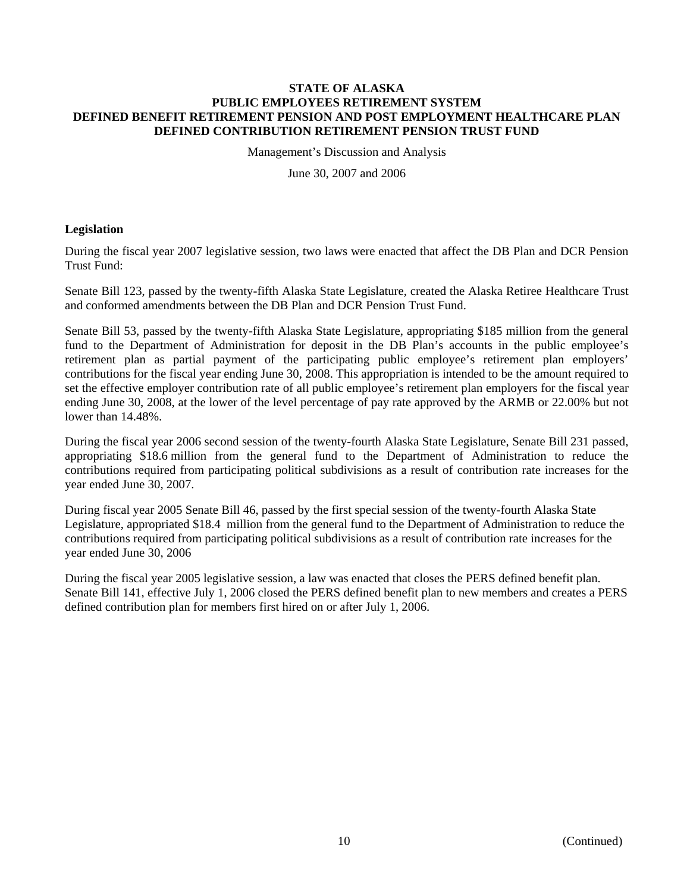Management's Discussion and Analysis

June 30, 2007 and 2006

# **Legislation**

During the fiscal year 2007 legislative session, two laws were enacted that affect the DB Plan and DCR Pension Trust Fund:

Senate Bill 123, passed by the twenty-fifth Alaska State Legislature, created the Alaska Retiree Healthcare Trust and conformed amendments between the DB Plan and DCR Pension Trust Fund.

Senate Bill 53, passed by the twenty-fifth Alaska State Legislature, appropriating \$185 million from the general fund to the Department of Administration for deposit in the DB Plan's accounts in the public employee's retirement plan as partial payment of the participating public employee's retirement plan employers' contributions for the fiscal year ending June 30, 2008. This appropriation is intended to be the amount required to set the effective employer contribution rate of all public employee's retirement plan employers for the fiscal year ending June 30, 2008, at the lower of the level percentage of pay rate approved by the ARMB or 22.00% but not lower than 14.48%.

During the fiscal year 2006 second session of the twenty-fourth Alaska State Legislature, Senate Bill 231 passed, appropriating \$18.6 million from the general fund to the Department of Administration to reduce the contributions required from participating political subdivisions as a result of contribution rate increases for the year ended June 30, 2007.

During fiscal year 2005 Senate Bill 46, passed by the first special session of the twenty-fourth Alaska State Legislature, appropriated \$18.4 million from the general fund to the Department of Administration to reduce the contributions required from participating political subdivisions as a result of contribution rate increases for the year ended June 30, 2006

During the fiscal year 2005 legislative session, a law was enacted that closes the PERS defined benefit plan. Senate Bill 141, effective July 1, 2006 closed the PERS defined benefit plan to new members and creates a PERS defined contribution plan for members first hired on or after July 1, 2006.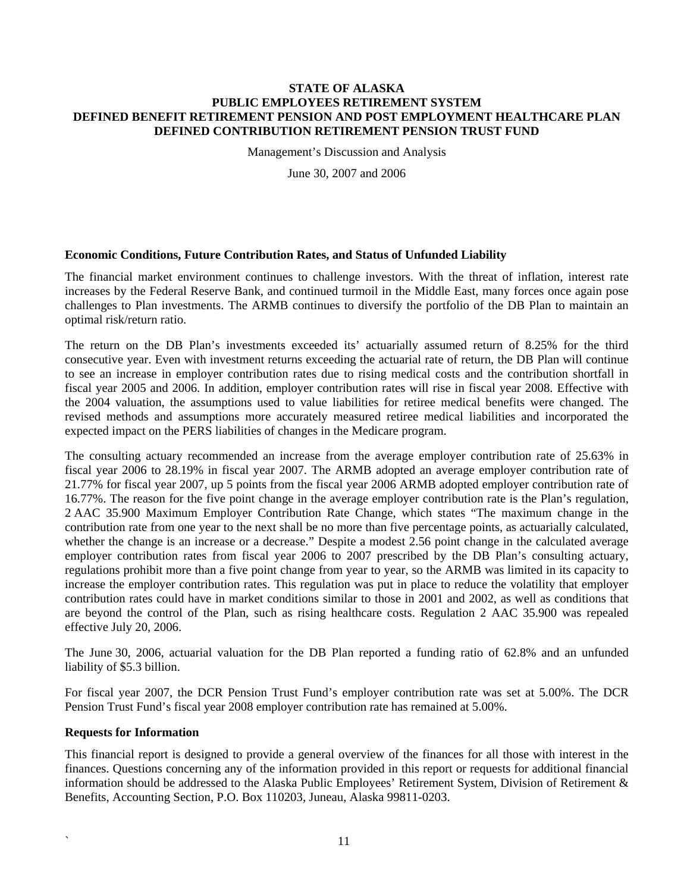Management's Discussion and Analysis

June 30, 2007 and 2006

# **Economic Conditions, Future Contribution Rates, and Status of Unfunded Liability**

The financial market environment continues to challenge investors. With the threat of inflation, interest rate increases by the Federal Reserve Bank, and continued turmoil in the Middle East, many forces once again pose challenges to Plan investments. The ARMB continues to diversify the portfolio of the DB Plan to maintain an optimal risk/return ratio.

The return on the DB Plan's investments exceeded its' actuarially assumed return of 8.25% for the third consecutive year. Even with investment returns exceeding the actuarial rate of return, the DB Plan will continue to see an increase in employer contribution rates due to rising medical costs and the contribution shortfall in fiscal year 2005 and 2006. In addition, employer contribution rates will rise in fiscal year 2008. Effective with the 2004 valuation, the assumptions used to value liabilities for retiree medical benefits were changed. The revised methods and assumptions more accurately measured retiree medical liabilities and incorporated the expected impact on the PERS liabilities of changes in the Medicare program.

The consulting actuary recommended an increase from the average employer contribution rate of 25.63% in fiscal year 2006 to 28.19% in fiscal year 2007. The ARMB adopted an average employer contribution rate of 21.77% for fiscal year 2007, up 5 points from the fiscal year 2006 ARMB adopted employer contribution rate of 16.77%. The reason for the five point change in the average employer contribution rate is the Plan's regulation, 2 AAC 35.900 Maximum Employer Contribution Rate Change, which states "The maximum change in the contribution rate from one year to the next shall be no more than five percentage points, as actuarially calculated, whether the change is an increase or a decrease." Despite a modest 2.56 point change in the calculated average employer contribution rates from fiscal year 2006 to 2007 prescribed by the DB Plan's consulting actuary, regulations prohibit more than a five point change from year to year, so the ARMB was limited in its capacity to increase the employer contribution rates. This regulation was put in place to reduce the volatility that employer contribution rates could have in market conditions similar to those in 2001 and 2002, as well as conditions that are beyond the control of the Plan, such as rising healthcare costs. Regulation 2 AAC 35.900 was repealed effective July 20, 2006.

The June 30, 2006, actuarial valuation for the DB Plan reported a funding ratio of 62.8% and an unfunded liability of \$5.3 billion.

For fiscal year 2007, the DCR Pension Trust Fund's employer contribution rate was set at 5.00%. The DCR Pension Trust Fund's fiscal year 2008 employer contribution rate has remained at 5.00%.

## **Requests for Information**

This financial report is designed to provide a general overview of the finances for all those with interest in the finances. Questions concerning any of the information provided in this report or requests for additional financial information should be addressed to the Alaska Public Employees' Retirement System, Division of Retirement & Benefits, Accounting Section, P.O. Box 110203, Juneau, Alaska 99811-0203.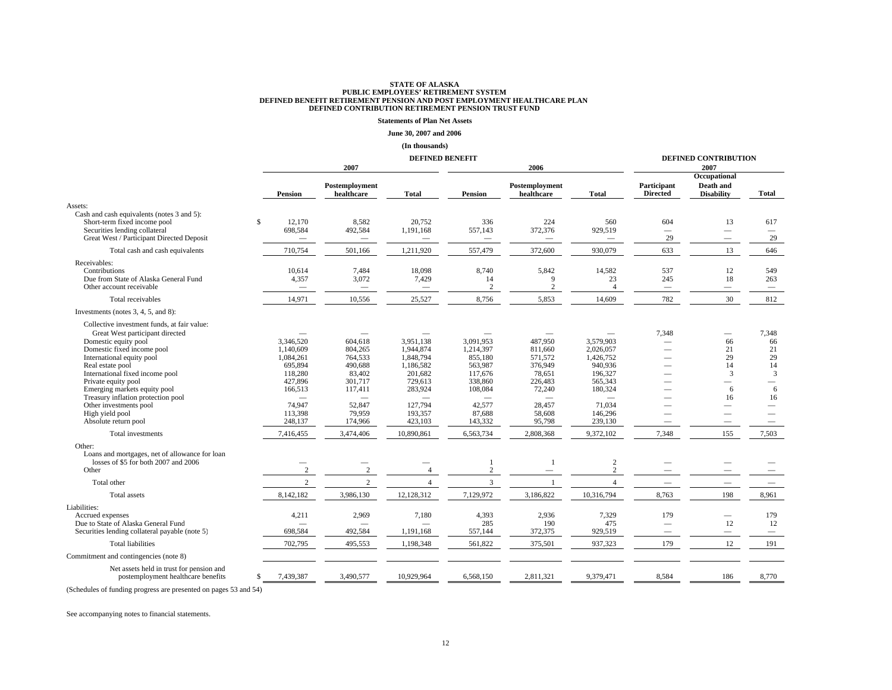#### **Statements of Plan Net Assets**

#### **June 30, 2007 and 2006**

#### **(In thousands)**

|                                                                                                                                                                                                                                                                                                                                                                                                                                                                                                                     |                                                                                                                              | <b>DEFINED BENEFIT</b>                                                                                               |                                                                                                                                  |                                                                                                                           |                                                                                                                                    |                                                                                                                                                | <b>DEFINED CONTRIBUTION</b>                                 |                                                |                                                        |
|---------------------------------------------------------------------------------------------------------------------------------------------------------------------------------------------------------------------------------------------------------------------------------------------------------------------------------------------------------------------------------------------------------------------------------------------------------------------------------------------------------------------|------------------------------------------------------------------------------------------------------------------------------|----------------------------------------------------------------------------------------------------------------------|----------------------------------------------------------------------------------------------------------------------------------|---------------------------------------------------------------------------------------------------------------------------|------------------------------------------------------------------------------------------------------------------------------------|------------------------------------------------------------------------------------------------------------------------------------------------|-------------------------------------------------------------|------------------------------------------------|--------------------------------------------------------|
|                                                                                                                                                                                                                                                                                                                                                                                                                                                                                                                     |                                                                                                                              | 2007                                                                                                                 |                                                                                                                                  |                                                                                                                           | 2006                                                                                                                               | 2007                                                                                                                                           |                                                             |                                                |                                                        |
|                                                                                                                                                                                                                                                                                                                                                                                                                                                                                                                     | <b>Pension</b>                                                                                                               | Postemployment<br>healthcare                                                                                         | <b>Total</b>                                                                                                                     | <b>Pension</b>                                                                                                            | Postemployment<br>healthcare                                                                                                       | <b>Total</b>                                                                                                                                   | Participant<br><b>Directed</b>                              | Occupational<br>Death and<br><b>Disability</b> | Total                                                  |
| Assets:                                                                                                                                                                                                                                                                                                                                                                                                                                                                                                             |                                                                                                                              |                                                                                                                      |                                                                                                                                  |                                                                                                                           |                                                                                                                                    |                                                                                                                                                |                                                             |                                                |                                                        |
| Cash and cash equivalents (notes 3 and 5):<br>Short-term fixed income pool<br>Securities lending collateral<br>Great West / Participant Directed Deposit                                                                                                                                                                                                                                                                                                                                                            | \$<br>12.170<br>698,584                                                                                                      | 8,582<br>492,584                                                                                                     | 20,752<br>1,191,168                                                                                                              | 336<br>557,143                                                                                                            | 224<br>372,376                                                                                                                     | 560<br>929,519                                                                                                                                 | 604<br>29                                                   | 13                                             | 617<br>$\overline{\phantom{a}}$<br>29                  |
| Total cash and cash equivalents                                                                                                                                                                                                                                                                                                                                                                                                                                                                                     | 710,754                                                                                                                      | 501,166                                                                                                              | 1,211,920                                                                                                                        | 557,479                                                                                                                   | 372,600                                                                                                                            | 930,079                                                                                                                                        | 633                                                         | 13                                             | 646                                                    |
| Receivables:<br>Contributions<br>Due from State of Alaska General Fund<br>Other account receivable                                                                                                                                                                                                                                                                                                                                                                                                                  | 10,614<br>4,357<br>$\overline{\phantom{0}}$                                                                                  | 7,484<br>3,072<br>$\overbrace{\phantom{1232211}}$                                                                    | 18,098<br>7,429<br>$\overline{\phantom{0}}$                                                                                      | 8,740<br>14<br>2                                                                                                          | 5,842<br>9<br>2                                                                                                                    | 14,582<br>23<br>$\overline{4}$                                                                                                                 | 537<br>245<br>$\overbrace{\phantom{1232211}}$               | 12<br>18<br>$\overline{\phantom{0}}$           | 549<br>263<br>$\hspace{0.1mm}-\hspace{0.1mm}$          |
| Total receivables                                                                                                                                                                                                                                                                                                                                                                                                                                                                                                   | 14,971                                                                                                                       | 10,556                                                                                                               | 25,527                                                                                                                           | 8,756                                                                                                                     | 5,853                                                                                                                              | 14,609                                                                                                                                         | 782                                                         | 30                                             | 812                                                    |
| Investments (notes 3, 4, 5, and 8):                                                                                                                                                                                                                                                                                                                                                                                                                                                                                 |                                                                                                                              |                                                                                                                      |                                                                                                                                  |                                                                                                                           |                                                                                                                                    |                                                                                                                                                |                                                             |                                                |                                                        |
| Collective investment funds, at fair value:<br>Great West participant directed<br>Domestic equity pool<br>Domestic fixed income pool<br>International equity pool<br>Real estate pool<br>International fixed income pool<br>Private equity pool<br>Emerging markets equity pool<br>Treasury inflation protection pool<br>Other investments pool<br>High yield pool<br>Absolute return pool<br>Total investments<br>Other:<br>Loans and mortgages, net of allowance for loan<br>losses of \$5 for both 2007 and 2006 | 3.346.520<br>1,140,609<br>1,084,261<br>695,894<br>118,280<br>427,896<br>166,513<br>74,947<br>113,398<br>248,137<br>7,416,455 | 604,618<br>804,265<br>764,533<br>490,688<br>83,402<br>301,717<br>117,411<br>52,847<br>79.959<br>174,966<br>3,474,406 | 3.951.138<br>1,944,874<br>1,848,794<br>1,186,582<br>201,682<br>729,613<br>283,924<br>127,794<br>193,357<br>423,103<br>10,890,861 | 3.091.953<br>1,214,397<br>855,180<br>563,987<br>117,676<br>338,860<br>108,084<br>42,577<br>87,688<br>143,332<br>6,563,734 | 487.950<br>811,660<br>571,572<br>376,949<br>78,651<br>226,483<br>72,240<br>28,457<br>58,608<br>95,798<br>2,808,368<br>$\mathbf{1}$ | 3.579.903<br>2,026,057<br>1,426,752<br>940,936<br>196,327<br>565,343<br>180,324<br>71,034<br>146,296<br>239,130<br>9,372,102<br>$\overline{c}$ | 7,348<br>7,348                                              | 66<br>21<br>29<br>14<br>3<br>6<br>16<br>155    | 7,348<br>66<br>21<br>29<br>14<br>3<br>6<br>16<br>7,503 |
| Other                                                                                                                                                                                                                                                                                                                                                                                                                                                                                                               | $\overline{2}$                                                                                                               | 2                                                                                                                    | 4                                                                                                                                | 2                                                                                                                         | $\overline{\phantom{0}}$                                                                                                           | $\overline{c}$                                                                                                                                 |                                                             |                                                |                                                        |
| Total other                                                                                                                                                                                                                                                                                                                                                                                                                                                                                                         | $\overline{2}$                                                                                                               | $\overline{2}$                                                                                                       | $\overline{4}$                                                                                                                   | $\overline{3}$                                                                                                            | $\overline{1}$                                                                                                                     | $\overline{4}$                                                                                                                                 | $\overline{\phantom{m}}$                                    |                                                |                                                        |
| <b>Total</b> assets                                                                                                                                                                                                                                                                                                                                                                                                                                                                                                 | 8,142,182                                                                                                                    | 3,986,130                                                                                                            | 12,128,312                                                                                                                       | 7,129,972                                                                                                                 | 3,186,822                                                                                                                          | 10,316,794                                                                                                                                     | 8,763                                                       | 198                                            | 8,961                                                  |
| Liabilities:<br>Accrued expenses<br>Due to State of Alaska General Fund<br>Securities lending collateral payable (note 5)                                                                                                                                                                                                                                                                                                                                                                                           | 4,211<br>698,584                                                                                                             | 2,969<br>492,584                                                                                                     | 7,180<br>1,191,168                                                                                                               | 4,393<br>285<br>557,144                                                                                                   | 2,936<br>190<br>372,375                                                                                                            | 7,329<br>475<br>929,519                                                                                                                        | 179<br>$\overline{\phantom{0}}$<br>$\overline{\phantom{0}}$ | 12                                             | 179<br>12                                              |
| <b>Total liabilities</b>                                                                                                                                                                                                                                                                                                                                                                                                                                                                                            | 702,795                                                                                                                      | 495,553                                                                                                              | 1,198,348                                                                                                                        | 561,822                                                                                                                   | 375,501                                                                                                                            | 937,323                                                                                                                                        | 179                                                         | 12                                             | 191                                                    |
| Commitment and contingencies (note 8)                                                                                                                                                                                                                                                                                                                                                                                                                                                                               |                                                                                                                              |                                                                                                                      |                                                                                                                                  |                                                                                                                           |                                                                                                                                    |                                                                                                                                                |                                                             |                                                |                                                        |
| Net assets held in trust for pension and<br>postemployment healthcare benefits                                                                                                                                                                                                                                                                                                                                                                                                                                      | 7,439,387<br>\$                                                                                                              | 3,490,577                                                                                                            | 10,929,964                                                                                                                       | 6,568,150                                                                                                                 | 2,811,321                                                                                                                          | 9,379,471                                                                                                                                      | 8,584                                                       | 186                                            | 8,770                                                  |

(Schedules of funding progress are presented on pages 53 and 54)

See accompanying notes to financial statements.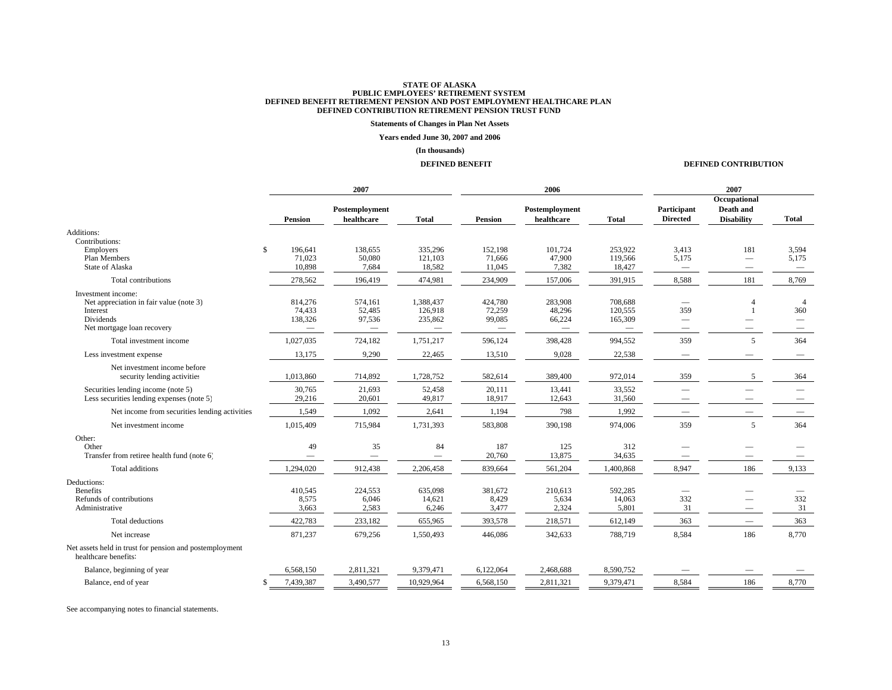#### **Statements of Changes in Plan Net Assets**

#### **Years ended June 30, 2007 and 2006**

#### **(In thousands)**

#### **DEFINED BENEFIT**

#### **DEFINED CONTRIBUTION**

|                                                                                                                      |             | 2007                         |                              |                                                                    |                                                                | 2006                                                           | 2007                                                             |                                        |                                                |                                                                                             |
|----------------------------------------------------------------------------------------------------------------------|-------------|------------------------------|------------------------------|--------------------------------------------------------------------|----------------------------------------------------------------|----------------------------------------------------------------|------------------------------------------------------------------|----------------------------------------|------------------------------------------------|---------------------------------------------------------------------------------------------|
|                                                                                                                      |             | <b>Pension</b>               | Postemployment<br>healthcare | <b>Total</b>                                                       | Pension                                                        | Postemployment<br>healthcare                                   | <b>Total</b>                                                     | Participant<br><b>Directed</b>         | Occupational<br>Death and<br><b>Disability</b> | Total                                                                                       |
| Additions:<br>Contributions:                                                                                         |             |                              |                              |                                                                    |                                                                |                                                                |                                                                  |                                        |                                                |                                                                                             |
| <b>Employers</b><br>Plan Members<br>State of Alaska                                                                  | $\mathbf S$ | 196,641<br>71,023<br>10,898  | 138,655<br>50,080<br>7,684   | 335,296<br>121,103<br>18,582                                       | 152,198<br>71,666<br>11,045                                    | 101,724<br>47,900<br>7,382                                     | 253.922<br>119,566<br>18,427                                     | 3,413<br>5,175                         | 181                                            | 3,594<br>5,175<br>$\qquad \qquad -$                                                         |
| Total contributions                                                                                                  |             | 278,562                      | 196,419                      | 474,981                                                            | 234,909                                                        | 157,006                                                        | 391,915                                                          | 8,588                                  | 181                                            | 8,769                                                                                       |
| Investment income:<br>Net appreciation in fair value (note 3)<br>Interest<br>Dividends<br>Net mortgage loan recovery |             | 814,276<br>74,433<br>138,326 | 574,161<br>52,485<br>97,536  | 1,388,437<br>126,918<br>235,862<br>$\hspace{0.1mm}-\hspace{0.1mm}$ | 424,780<br>72,259<br>99,085<br>$\hspace{0.1mm}-\hspace{0.1mm}$ | 283,908<br>48,296<br>66,224<br>$\hspace{0.1mm}-\hspace{0.1mm}$ | 708,688<br>120,555<br>165,309<br>$\hspace{0.1mm}-\hspace{0.1mm}$ | 359<br>$\hspace{0.1mm}-\hspace{0.1mm}$ | 1<br>-                                         | $\overline{4}$<br>360<br>$\hspace{0.1mm}-\hspace{0.1mm}$<br>$\hspace{0.1mm}-\hspace{0.1mm}$ |
| Total investment income                                                                                              |             | 1,027,035                    | 724,182                      | 1,751,217                                                          | 596,124                                                        | 398,428                                                        | 994,552                                                          | 359                                    | 5                                              | 364                                                                                         |
| Less investment expense                                                                                              |             | 13,175                       | 9,290                        | 22,465                                                             | 13,510                                                         | 9,028                                                          | 22,538                                                           |                                        |                                                |                                                                                             |
| Net investment income before<br>security lending activities                                                          |             | 1,013,860                    | 714,892                      | 1,728,752                                                          | 582,614                                                        | 389,400                                                        | 972,014                                                          | 359                                    | 5                                              | 364                                                                                         |
| Securities lending income (note 5)<br>Less securities lending expenses (note 5)                                      |             | 30,765<br>29,216             | 21,693<br>20,601             | 52,458<br>49,817                                                   | 20,111<br>18,917                                               | 13,441<br>12,643                                               | 33,552<br>31,560                                                 |                                        |                                                |                                                                                             |
| Net income from securities lending activities                                                                        |             | 1,549                        | 1,092                        | 2,641                                                              | 1,194                                                          | 798                                                            | 1,992                                                            | $\hspace{0.1mm}-\hspace{0.1mm}$        |                                                | $\hspace{0.1mm}-\hspace{0.1mm}$                                                             |
| Net investment income                                                                                                |             | 1,015,409                    | 715,984                      | 1,731,393                                                          | 583,808                                                        | 390,198                                                        | 974,006                                                          | 359                                    | 5                                              | 364                                                                                         |
| Other:<br>Other<br>Transfer from retiree health fund (note 6)                                                        |             | 49                           | 35                           | 84<br>$\qquad \qquad$                                              | 187<br>20,760                                                  | 125<br>13,875                                                  | 312<br>34,635                                                    |                                        |                                                |                                                                                             |
| <b>Total additions</b>                                                                                               |             | 1,294,020                    | 912,438                      | 2,206,458                                                          | 839,664                                                        | 561,204                                                        | 1,400,868                                                        | 8,947                                  | 186                                            | 9,133                                                                                       |
| Deductions:<br><b>Benefits</b><br>Refunds of contributions<br>Administrative                                         |             | 410,545<br>8,575<br>3,663    | 224,553<br>6,046<br>2,583    | 635,098<br>14,621<br>6,246                                         | 381,672<br>8,429<br>3,477                                      | 210,613<br>5,634<br>2,324                                      | 592,285<br>14,063<br>5,801                                       | 332<br>31                              |                                                | 332<br>31                                                                                   |
| <b>Total deductions</b>                                                                                              |             | 422,783                      | 233,182                      | 655,965                                                            | 393,578                                                        | 218,571                                                        | 612,149                                                          | 363                                    | $\overline{\phantom{0}}$                       | 363                                                                                         |
| Net increase                                                                                                         |             | 871,237                      | 679,256                      | 1,550,493                                                          | 446,086                                                        | 342,633                                                        | 788,719                                                          | 8,584                                  | 186                                            | 8,770                                                                                       |
| Net assets held in trust for pension and postemployment<br>healthcare benefits:                                      |             |                              |                              |                                                                    |                                                                |                                                                |                                                                  |                                        |                                                |                                                                                             |
| Balance, beginning of year                                                                                           |             | 6,568,150                    | 2,811,321                    | 9,379,471                                                          | 6,122,064                                                      | 2,468,688                                                      | 8,590,752                                                        |                                        |                                                |                                                                                             |
| Balance, end of year                                                                                                 |             | 7,439,387                    | 3,490,577                    | 10,929,964                                                         | 6,568,150                                                      | 2,811,321                                                      | 9,379,471                                                        | 8,584                                  | 186                                            | 8,770                                                                                       |
|                                                                                                                      |             |                              |                              |                                                                    |                                                                |                                                                |                                                                  |                                        |                                                |                                                                                             |

See accompanying notes to financial statements.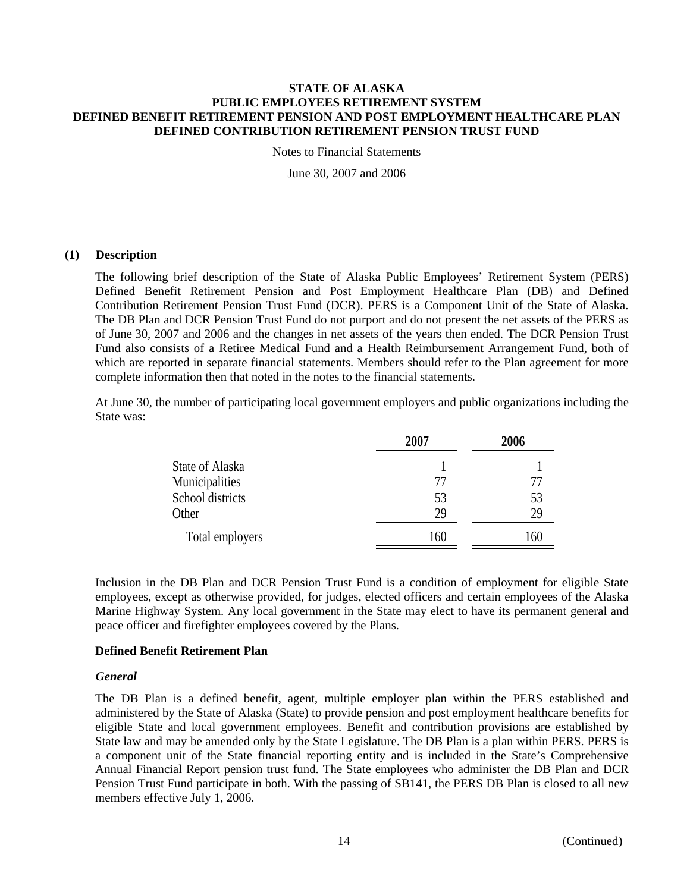Notes to Financial Statements

June 30, 2007 and 2006

# **(1) Description**

The following brief description of the State of Alaska Public Employees' Retirement System (PERS) Defined Benefit Retirement Pension and Post Employment Healthcare Plan (DB) and Defined Contribution Retirement Pension Trust Fund (DCR). PERS is a Component Unit of the State of Alaska. The DB Plan and DCR Pension Trust Fund do not purport and do not present the net assets of the PERS as of June 30, 2007 and 2006 and the changes in net assets of the years then ended. The DCR Pension Trust Fund also consists of a Retiree Medical Fund and a Health Reimbursement Arrangement Fund, both of which are reported in separate financial statements. Members should refer to the Plan agreement for more complete information then that noted in the notes to the financial statements.

At June 30, the number of participating local government employers and public organizations including the State was:

|                  | 2007 | 2006 |
|------------------|------|------|
| State of Alaska  |      |      |
| Municipalities   | 77   |      |
| School districts | 53   | 53   |
| Other            | 29   | 29   |
| Total employers  | 160  | 160  |

Inclusion in the DB Plan and DCR Pension Trust Fund is a condition of employment for eligible State employees, except as otherwise provided, for judges, elected officers and certain employees of the Alaska Marine Highway System. Any local government in the State may elect to have its permanent general and peace officer and firefighter employees covered by the Plans.

# **Defined Benefit Retirement Plan**

## *General*

The DB Plan is a defined benefit, agent, multiple employer plan within the PERS established and administered by the State of Alaska (State) to provide pension and post employment healthcare benefits for eligible State and local government employees. Benefit and contribution provisions are established by State law and may be amended only by the State Legislature. The DB Plan is a plan within PERS. PERS is a component unit of the State financial reporting entity and is included in the State's Comprehensive Annual Financial Report pension trust fund. The State employees who administer the DB Plan and DCR Pension Trust Fund participate in both. With the passing of SB141, the PERS DB Plan is closed to all new members effective July 1, 2006.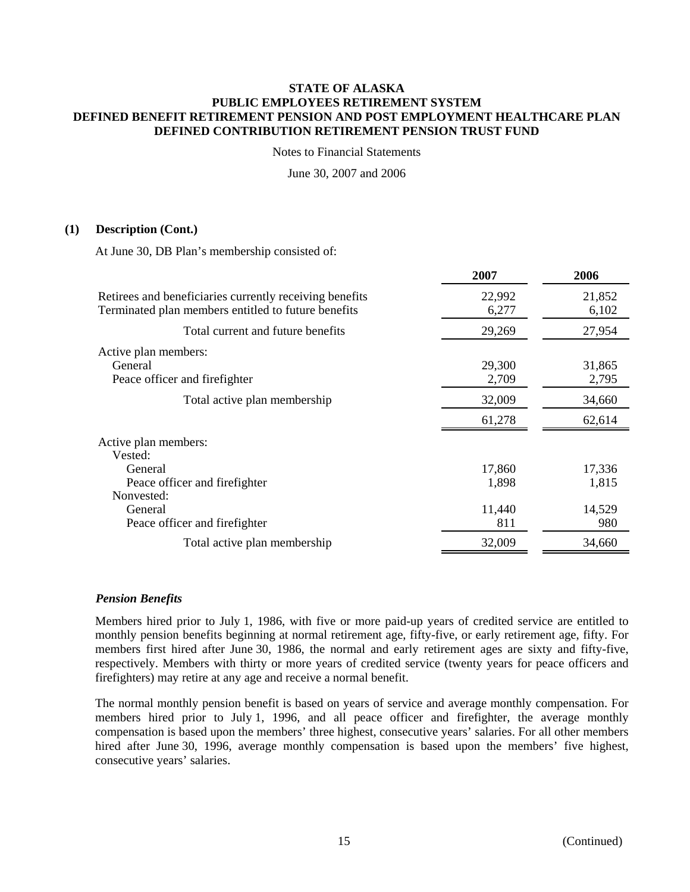Notes to Financial Statements

June 30, 2007 and 2006

# **(1) Description (Cont.)**

At June 30, DB Plan's membership consisted of:

|                                                                                                                | 2007            | 2006            |
|----------------------------------------------------------------------------------------------------------------|-----------------|-----------------|
| Retirees and beneficiaries currently receiving benefits<br>Terminated plan members entitled to future benefits | 22,992<br>6,277 | 21,852<br>6,102 |
| Total current and future benefits                                                                              | 29,269          | 27,954          |
| Active plan members:<br>General<br>Peace officer and firefighter                                               | 29,300<br>2,709 | 31,865<br>2,795 |
| Total active plan membership                                                                                   | 32,009          | 34,660          |
|                                                                                                                | 61,278          | 62,614          |
| Active plan members:<br>Vested:                                                                                |                 |                 |
| General<br>Peace officer and firefighter<br>Nonvested:                                                         | 17,860<br>1,898 | 17,336<br>1,815 |
| General<br>Peace officer and firefighter                                                                       | 11,440<br>811   | 14,529<br>980   |
| Total active plan membership                                                                                   | 32,009          | 34,660          |

## *Pension Benefits*

Members hired prior to July 1, 1986, with five or more paid-up years of credited service are entitled to monthly pension benefits beginning at normal retirement age, fifty-five, or early retirement age, fifty. For members first hired after June 30, 1986, the normal and early retirement ages are sixty and fifty-five, respectively. Members with thirty or more years of credited service (twenty years for peace officers and firefighters) may retire at any age and receive a normal benefit.

The normal monthly pension benefit is based on years of service and average monthly compensation. For members hired prior to July 1, 1996, and all peace officer and firefighter, the average monthly compensation is based upon the members' three highest, consecutive years' salaries. For all other members hired after June 30, 1996, average monthly compensation is based upon the members' five highest, consecutive years' salaries.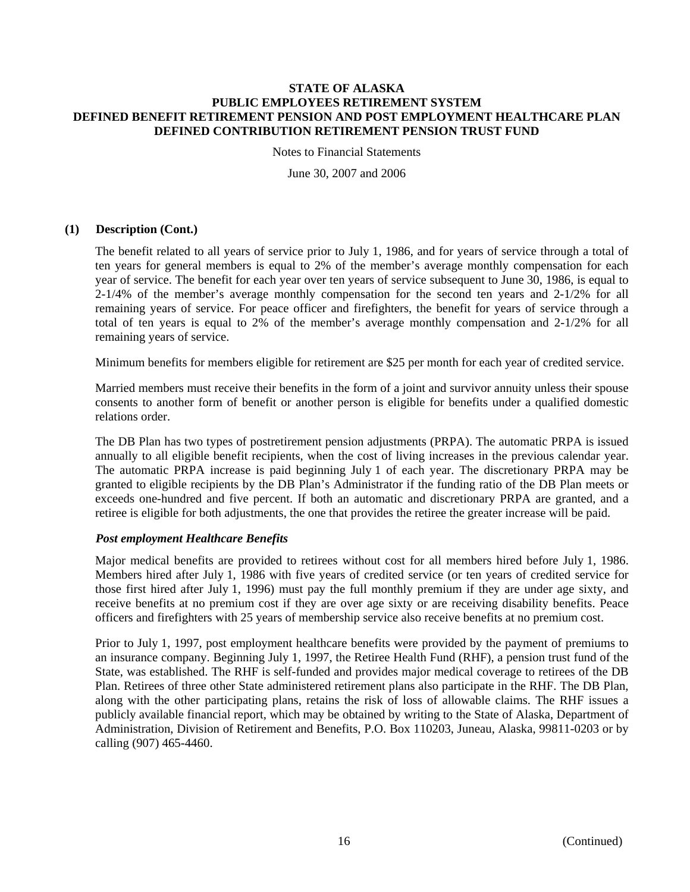Notes to Financial Statements

June 30, 2007 and 2006

# **(1) Description (Cont.)**

The benefit related to all years of service prior to July 1, 1986, and for years of service through a total of ten years for general members is equal to 2% of the member's average monthly compensation for each year of service. The benefit for each year over ten years of service subsequent to June 30, 1986, is equal to 2-1/4% of the member's average monthly compensation for the second ten years and 2-1/2% for all remaining years of service. For peace officer and firefighters, the benefit for years of service through a total of ten years is equal to 2% of the member's average monthly compensation and 2-1/2% for all remaining years of service.

Minimum benefits for members eligible for retirement are \$25 per month for each year of credited service.

Married members must receive their benefits in the form of a joint and survivor annuity unless their spouse consents to another form of benefit or another person is eligible for benefits under a qualified domestic relations order.

The DB Plan has two types of postretirement pension adjustments (PRPA). The automatic PRPA is issued annually to all eligible benefit recipients, when the cost of living increases in the previous calendar year. The automatic PRPA increase is paid beginning July 1 of each year. The discretionary PRPA may be granted to eligible recipients by the DB Plan's Administrator if the funding ratio of the DB Plan meets or exceeds one-hundred and five percent. If both an automatic and discretionary PRPA are granted, and a retiree is eligible for both adjustments, the one that provides the retiree the greater increase will be paid.

# *Post employment Healthcare Benefits*

Major medical benefits are provided to retirees without cost for all members hired before July 1, 1986. Members hired after July 1, 1986 with five years of credited service (or ten years of credited service for those first hired after July 1, 1996) must pay the full monthly premium if they are under age sixty, and receive benefits at no premium cost if they are over age sixty or are receiving disability benefits. Peace officers and firefighters with 25 years of membership service also receive benefits at no premium cost.

Prior to July 1, 1997, post employment healthcare benefits were provided by the payment of premiums to an insurance company. Beginning July 1, 1997, the Retiree Health Fund (RHF), a pension trust fund of the State, was established. The RHF is self-funded and provides major medical coverage to retirees of the DB Plan. Retirees of three other State administered retirement plans also participate in the RHF. The DB Plan, along with the other participating plans, retains the risk of loss of allowable claims. The RHF issues a publicly available financial report, which may be obtained by writing to the State of Alaska, Department of Administration, Division of Retirement and Benefits, P.O. Box 110203, Juneau, Alaska, 99811-0203 or by calling (907) 465-4460.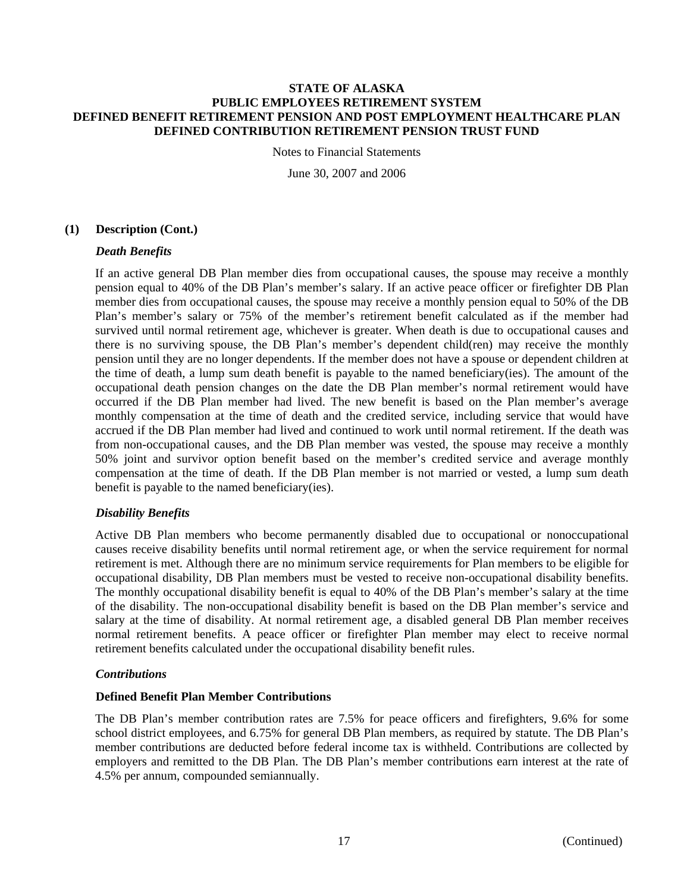Notes to Financial Statements

June 30, 2007 and 2006

# **(1) Description (Cont.)**

# *Death Benefits*

If an active general DB Plan member dies from occupational causes, the spouse may receive a monthly pension equal to 40% of the DB Plan's member's salary. If an active peace officer or firefighter DB Plan member dies from occupational causes, the spouse may receive a monthly pension equal to 50% of the DB Plan's member's salary or 75% of the member's retirement benefit calculated as if the member had survived until normal retirement age, whichever is greater. When death is due to occupational causes and there is no surviving spouse, the DB Plan's member's dependent child(ren) may receive the monthly pension until they are no longer dependents. If the member does not have a spouse or dependent children at the time of death, a lump sum death benefit is payable to the named beneficiary(ies). The amount of the occupational death pension changes on the date the DB Plan member's normal retirement would have occurred if the DB Plan member had lived. The new benefit is based on the Plan member's average monthly compensation at the time of death and the credited service, including service that would have accrued if the DB Plan member had lived and continued to work until normal retirement. If the death was from non-occupational causes, and the DB Plan member was vested, the spouse may receive a monthly 50% joint and survivor option benefit based on the member's credited service and average monthly compensation at the time of death. If the DB Plan member is not married or vested, a lump sum death benefit is payable to the named beneficiary(ies).

# *Disability Benefits*

Active DB Plan members who become permanently disabled due to occupational or nonoccupational causes receive disability benefits until normal retirement age, or when the service requirement for normal retirement is met. Although there are no minimum service requirements for Plan members to be eligible for occupational disability, DB Plan members must be vested to receive non-occupational disability benefits. The monthly occupational disability benefit is equal to 40% of the DB Plan's member's salary at the time of the disability. The non-occupational disability benefit is based on the DB Plan member's service and salary at the time of disability. At normal retirement age, a disabled general DB Plan member receives normal retirement benefits. A peace officer or firefighter Plan member may elect to receive normal retirement benefits calculated under the occupational disability benefit rules.

## *Contributions*

# **Defined Benefit Plan Member Contributions**

The DB Plan's member contribution rates are 7.5% for peace officers and firefighters, 9.6% for some school district employees, and 6.75% for general DB Plan members, as required by statute. The DB Plan's member contributions are deducted before federal income tax is withheld. Contributions are collected by employers and remitted to the DB Plan. The DB Plan's member contributions earn interest at the rate of 4.5% per annum, compounded semiannually.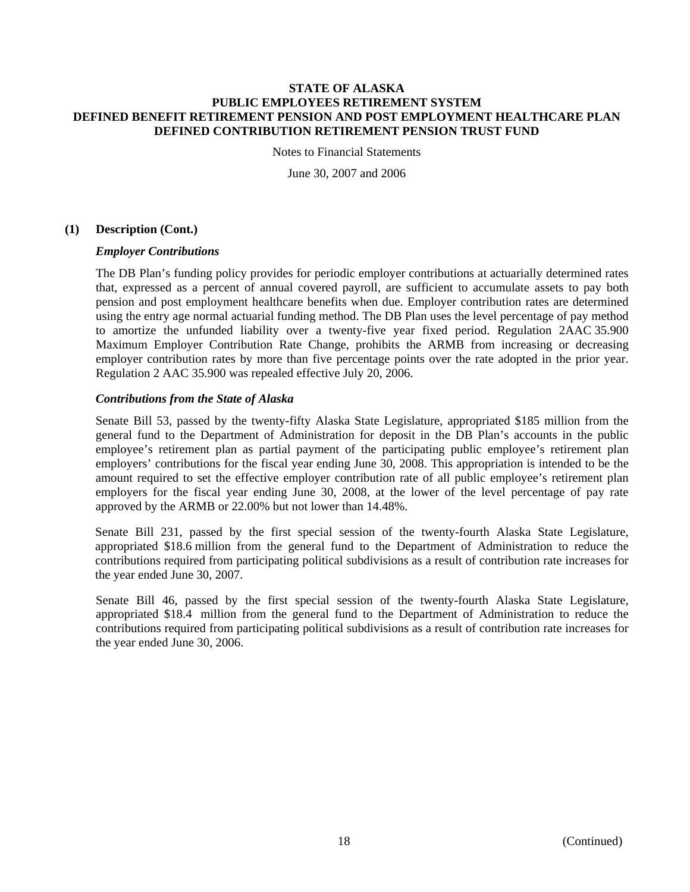Notes to Financial Statements

June 30, 2007 and 2006

# **(1) Description (Cont.)**

# *Employer Contributions*

The DB Plan's funding policy provides for periodic employer contributions at actuarially determined rates that, expressed as a percent of annual covered payroll, are sufficient to accumulate assets to pay both pension and post employment healthcare benefits when due. Employer contribution rates are determined using the entry age normal actuarial funding method. The DB Plan uses the level percentage of pay method to amortize the unfunded liability over a twenty-five year fixed period. Regulation 2AAC 35.900 Maximum Employer Contribution Rate Change, prohibits the ARMB from increasing or decreasing employer contribution rates by more than five percentage points over the rate adopted in the prior year. Regulation 2 AAC 35.900 was repealed effective July 20, 2006.

# *Contributions from the State of Alaska*

Senate Bill 53, passed by the twenty-fifty Alaska State Legislature, appropriated \$185 million from the general fund to the Department of Administration for deposit in the DB Plan's accounts in the public employee's retirement plan as partial payment of the participating public employee's retirement plan employers' contributions for the fiscal year ending June 30, 2008. This appropriation is intended to be the amount required to set the effective employer contribution rate of all public employee's retirement plan employers for the fiscal year ending June 30, 2008, at the lower of the level percentage of pay rate approved by the ARMB or 22.00% but not lower than 14.48%.

Senate Bill 231, passed by the first special session of the twenty-fourth Alaska State Legislature, appropriated \$18.6 million from the general fund to the Department of Administration to reduce the contributions required from participating political subdivisions as a result of contribution rate increases for the year ended June 30, 2007.

Senate Bill 46, passed by the first special session of the twenty-fourth Alaska State Legislature, appropriated \$18.4 million from the general fund to the Department of Administration to reduce the contributions required from participating political subdivisions as a result of contribution rate increases for the year ended June 30, 2006.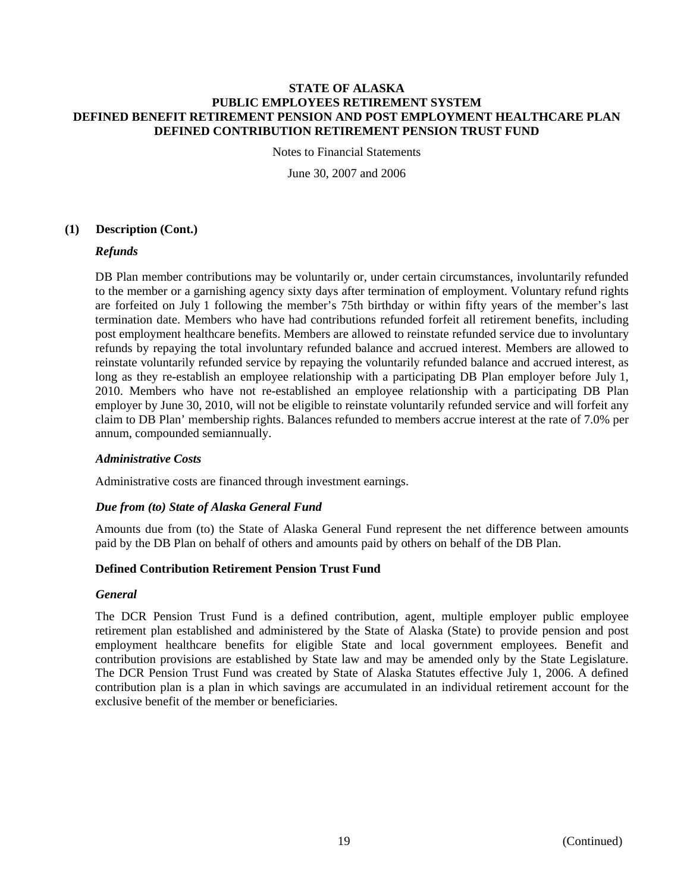Notes to Financial Statements

June 30, 2007 and 2006

# **(1) Description (Cont.)**

# *Refunds*

DB Plan member contributions may be voluntarily or, under certain circumstances, involuntarily refunded to the member or a garnishing agency sixty days after termination of employment. Voluntary refund rights are forfeited on July 1 following the member's 75th birthday or within fifty years of the member's last termination date. Members who have had contributions refunded forfeit all retirement benefits, including post employment healthcare benefits. Members are allowed to reinstate refunded service due to involuntary refunds by repaying the total involuntary refunded balance and accrued interest. Members are allowed to reinstate voluntarily refunded service by repaying the voluntarily refunded balance and accrued interest, as long as they re-establish an employee relationship with a participating DB Plan employer before July 1, 2010. Members who have not re-established an employee relationship with a participating DB Plan employer by June 30, 2010, will not be eligible to reinstate voluntarily refunded service and will forfeit any claim to DB Plan' membership rights. Balances refunded to members accrue interest at the rate of 7.0% per annum, compounded semiannually.

# *Administrative Costs*

Administrative costs are financed through investment earnings.

# *Due from (to) State of Alaska General Fund*

Amounts due from (to) the State of Alaska General Fund represent the net difference between amounts paid by the DB Plan on behalf of others and amounts paid by others on behalf of the DB Plan.

## **Defined Contribution Retirement Pension Trust Fund**

## *General*

The DCR Pension Trust Fund is a defined contribution, agent, multiple employer public employee retirement plan established and administered by the State of Alaska (State) to provide pension and post employment healthcare benefits for eligible State and local government employees. Benefit and contribution provisions are established by State law and may be amended only by the State Legislature. The DCR Pension Trust Fund was created by State of Alaska Statutes effective July 1, 2006. A defined contribution plan is a plan in which savings are accumulated in an individual retirement account for the exclusive benefit of the member or beneficiaries.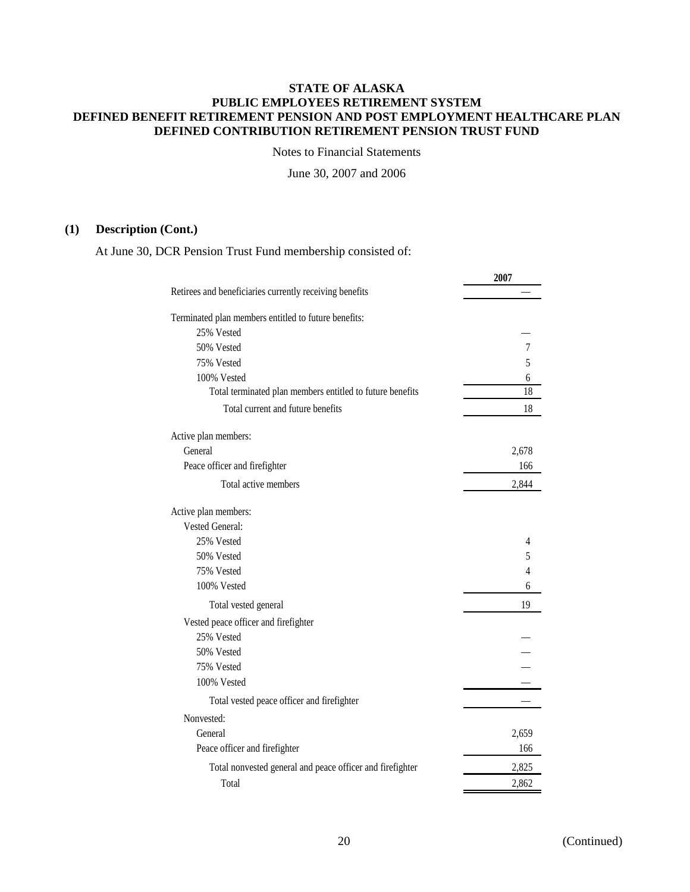Notes to Financial Statements

June 30, 2007 and 2006

# **(1) Description (Cont.)**

At June 30, DCR Pension Trust Fund membership consisted of:

|                                                           | 2007           |
|-----------------------------------------------------------|----------------|
| Retirees and beneficiaries currently receiving benefits   |                |
| Terminated plan members entitled to future benefits:      |                |
| 25% Vested                                                |                |
| 50% Vested                                                | $\overline{7}$ |
| 75% Vested                                                | 5              |
| 100% Vested                                               | 6              |
| Total terminated plan members entitled to future benefits | 18             |
| Total current and future benefits                         | 18             |
| Active plan members:                                      |                |
| General                                                   | 2,678          |
| Peace officer and firefighter                             | 166            |
| Total active members                                      | 2,844          |
| Active plan members:                                      |                |
| Vested General:                                           |                |
| 25% Vested                                                | 4              |
| 50% Vested                                                | 5              |
| 75% Vested                                                | 4              |
| 100% Vested                                               | 6              |
| Total vested general                                      | 19             |
| Vested peace officer and firefighter                      |                |
| 25% Vested                                                |                |
| 50% Vested                                                |                |
| 75% Vested                                                |                |
| 100% Vested                                               |                |
| Total vested peace officer and firefighter                |                |
| Nonvested:                                                |                |
| General                                                   | 2,659          |
| Peace officer and firefighter                             | 166            |
| Total nonvested general and peace officer and firefighter | 2,825          |
| Total                                                     | 2,862          |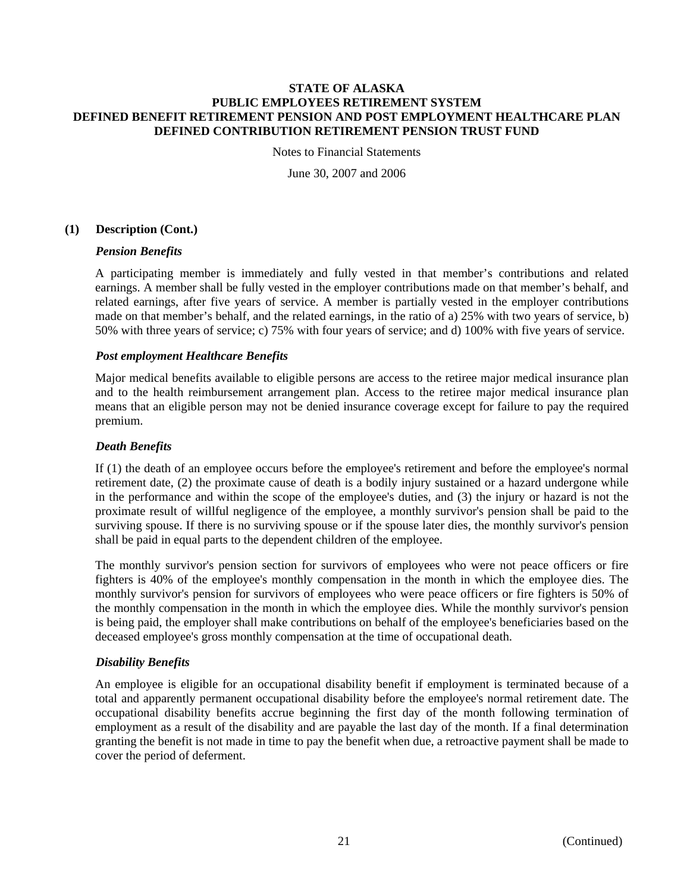Notes to Financial Statements

June 30, 2007 and 2006

# **(1) Description (Cont.)**

# *Pension Benefits*

A participating member is immediately and fully vested in that member's contributions and related earnings. A member shall be fully vested in the employer contributions made on that member's behalf, and related earnings, after five years of service. A member is partially vested in the employer contributions made on that member's behalf, and the related earnings, in the ratio of a) 25% with two years of service, b) 50% with three years of service; c) 75% with four years of service; and d) 100% with five years of service.

# *Post employment Healthcare Benefits*

Major medical benefits available to eligible persons are access to the retiree major medical insurance plan and to the health reimbursement arrangement plan. Access to the retiree major medical insurance plan means that an eligible person may not be denied insurance coverage except for failure to pay the required premium.

## *Death Benefits*

If (1) the death of an employee occurs before the employee's retirement and before the employee's normal retirement date, (2) the proximate cause of death is a bodily injury sustained or a hazard undergone while in the performance and within the scope of the employee's duties, and (3) the injury or hazard is not the proximate result of willful negligence of the employee, a monthly survivor's pension shall be paid to the surviving spouse. If there is no surviving spouse or if the spouse later dies, the monthly survivor's pension shall be paid in equal parts to the dependent children of the employee.

The monthly survivor's pension section for survivors of employees who were not peace officers or fire fighters is 40% of the employee's monthly compensation in the month in which the employee dies. The monthly survivor's pension for survivors of employees who were peace officers or fire fighters is 50% of the monthly compensation in the month in which the employee dies. While the monthly survivor's pension is being paid, the employer shall make contributions on behalf of the employee's beneficiaries based on the deceased employee's gross monthly compensation at the time of occupational death.

# *Disability Benefits*

An employee is eligible for an occupational disability benefit if employment is terminated because of a total and apparently permanent occupational disability before the employee's normal retirement date. The occupational disability benefits accrue beginning the first day of the month following termination of employment as a result of the disability and are payable the last day of the month. If a final determination granting the benefit is not made in time to pay the benefit when due, a retroactive payment shall be made to cover the period of deferment.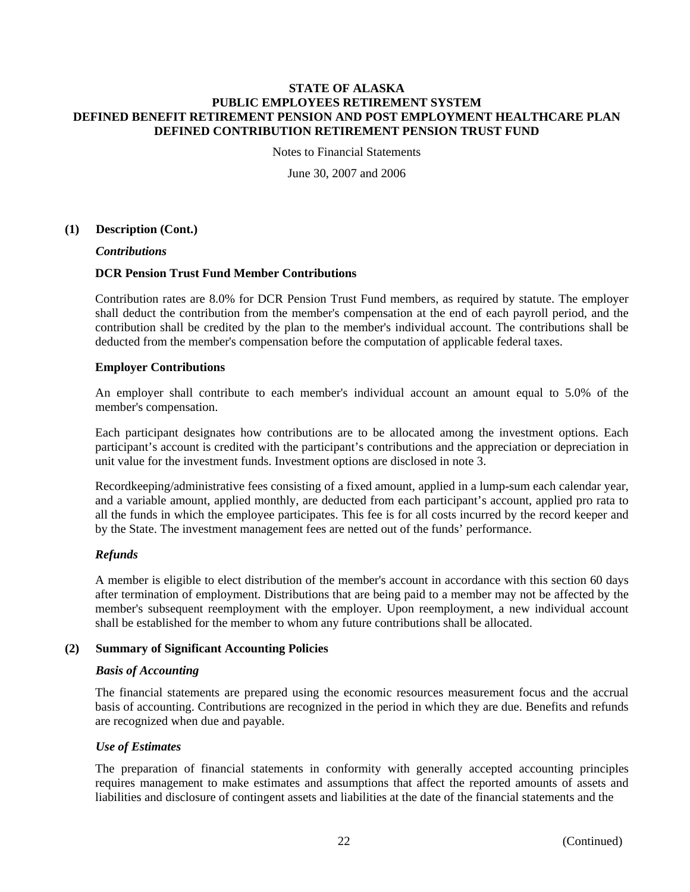Notes to Financial Statements

June 30, 2007 and 2006

# **(1) Description (Cont.)**

*Contributions* 

# **DCR Pension Trust Fund Member Contributions**

Contribution rates are 8.0% for DCR Pension Trust Fund members, as required by statute. The employer shall deduct the contribution from the member's compensation at the end of each payroll period, and the contribution shall be credited by the plan to the member's individual account. The contributions shall be deducted from the member's compensation before the computation of applicable federal taxes.

# **Employer Contributions**

An employer shall contribute to each member's individual account an amount equal to 5.0% of the member's compensation.

Each participant designates how contributions are to be allocated among the investment options. Each participant's account is credited with the participant's contributions and the appreciation or depreciation in unit value for the investment funds. Investment options are disclosed in note 3.

Recordkeeping/administrative fees consisting of a fixed amount, applied in a lump-sum each calendar year, and a variable amount, applied monthly, are deducted from each participant's account, applied pro rata to all the funds in which the employee participates. This fee is for all costs incurred by the record keeper and by the State. The investment management fees are netted out of the funds' performance.

# *Refunds*

A member is eligible to elect distribution of the member's account in accordance with this section 60 days after termination of employment. Distributions that are being paid to a member may not be affected by the member's subsequent reemployment with the employer. Upon reemployment, a new individual account shall be established for the member to whom any future contributions shall be allocated.

# **(2) Summary of Significant Accounting Policies**

## *Basis of Accounting*

The financial statements are prepared using the economic resources measurement focus and the accrual basis of accounting. Contributions are recognized in the period in which they are due. Benefits and refunds are recognized when due and payable.

# *Use of Estimates*

The preparation of financial statements in conformity with generally accepted accounting principles requires management to make estimates and assumptions that affect the reported amounts of assets and liabilities and disclosure of contingent assets and liabilities at the date of the financial statements and the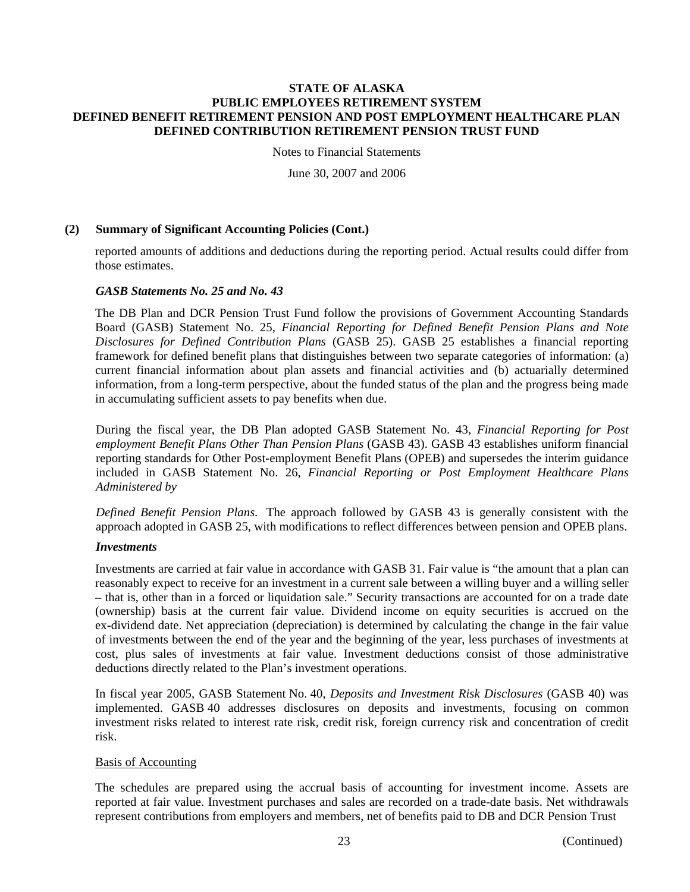Notes to Financial Statements

June 30, 2007 and 2006

# **(2) Summary of Significant Accounting Policies (Cont.)**

reported amounts of additions and deductions during the reporting period. Actual results could differ from those estimates.

# *GASB Statements No. 25 and No. 43*

The DB Plan and DCR Pension Trust Fund follow the provisions of Government Accounting Standards Board (GASB) Statement No. 25, *Financial Reporting for Defined Benefit Pension Plans and Note Disclosures for Defined Contribution Plans* (GASB 25). GASB 25 establishes a financial reporting framework for defined benefit plans that distinguishes between two separate categories of information: (a) current financial information about plan assets and financial activities and (b) actuarially determined information, from a long-term perspective, about the funded status of the plan and the progress being made in accumulating sufficient assets to pay benefits when due.

During the fiscal year, the DB Plan adopted GASB Statement No. 43, *Financial Reporting for Post employment Benefit Plans Other Than Pension Plans* (GASB 43). GASB 43 establishes uniform financial reporting standards for Other Post-employment Benefit Plans (OPEB) and supersedes the interim guidance included in GASB Statement No. 26, *Financial Reporting or Post Employment Healthcare Plans Administered by* 

*Defined Benefit Pension Plans*. The approach followed by GASB 43 is generally consistent with the approach adopted in GASB 25, with modifications to reflect differences between pension and OPEB plans.

## *Investments*

Investments are carried at fair value in accordance with GASB 31. Fair value is "the amount that a plan can reasonably expect to receive for an investment in a current sale between a willing buyer and a willing seller – that is, other than in a forced or liquidation sale." Security transactions are accounted for on a trade date (ownership) basis at the current fair value. Dividend income on equity securities is accrued on the ex-dividend date. Net appreciation (depreciation) is determined by calculating the change in the fair value of investments between the end of the year and the beginning of the year, less purchases of investments at cost, plus sales of investments at fair value. Investment deductions consist of those administrative deductions directly related to the Plan's investment operations.

In fiscal year 2005, GASB Statement No. 40, *Deposits and Investment Risk Disclosures* (GASB 40) was implemented. GASB 40 addresses disclosures on deposits and investments, focusing on common investment risks related to interest rate risk, credit risk, foreign currency risk and concentration of credit risk.

# Basis of Accounting

The schedules are prepared using the accrual basis of accounting for investment income. Assets are reported at fair value. Investment purchases and sales are recorded on a trade-date basis. Net withdrawals represent contributions from employers and members, net of benefits paid to DB and DCR Pension Trust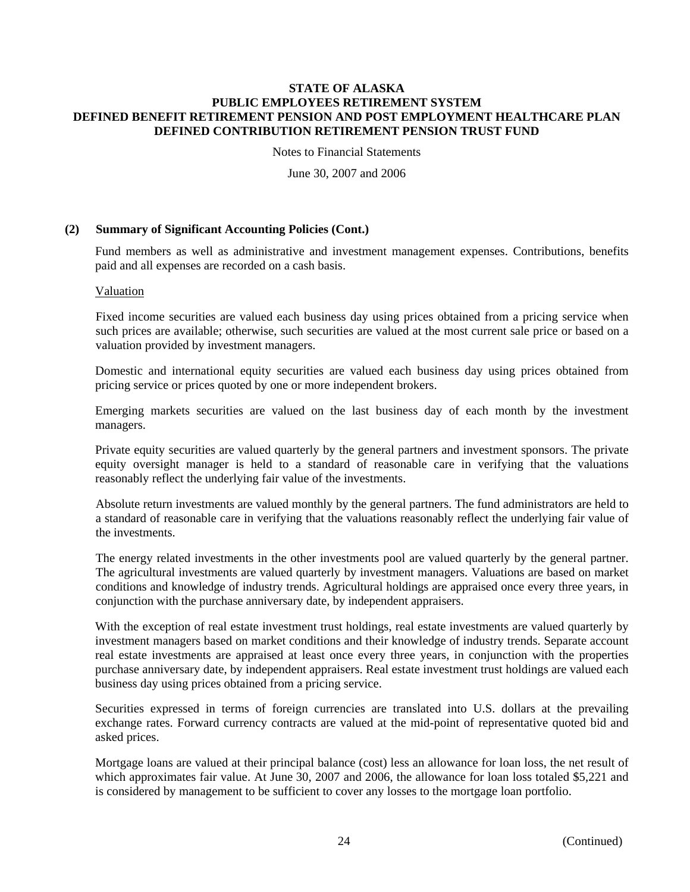Notes to Financial Statements

June 30, 2007 and 2006

# **(2) Summary of Significant Accounting Policies (Cont.)**

Fund members as well as administrative and investment management expenses. Contributions, benefits paid and all expenses are recorded on a cash basis.

## Valuation

Fixed income securities are valued each business day using prices obtained from a pricing service when such prices are available; otherwise, such securities are valued at the most current sale price or based on a valuation provided by investment managers.

Domestic and international equity securities are valued each business day using prices obtained from pricing service or prices quoted by one or more independent brokers.

Emerging markets securities are valued on the last business day of each month by the investment managers.

Private equity securities are valued quarterly by the general partners and investment sponsors. The private equity oversight manager is held to a standard of reasonable care in verifying that the valuations reasonably reflect the underlying fair value of the investments.

Absolute return investments are valued monthly by the general partners. The fund administrators are held to a standard of reasonable care in verifying that the valuations reasonably reflect the underlying fair value of the investments.

The energy related investments in the other investments pool are valued quarterly by the general partner. The agricultural investments are valued quarterly by investment managers. Valuations are based on market conditions and knowledge of industry trends. Agricultural holdings are appraised once every three years, in conjunction with the purchase anniversary date, by independent appraisers.

With the exception of real estate investment trust holdings, real estate investments are valued quarterly by investment managers based on market conditions and their knowledge of industry trends. Separate account real estate investments are appraised at least once every three years, in conjunction with the properties purchase anniversary date, by independent appraisers. Real estate investment trust holdings are valued each business day using prices obtained from a pricing service.

Securities expressed in terms of foreign currencies are translated into U.S. dollars at the prevailing exchange rates. Forward currency contracts are valued at the mid-point of representative quoted bid and asked prices.

Mortgage loans are valued at their principal balance (cost) less an allowance for loan loss, the net result of which approximates fair value. At June 30, 2007 and 2006, the allowance for loan loss totaled \$5,221 and is considered by management to be sufficient to cover any losses to the mortgage loan portfolio.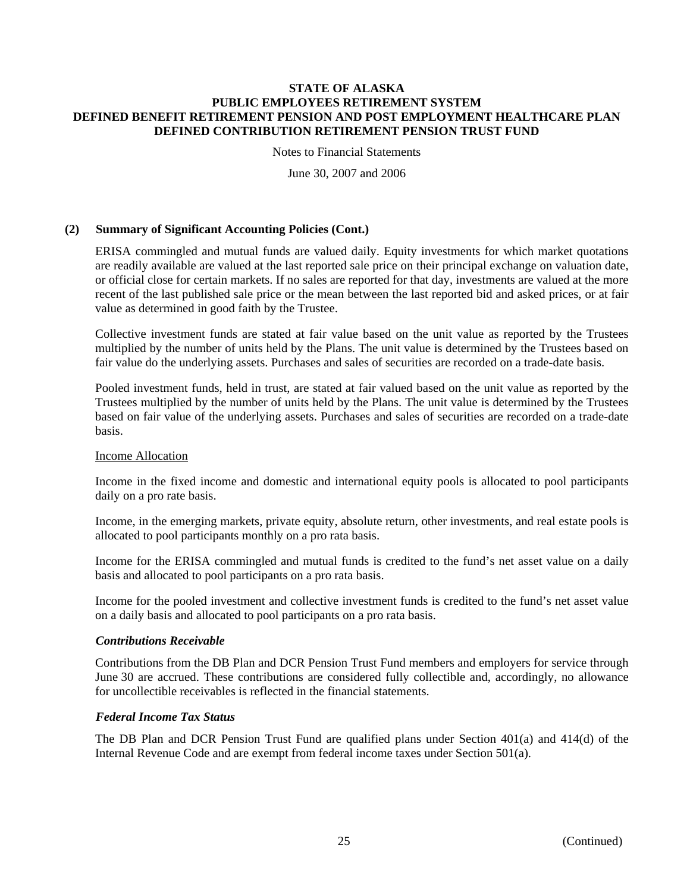Notes to Financial Statements

June 30, 2007 and 2006

# **(2) Summary of Significant Accounting Policies (Cont.)**

ERISA commingled and mutual funds are valued daily. Equity investments for which market quotations are readily available are valued at the last reported sale price on their principal exchange on valuation date, or official close for certain markets. If no sales are reported for that day, investments are valued at the more recent of the last published sale price or the mean between the last reported bid and asked prices, or at fair value as determined in good faith by the Trustee.

Collective investment funds are stated at fair value based on the unit value as reported by the Trustees multiplied by the number of units held by the Plans. The unit value is determined by the Trustees based on fair value do the underlying assets. Purchases and sales of securities are recorded on a trade-date basis.

Pooled investment funds, held in trust, are stated at fair valued based on the unit value as reported by the Trustees multiplied by the number of units held by the Plans. The unit value is determined by the Trustees based on fair value of the underlying assets. Purchases and sales of securities are recorded on a trade-date basis.

## Income Allocation

Income in the fixed income and domestic and international equity pools is allocated to pool participants daily on a pro rate basis.

Income, in the emerging markets, private equity, absolute return, other investments, and real estate pools is allocated to pool participants monthly on a pro rata basis.

Income for the ERISA commingled and mutual funds is credited to the fund's net asset value on a daily basis and allocated to pool participants on a pro rata basis.

Income for the pooled investment and collective investment funds is credited to the fund's net asset value on a daily basis and allocated to pool participants on a pro rata basis.

## *Contributions Receivable*

Contributions from the DB Plan and DCR Pension Trust Fund members and employers for service through June 30 are accrued. These contributions are considered fully collectible and, accordingly, no allowance for uncollectible receivables is reflected in the financial statements.

## *Federal Income Tax Status*

The DB Plan and DCR Pension Trust Fund are qualified plans under Section 401(a) and 414(d) of the Internal Revenue Code and are exempt from federal income taxes under Section 501(a).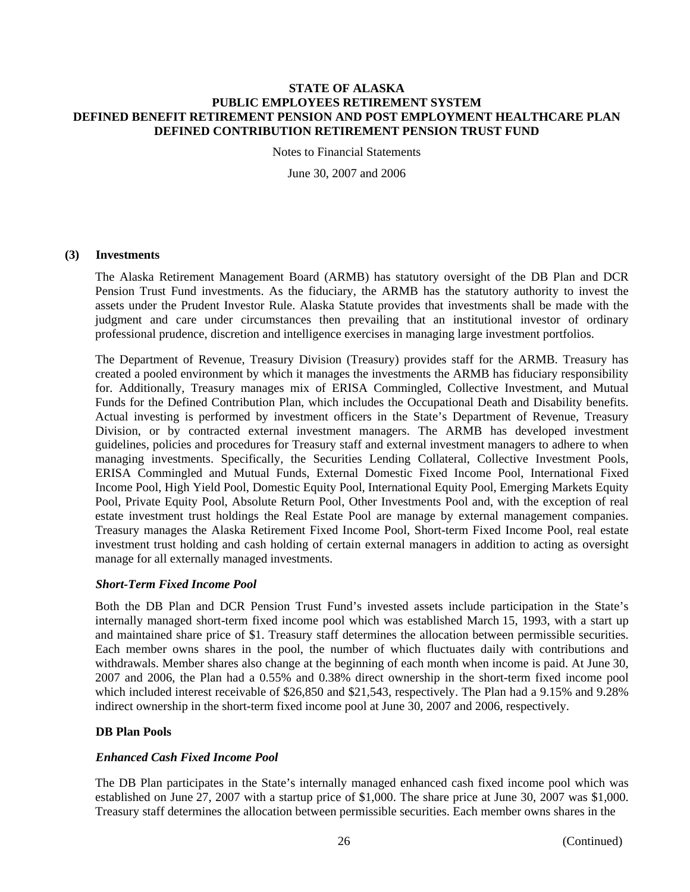Notes to Financial Statements

June 30, 2007 and 2006

## **(3) Investments**

The Alaska Retirement Management Board (ARMB) has statutory oversight of the DB Plan and DCR Pension Trust Fund investments. As the fiduciary, the ARMB has the statutory authority to invest the assets under the Prudent Investor Rule. Alaska Statute provides that investments shall be made with the judgment and care under circumstances then prevailing that an institutional investor of ordinary professional prudence, discretion and intelligence exercises in managing large investment portfolios.

The Department of Revenue, Treasury Division (Treasury) provides staff for the ARMB. Treasury has created a pooled environment by which it manages the investments the ARMB has fiduciary responsibility for. Additionally, Treasury manages mix of ERISA Commingled, Collective Investment, and Mutual Funds for the Defined Contribution Plan, which includes the Occupational Death and Disability benefits. Actual investing is performed by investment officers in the State's Department of Revenue, Treasury Division, or by contracted external investment managers. The ARMB has developed investment guidelines, policies and procedures for Treasury staff and external investment managers to adhere to when managing investments. Specifically, the Securities Lending Collateral, Collective Investment Pools, ERISA Commingled and Mutual Funds, External Domestic Fixed Income Pool, International Fixed Income Pool, High Yield Pool, Domestic Equity Pool, International Equity Pool, Emerging Markets Equity Pool, Private Equity Pool, Absolute Return Pool, Other Investments Pool and, with the exception of real estate investment trust holdings the Real Estate Pool are manage by external management companies. Treasury manages the Alaska Retirement Fixed Income Pool, Short-term Fixed Income Pool, real estate investment trust holding and cash holding of certain external managers in addition to acting as oversight manage for all externally managed investments.

## *Short-Term Fixed Income Pool*

Both the DB Plan and DCR Pension Trust Fund's invested assets include participation in the State's internally managed short-term fixed income pool which was established March 15, 1993, with a start up and maintained share price of \$1. Treasury staff determines the allocation between permissible securities. Each member owns shares in the pool, the number of which fluctuates daily with contributions and withdrawals. Member shares also change at the beginning of each month when income is paid. At June 30, 2007 and 2006, the Plan had a 0.55% and 0.38% direct ownership in the short-term fixed income pool which included interest receivable of \$26,850 and \$21,543, respectively. The Plan had a 9.15% and 9.28% indirect ownership in the short-term fixed income pool at June 30, 2007 and 2006, respectively.

## **DB Plan Pools**

# *Enhanced Cash Fixed Income Pool*

The DB Plan participates in the State's internally managed enhanced cash fixed income pool which was established on June 27, 2007 with a startup price of \$1,000. The share price at June 30, 2007 was \$1,000. Treasury staff determines the allocation between permissible securities. Each member owns shares in the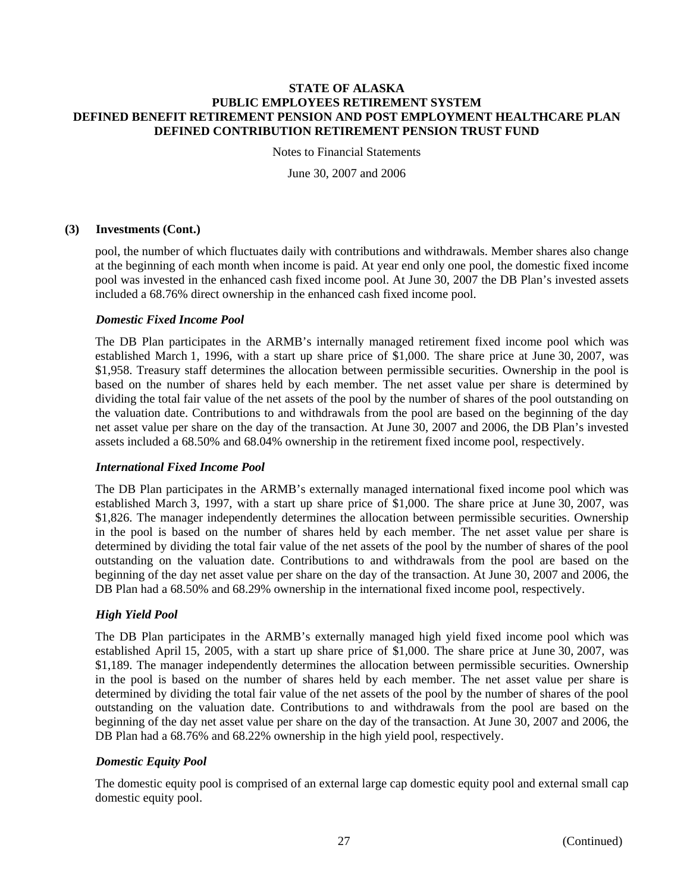Notes to Financial Statements

June 30, 2007 and 2006

# **(3) Investments (Cont.)**

pool, the number of which fluctuates daily with contributions and withdrawals. Member shares also change at the beginning of each month when income is paid. At year end only one pool, the domestic fixed income pool was invested in the enhanced cash fixed income pool. At June 30, 2007 the DB Plan's invested assets included a 68.76% direct ownership in the enhanced cash fixed income pool.

# *Domestic Fixed Income Pool*

The DB Plan participates in the ARMB's internally managed retirement fixed income pool which was established March 1, 1996, with a start up share price of \$1,000. The share price at June 30, 2007, was \$1,958. Treasury staff determines the allocation between permissible securities. Ownership in the pool is based on the number of shares held by each member. The net asset value per share is determined by dividing the total fair value of the net assets of the pool by the number of shares of the pool outstanding on the valuation date. Contributions to and withdrawals from the pool are based on the beginning of the day net asset value per share on the day of the transaction. At June 30, 2007 and 2006, the DB Plan's invested assets included a 68.50% and 68.04% ownership in the retirement fixed income pool, respectively.

## *International Fixed Income Pool*

The DB Plan participates in the ARMB's externally managed international fixed income pool which was established March 3, 1997, with a start up share price of \$1,000. The share price at June 30, 2007, was \$1,826. The manager independently determines the allocation between permissible securities. Ownership in the pool is based on the number of shares held by each member. The net asset value per share is determined by dividing the total fair value of the net assets of the pool by the number of shares of the pool outstanding on the valuation date. Contributions to and withdrawals from the pool are based on the beginning of the day net asset value per share on the day of the transaction. At June 30, 2007 and 2006, the DB Plan had a 68.50% and 68.29% ownership in the international fixed income pool, respectively.

# *High Yield Pool*

The DB Plan participates in the ARMB's externally managed high yield fixed income pool which was established April 15, 2005, with a start up share price of \$1,000. The share price at June 30, 2007, was \$1,189. The manager independently determines the allocation between permissible securities. Ownership in the pool is based on the number of shares held by each member. The net asset value per share is determined by dividing the total fair value of the net assets of the pool by the number of shares of the pool outstanding on the valuation date. Contributions to and withdrawals from the pool are based on the beginning of the day net asset value per share on the day of the transaction. At June 30, 2007 and 2006, the DB Plan had a  $68.76\%$  and  $68.22\%$  ownership in the high yield pool, respectively.

# *Domestic Equity Pool*

The domestic equity pool is comprised of an external large cap domestic equity pool and external small cap domestic equity pool.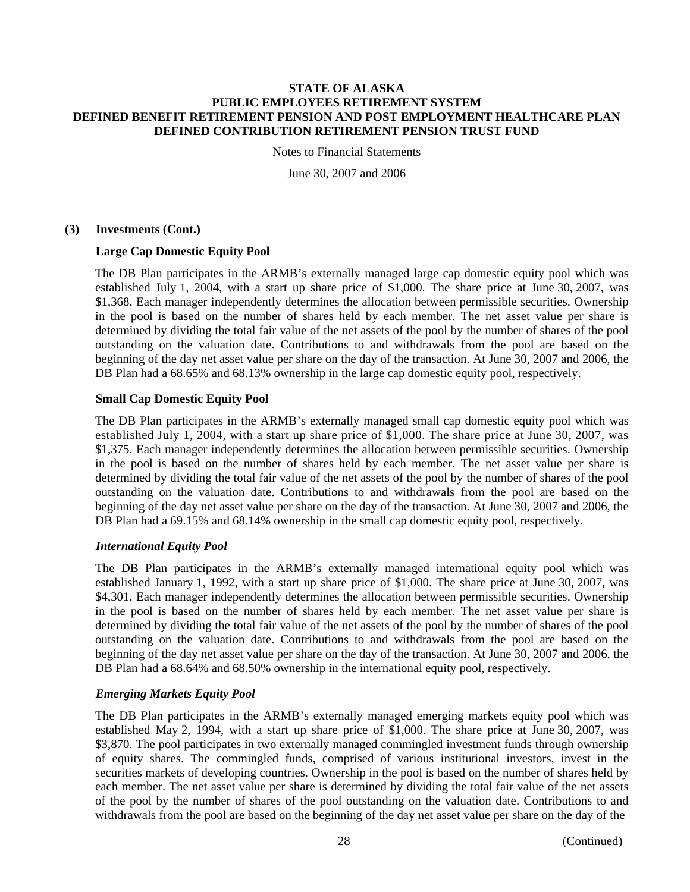Notes to Financial Statements

June 30, 2007 and 2006

# **(3) Investments (Cont.)**

# **Large Cap Domestic Equity Pool**

The DB Plan participates in the ARMB's externally managed large cap domestic equity pool which was established July 1, 2004, with a start up share price of \$1,000. The share price at June 30, 2007, was \$1,368. Each manager independently determines the allocation between permissible securities. Ownership in the pool is based on the number of shares held by each member. The net asset value per share is determined by dividing the total fair value of the net assets of the pool by the number of shares of the pool outstanding on the valuation date. Contributions to and withdrawals from the pool are based on the beginning of the day net asset value per share on the day of the transaction. At June 30, 2007 and 2006, the DB Plan had a  $68.65\%$  and  $68.13\%$  ownership in the large cap domestic equity pool, respectively.

# **Small Cap Domestic Equity Pool**

The DB Plan participates in the ARMB's externally managed small cap domestic equity pool which was established July 1, 2004, with a start up share price of \$1,000. The share price at June 30, 2007, was \$1,375. Each manager independently determines the allocation between permissible securities. Ownership in the pool is based on the number of shares held by each member. The net asset value per share is determined by dividing the total fair value of the net assets of the pool by the number of shares of the pool outstanding on the valuation date. Contributions to and withdrawals from the pool are based on the beginning of the day net asset value per share on the day of the transaction. At June 30, 2007 and 2006, the DB Plan had a 69.15% and 68.14% ownership in the small cap domestic equity pool, respectively.

# *International Equity Pool*

The DB Plan participates in the ARMB's externally managed international equity pool which was established January 1, 1992, with a start up share price of \$1,000. The share price at June 30, 2007, was \$4,301. Each manager independently determines the allocation between permissible securities. Ownership in the pool is based on the number of shares held by each member. The net asset value per share is determined by dividing the total fair value of the net assets of the pool by the number of shares of the pool outstanding on the valuation date. Contributions to and withdrawals from the pool are based on the beginning of the day net asset value per share on the day of the transaction. At June 30, 2007 and 2006, the DB Plan had a 68.64% and 68.50% ownership in the international equity pool, respectively.

# *Emerging Markets Equity Pool*

The DB Plan participates in the ARMB's externally managed emerging markets equity pool which was established May 2, 1994, with a start up share price of \$1,000. The share price at June 30, 2007, was \$3,870. The pool participates in two externally managed commingled investment funds through ownership of equity shares. The commingled funds, comprised of various institutional investors, invest in the securities markets of developing countries. Ownership in the pool is based on the number of shares held by each member. The net asset value per share is determined by dividing the total fair value of the net assets of the pool by the number of shares of the pool outstanding on the valuation date. Contributions to and withdrawals from the pool are based on the beginning of the day net asset value per share on the day of the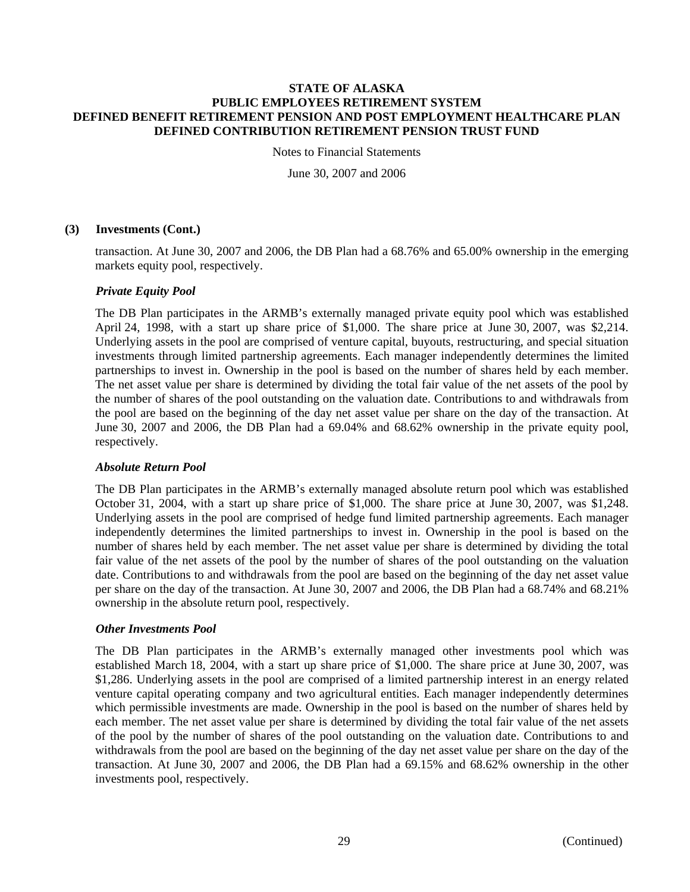Notes to Financial Statements

June 30, 2007 and 2006

# **(3) Investments (Cont.)**

transaction. At June 30, 2007 and 2006, the DB Plan had a 68.76% and 65.00% ownership in the emerging markets equity pool, respectively.

# *Private Equity Pool*

The DB Plan participates in the ARMB's externally managed private equity pool which was established April 24, 1998, with a start up share price of \$1,000. The share price at June 30, 2007, was \$2,214. Underlying assets in the pool are comprised of venture capital, buyouts, restructuring, and special situation investments through limited partnership agreements. Each manager independently determines the limited partnerships to invest in. Ownership in the pool is based on the number of shares held by each member. The net asset value per share is determined by dividing the total fair value of the net assets of the pool by the number of shares of the pool outstanding on the valuation date. Contributions to and withdrawals from the pool are based on the beginning of the day net asset value per share on the day of the transaction. At June 30, 2007 and 2006, the DB Plan had a 69.04% and 68.62% ownership in the private equity pool, respectively.

# *Absolute Return Pool*

The DB Plan participates in the ARMB's externally managed absolute return pool which was established October 31, 2004, with a start up share price of \$1,000. The share price at June 30, 2007, was \$1,248. Underlying assets in the pool are comprised of hedge fund limited partnership agreements. Each manager independently determines the limited partnerships to invest in. Ownership in the pool is based on the number of shares held by each member. The net asset value per share is determined by dividing the total fair value of the net assets of the pool by the number of shares of the pool outstanding on the valuation date. Contributions to and withdrawals from the pool are based on the beginning of the day net asset value per share on the day of the transaction. At June 30, 2007 and 2006, the DB Plan had a 68.74% and 68.21% ownership in the absolute return pool, respectively.

# *Other Investments Pool*

The DB Plan participates in the ARMB's externally managed other investments pool which was established March 18, 2004, with a start up share price of \$1,000. The share price at June 30, 2007, was \$1,286. Underlying assets in the pool are comprised of a limited partnership interest in an energy related venture capital operating company and two agricultural entities. Each manager independently determines which permissible investments are made. Ownership in the pool is based on the number of shares held by each member. The net asset value per share is determined by dividing the total fair value of the net assets of the pool by the number of shares of the pool outstanding on the valuation date. Contributions to and withdrawals from the pool are based on the beginning of the day net asset value per share on the day of the transaction. At June 30, 2007 and 2006, the DB Plan had a 69.15% and 68.62% ownership in the other investments pool, respectively.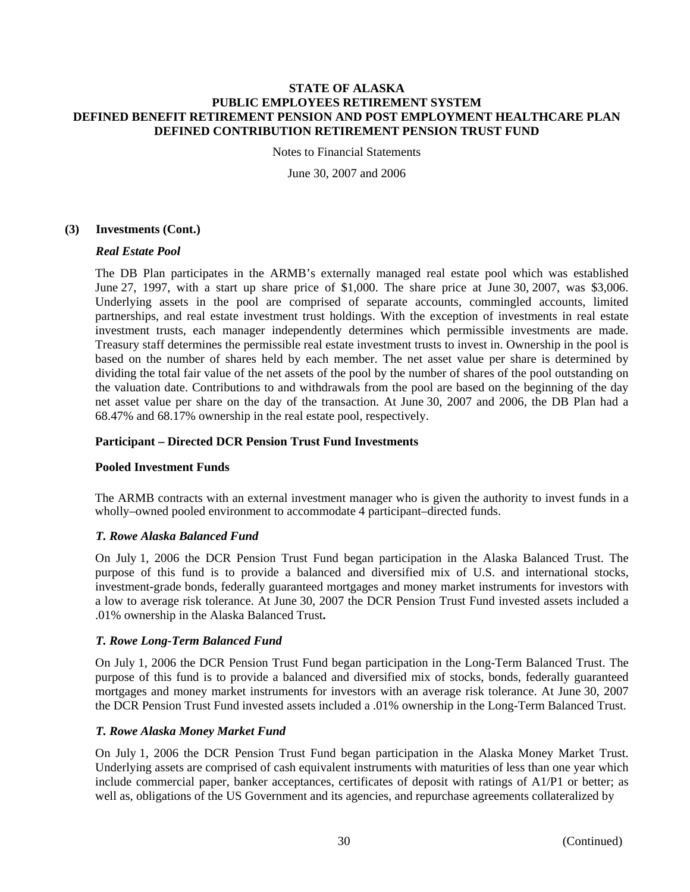Notes to Financial Statements

June 30, 2007 and 2006

# **(3) Investments (Cont.)**

# *Real Estate Pool*

The DB Plan participates in the ARMB's externally managed real estate pool which was established June 27, 1997, with a start up share price of \$1,000. The share price at June 30, 2007, was \$3,006. Underlying assets in the pool are comprised of separate accounts, commingled accounts, limited partnerships, and real estate investment trust holdings. With the exception of investments in real estate investment trusts, each manager independently determines which permissible investments are made. Treasury staff determines the permissible real estate investment trusts to invest in. Ownership in the pool is based on the number of shares held by each member. The net asset value per share is determined by dividing the total fair value of the net assets of the pool by the number of shares of the pool outstanding on the valuation date. Contributions to and withdrawals from the pool are based on the beginning of the day net asset value per share on the day of the transaction. At June 30, 2007 and 2006, the DB Plan had a 68.47% and 68.17% ownership in the real estate pool, respectively.

# **Participant – Directed DCR Pension Trust Fund Investments**

# **Pooled Investment Funds**

The ARMB contracts with an external investment manager who is given the authority to invest funds in a wholly–owned pooled environment to accommodate 4 participant–directed funds.

# *T. Rowe Alaska Balanced Fund*

On July 1, 2006 the DCR Pension Trust Fund began participation in the Alaska Balanced Trust. The purpose of this fund is to provide a balanced and diversified mix of U.S. and international stocks, investment-grade bonds, federally guaranteed mortgages and money market instruments for investors with a low to average risk tolerance. At June 30, 2007 the DCR Pension Trust Fund invested assets included a .01% ownership in the Alaska Balanced Trust**.** 

## *T. Rowe Long-Term Balanced Fund*

On July 1, 2006 the DCR Pension Trust Fund began participation in the Long-Term Balanced Trust. The purpose of this fund is to provide a balanced and diversified mix of stocks, bonds, federally guaranteed mortgages and money market instruments for investors with an average risk tolerance. At June 30, 2007 the DCR Pension Trust Fund invested assets included a .01% ownership in the Long-Term Balanced Trust.

## *T. Rowe Alaska Money Market Fund*

On July 1, 2006 the DCR Pension Trust Fund began participation in the Alaska Money Market Trust. Underlying assets are comprised of cash equivalent instruments with maturities of less than one year which include commercial paper, banker acceptances, certificates of deposit with ratings of A1/P1 or better; as well as, obligations of the US Government and its agencies, and repurchase agreements collateralized by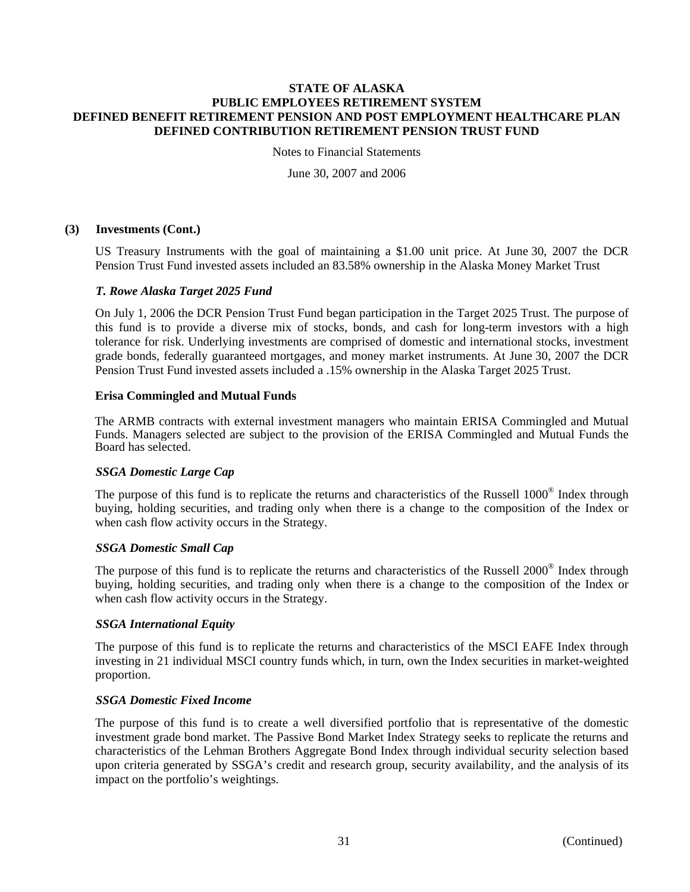Notes to Financial Statements

June 30, 2007 and 2006

# **(3) Investments (Cont.)**

US Treasury Instruments with the goal of maintaining a \$1.00 unit price. At June 30, 2007 the DCR Pension Trust Fund invested assets included an 83.58% ownership in the Alaska Money Market Trust

# *T. Rowe Alaska Target 2025 Fund*

On July 1, 2006 the DCR Pension Trust Fund began participation in the Target 2025 Trust. The purpose of this fund is to provide a diverse mix of stocks, bonds, and cash for long-term investors with a high tolerance for risk. Underlying investments are comprised of domestic and international stocks, investment grade bonds, federally guaranteed mortgages, and money market instruments. At June 30, 2007 the DCR Pension Trust Fund invested assets included a .15% ownership in the Alaska Target 2025 Trust.

# **Erisa Commingled and Mutual Funds**

The ARMB contracts with external investment managers who maintain ERISA Commingled and Mutual Funds. Managers selected are subject to the provision of the ERISA Commingled and Mutual Funds the Board has selected.

## *SSGA Domestic Large Cap*

The purpose of this fund is to replicate the returns and characteristics of the Russell 1000® Index through buying, holding securities, and trading only when there is a change to the composition of the Index or when cash flow activity occurs in the Strategy.

## *SSGA Domestic Small Cap*

The purpose of this fund is to replicate the returns and characteristics of the Russell 2000® Index through buying, holding securities, and trading only when there is a change to the composition of the Index or when cash flow activity occurs in the Strategy.

## *SSGA International Equity*

The purpose of this fund is to replicate the returns and characteristics of the MSCI EAFE Index through investing in 21 individual MSCI country funds which, in turn, own the Index securities in market-weighted proportion.

# *SSGA Domestic Fixed Income*

The purpose of this fund is to create a well diversified portfolio that is representative of the domestic investment grade bond market. The Passive Bond Market Index Strategy seeks to replicate the returns and characteristics of the Lehman Brothers Aggregate Bond Index through individual security selection based upon criteria generated by SSGA's credit and research group, security availability, and the analysis of its impact on the portfolio's weightings.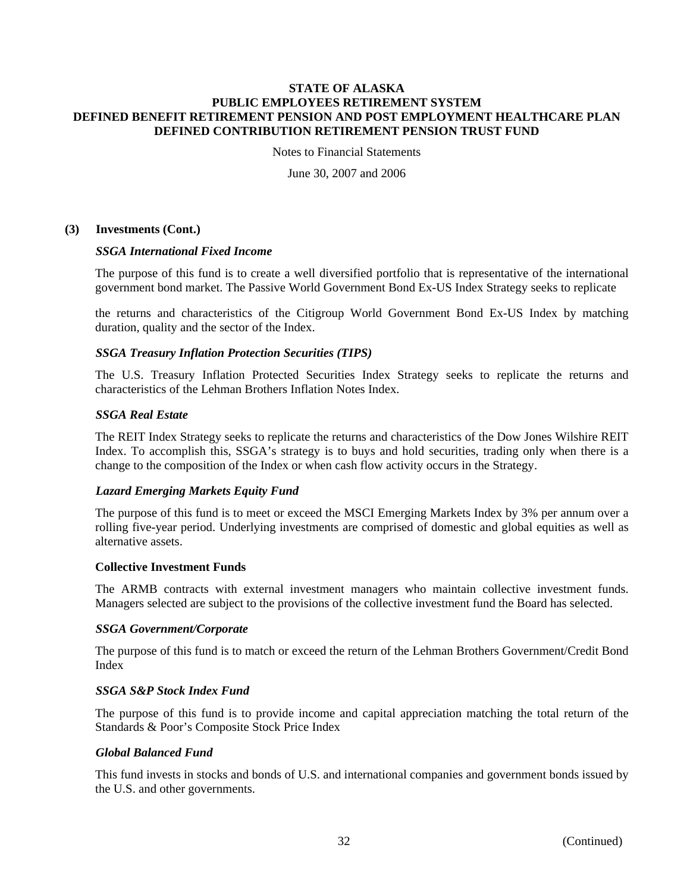Notes to Financial Statements

June 30, 2007 and 2006

# **(3) Investments (Cont.)**

## *SSGA International Fixed Income*

The purpose of this fund is to create a well diversified portfolio that is representative of the international government bond market. The Passive World Government Bond Ex-US Index Strategy seeks to replicate

the returns and characteristics of the Citigroup World Government Bond Ex-US Index by matching duration, quality and the sector of the Index.

# *SSGA Treasury Inflation Protection Securities (TIPS)*

The U.S. Treasury Inflation Protected Securities Index Strategy seeks to replicate the returns and characteristics of the Lehman Brothers Inflation Notes Index.

# *SSGA Real Estate*

The REIT Index Strategy seeks to replicate the returns and characteristics of the Dow Jones Wilshire REIT Index. To accomplish this, SSGA's strategy is to buys and hold securities, trading only when there is a change to the composition of the Index or when cash flow activity occurs in the Strategy.

## *Lazard Emerging Markets Equity Fund*

The purpose of this fund is to meet or exceed the MSCI Emerging Markets Index by 3% per annum over a rolling five-year period. Underlying investments are comprised of domestic and global equities as well as alternative assets.

## **Collective Investment Funds**

The ARMB contracts with external investment managers who maintain collective investment funds. Managers selected are subject to the provisions of the collective investment fund the Board has selected.

## *SSGA Government/Corporate*

The purpose of this fund is to match or exceed the return of the Lehman Brothers Government/Credit Bond Index

## *SSGA S&P Stock Index Fund*

The purpose of this fund is to provide income and capital appreciation matching the total return of the Standards & Poor's Composite Stock Price Index

## *Global Balanced Fund*

This fund invests in stocks and bonds of U.S. and international companies and government bonds issued by the U.S. and other governments.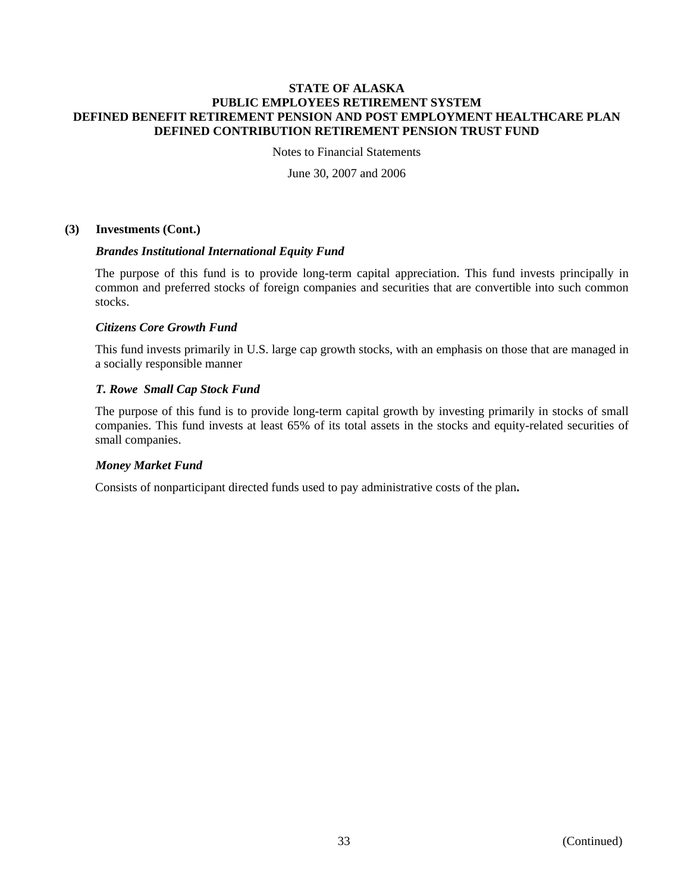Notes to Financial Statements

June 30, 2007 and 2006

# **(3) Investments (Cont.)**

## *Brandes Institutional International Equity Fund*

The purpose of this fund is to provide long-term capital appreciation. This fund invests principally in common and preferred stocks of foreign companies and securities that are convertible into such common stocks.

# *Citizens Core Growth Fund*

This fund invests primarily in U.S. large cap growth stocks, with an emphasis on those that are managed in a socially responsible manner

# *T. Rowe Small Cap Stock Fund*

The purpose of this fund is to provide long-term capital growth by investing primarily in stocks of small companies. This fund invests at least 65% of its total assets in the stocks and equity-related securities of small companies.

## *Money Market Fund*

Consists of nonparticipant directed funds used to pay administrative costs of the plan**.**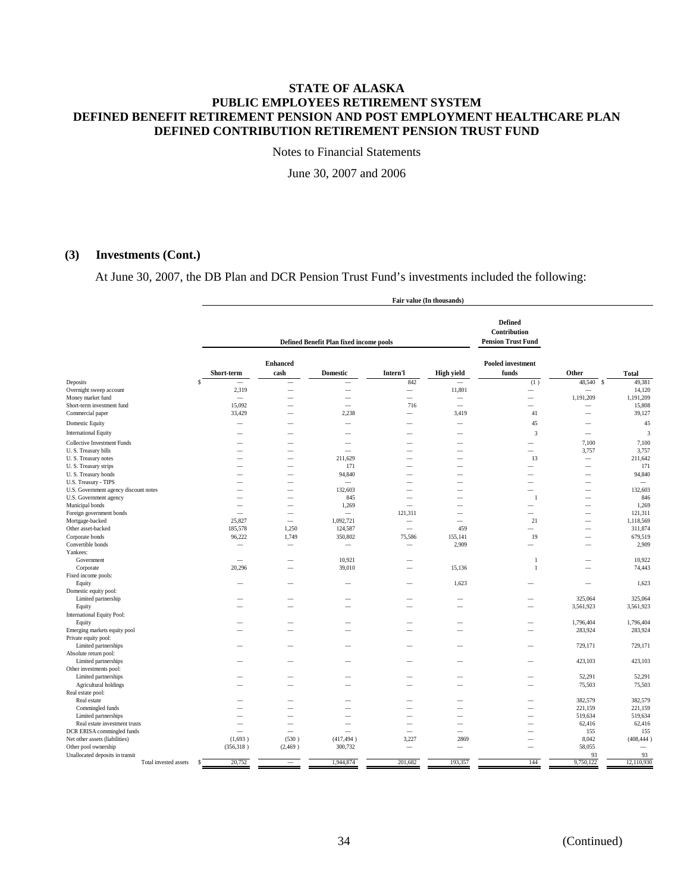Notes to Financial Statements

June 30, 2007 and 2006

# **(3) Investments (Cont.)**

At June 30, 2007, the DB Plan and DCR Pension Trust Fund's investments included the following:

|                                       |                          | Fair value (In thousands) |                                         |                          |                          |                                                             |                          |                          |
|---------------------------------------|--------------------------|---------------------------|-----------------------------------------|--------------------------|--------------------------|-------------------------------------------------------------|--------------------------|--------------------------|
|                                       |                          |                           | Defined Benefit Plan fixed income pools |                          |                          | <b>Defined</b><br>Contribution<br><b>Pension Trust Fund</b> |                          |                          |
|                                       | Short-term               | <b>Enhanced</b><br>cash   | <b>Domestic</b>                         | Intern'l                 | <b>High yield</b>        | <b>Pooled investment</b><br>funds                           | Other                    | <b>Total</b>             |
| Deposits                              | s                        | -                         | $\overline{\phantom{a}}$                | 842                      | $\overline{\phantom{0}}$ | (1)                                                         | 48,540<br>-S             | 49,381                   |
| Overnight sweep account               | 2,319                    | $\overline{\phantom{0}}$  | $\overline{\phantom{0}}$                | $\overline{\phantom{m}}$ | 11,801                   | $\overline{\phantom{0}}$                                    |                          | 14,120                   |
| Money market fund                     | $\sim$                   | -                         | $\overline{\phantom{a}}$                | $\overline{\phantom{a}}$ | -                        | $\overline{\phantom{0}}$                                    | 1,191,209                | 1,191,209                |
| Short-term investment fund            | 15,092                   |                           | $\overline{\phantom{a}}$                | 716                      | $\overline{\phantom{a}}$ | -                                                           | $\overline{\phantom{a}}$ | 15,808                   |
| Commercial paper                      | 33,429                   |                           | 2,238                                   | $\overline{\phantom{a}}$ | 3,419                    | $41\,$                                                      | -                        | 39,127                   |
| <b>Domestic Equity</b>                |                          |                           | $\overline{\phantom{a}}$                |                          | $\overline{\phantom{0}}$ | 45                                                          |                          | 45                       |
| <b>International Equity</b>           |                          |                           |                                         |                          |                          | 3                                                           |                          | $\overline{3}$           |
| <b>Collective Investment Funds</b>    |                          |                           |                                         |                          |                          | -                                                           | 7,100                    | 7,100                    |
| U.S. Treasury bills                   |                          |                           |                                         |                          | -                        | $\overline{\phantom{0}}$                                    | 3,757                    | 3,757                    |
| U.S. Treasury notes                   |                          |                           | 211,629                                 |                          |                          | 13                                                          | $\overline{\phantom{0}}$ | 211,642                  |
| U.S. Treasury strips                  |                          |                           | 171                                     |                          | -                        | -                                                           | $\overline{\phantom{0}}$ | 171                      |
| U.S. Treasury bonds                   |                          |                           | 94,840                                  |                          | -                        |                                                             |                          | 94,840                   |
| U.S. Treasury - TIPS                  |                          | -                         | $\equiv$                                |                          | -                        | -                                                           | $\overline{\phantom{a}}$ | $\overline{\phantom{0}}$ |
| U.S. Government agency discount notes |                          |                           | 132,603                                 |                          |                          |                                                             |                          | 132,603                  |
| U.S. Government agency                |                          | -                         | 845                                     | $\overline{\phantom{a}}$ | $\overline{\phantom{0}}$ | $\mathbf{1}$                                                | $\overline{\phantom{0}}$ | 846                      |
| Municipal bonds                       | $\overline{\phantom{a}}$ | $\overline{\phantom{0}}$  | 1,269                                   | $\overline{\phantom{a}}$ | $\overline{\phantom{0}}$ | -                                                           | $\overline{\phantom{0}}$ | 1,269                    |
| Foreign government bonds              | $\overline{\phantom{a}}$ | -                         | $\equiv$                                | 121,311                  | -                        | $\overline{\phantom{a}}$                                    |                          | 121,311                  |
| Mortgage-backed                       | 25,827                   | $\overline{\phantom{0}}$  | 1,092,721                               | -                        | $\overline{\phantom{a}}$ | 21                                                          | -                        | 1,118,569                |
| Other asset-backed                    | 185,578                  | 1,250                     | 124,587                                 | $\overline{\phantom{a}}$ | 459                      | -                                                           |                          | 311,874                  |
| Corporate bonds                       | 96,222                   | 1,749                     | 350,802                                 | 75,586                   | 155,141                  | 19                                                          | $\overline{\phantom{a}}$ | 679,519                  |
| Convertible bonds                     | -                        | $\overline{\phantom{0}}$  | $\overline{\phantom{m}}$                |                          | 2,909                    | $\overline{\phantom{0}}$                                    | -                        | 2,909                    |
| Yankees:                              |                          |                           |                                         |                          |                          |                                                             |                          |                          |
| Government                            |                          |                           | 10,921                                  |                          |                          | $\mathbf{1}$                                                |                          | 10,922                   |
| Corporate                             | 20,296                   |                           | 39,010                                  |                          | 15,136                   | $\overline{1}$                                              |                          | 74,443                   |
| Fixed income pools:                   |                          |                           |                                         |                          |                          |                                                             |                          |                          |
| Equity                                |                          |                           |                                         |                          | 1,623                    |                                                             | $\overline{\phantom{0}}$ | 1,623                    |
| Domestic equity pool:                 |                          |                           |                                         |                          |                          |                                                             |                          |                          |
| Limited partnership                   |                          |                           | $\overline{\phantom{a}}$                |                          | -                        | -                                                           | 325,064                  | 325,064                  |
| Equity                                |                          |                           | $\overline{\phantom{a}}$                |                          | -                        | -                                                           | 3,561,923                | 3,561,923                |
| International Equity Pool:            |                          |                           |                                         |                          |                          |                                                             |                          |                          |
| Equity                                |                          |                           |                                         |                          |                          |                                                             | 1,796,404                | 1,796,404                |
| Emerging markets equity pool          |                          |                           | -                                       |                          | -                        | -                                                           | 283,924                  | 283,924                  |
| Private equity pool:                  |                          |                           |                                         |                          |                          |                                                             |                          |                          |
| Limited partnerships                  |                          |                           |                                         |                          |                          |                                                             | 729,171                  | 729,171                  |
| Absolute return pool:                 |                          |                           |                                         |                          |                          |                                                             |                          |                          |
| Limited partnerships                  |                          |                           |                                         |                          |                          |                                                             | 423,103                  | 423,103                  |
| Other investments pool:               |                          |                           |                                         |                          |                          |                                                             |                          |                          |
| Limited partnerships                  |                          |                           |                                         |                          |                          |                                                             | 52,291                   | 52,291                   |
| Agricultural holdings                 |                          |                           |                                         |                          |                          |                                                             | 75,503                   | 75,503                   |
| Real estate pool:                     |                          |                           |                                         |                          |                          |                                                             |                          |                          |
| Real estate                           |                          |                           |                                         |                          |                          |                                                             | 382,579                  | 382,579                  |
| Commingled funds                      |                          |                           | -                                       |                          | $\overline{\phantom{0}}$ | $\overline{\phantom{0}}$                                    | 221,159                  | 221,159                  |
| Limited partnerships                  | -                        |                           | -                                       | $\overline{\phantom{a}}$ | $\overline{\phantom{0}}$ | -                                                           | 519,634                  | 519,634                  |
| Real estate investment trusts         | $\overline{\phantom{a}}$ | $\overline{\phantom{0}}$  | $\overline{\phantom{a}}$                | $\overline{\phantom{a}}$ | -                        | -                                                           | 62,416                   | 62,416                   |
| DCR ERISA commingled funds            | $\overline{\phantom{a}}$ | -                         | $\equiv$                                | $\overline{\phantom{a}}$ | $\overline{\phantom{0}}$ | -                                                           | 155                      | 155                      |
| Net other assets (liabilities)        | (1,693)                  | (530)                     | (417, 494)                              | 3,227                    | 2869                     | -                                                           | 8,042                    | (408, 444)               |
| Other pool ownership                  | (356, 318)               | (2,469)                   | 300,732                                 |                          | $\overline{\phantom{0}}$ | $\overline{\phantom{0}}$                                    | 58,055                   |                          |
| Unallocated deposits in transit       |                          |                           |                                         |                          |                          |                                                             | 93                       | 93                       |
| Total invested assets                 | 20,752<br>S              | $\overline{\phantom{a}}$  | 1,944,874                               | 201,682                  | 193,357                  | 144                                                         | 9,750,122                | 12,110,930               |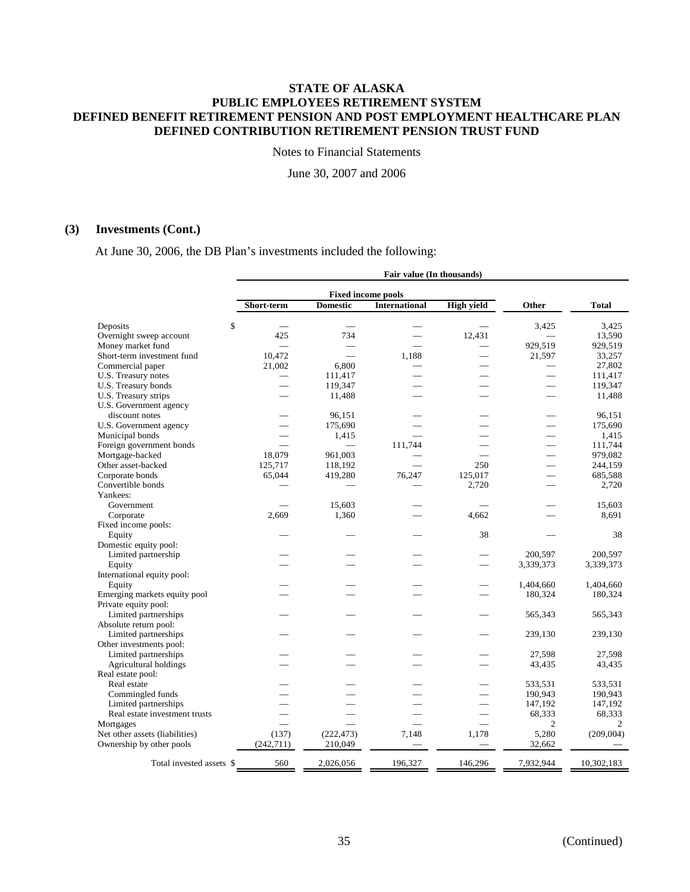Notes to Financial Statements

June 30, 2007 and 2006

# **(3) Investments (Cont.)**

At June 30, 2006, the DB Plan's investments included the following:

|                                |                          |                 | Fair value (In thousands) |                   |                          |              |
|--------------------------------|--------------------------|-----------------|---------------------------|-------------------|--------------------------|--------------|
|                                |                          |                 | <b>Fixed income pools</b> |                   |                          |              |
|                                | Short-term               | <b>Domestic</b> | <b>International</b>      | <b>High yield</b> | Other                    | <b>Total</b> |
| Deposits                       | \$                       |                 |                           |                   | 3,425                    | 3,425        |
| Overnight sweep account        | 425                      | 734             |                           | 12,431            |                          | 13,590       |
| Money market fund              |                          |                 |                           |                   | 929,519                  | 929,519      |
| Short-term investment fund     | 10,472                   |                 | 1.188                     |                   | 21,597                   | 33,257       |
| Commercial paper               | 21,002                   | 6,800           |                           |                   |                          | 27,802       |
| U.S. Treasury notes            | $\overline{\phantom{0}}$ | 111,417         |                           |                   | $\overline{\phantom{0}}$ | 111,417      |
| U.S. Treasury bonds            | $\sim$                   | 119,347         |                           |                   | $\overline{\phantom{0}}$ | 119,347      |
| U.S. Treasury strips           |                          | 11,488          |                           |                   | $\overline{\phantom{0}}$ | 11,488       |
| U.S. Government agency         |                          |                 |                           |                   |                          |              |
| discount notes                 |                          | 96,151          |                           |                   |                          | 96,151       |
|                                |                          |                 |                           |                   |                          |              |
| U.S. Government agency         |                          | 175,690         |                           |                   |                          | 175,690      |
| Municipal bonds                |                          | 1,415           |                           |                   |                          | 1,415        |
| Foreign government bonds       |                          |                 | 111,744                   |                   |                          | 111,744      |
| Mortgage-backed                | 18,079                   | 961,003         |                           |                   |                          | 979,082      |
| Other asset-backed             | 125,717                  | 118,192         |                           | 250               |                          | 244,159      |
| Corporate bonds                | 65,044                   | 419,280         | 76,247                    | 125,017           |                          | 685,588      |
| Convertible bonds              |                          |                 |                           | 2,720             |                          | 2,720        |
| Yankees:                       |                          |                 |                           |                   |                          |              |
| Government                     |                          | 15,603          |                           |                   |                          | 15,603       |
| Corporate                      | 2,669                    | 1,360           |                           | 4,662             |                          | 8.691        |
| Fixed income pools:            |                          |                 |                           |                   |                          |              |
| Equity                         |                          |                 |                           | 38                |                          | 38           |
| Domestic equity pool:          |                          |                 |                           |                   |                          |              |
| Limited partnership            |                          |                 |                           |                   | 200.597                  | 200.597      |
| Equity                         |                          |                 |                           |                   | 3,339,373                | 3,339,373    |
| International equity pool:     |                          |                 |                           |                   |                          |              |
| Equity                         |                          |                 |                           |                   | 1,404,660                | 1,404,660    |
| Emerging markets equity pool   |                          |                 |                           |                   | 180,324                  | 180,324      |
| Private equity pool:           |                          |                 |                           |                   |                          |              |
| Limited partnerships           |                          |                 |                           |                   | 565,343                  | 565,343      |
| Absolute return pool:          |                          |                 |                           |                   |                          |              |
| Limited partnerships           |                          |                 |                           |                   | 239,130                  | 239,130      |
| Other investments pool:        |                          |                 |                           |                   |                          |              |
| Limited partnerships           |                          |                 |                           |                   | 27,598                   | 27,598       |
| Agricultural holdings          |                          |                 |                           |                   | 43,435                   | 43,435       |
| Real estate pool:              |                          |                 |                           |                   |                          |              |
| Real estate                    |                          |                 |                           |                   | 533,531                  | 533,531      |
|                                |                          |                 |                           |                   | 190,943                  | 190,943      |
| Commingled funds               |                          |                 |                           |                   |                          |              |
| Limited partnerships           |                          |                 |                           |                   | 147,192                  | 147,192      |
| Real estate investment trusts  |                          |                 |                           |                   | 68,333                   | 68,333       |
| Mortgages                      |                          |                 |                           |                   | 2                        | 2            |
| Net other assets (liabilities) | (137)                    | (222, 473)      | 7,148                     | 1,178             | 5,280                    | (209, 004)   |
| Ownership by other pools       | (242, 711)               | 210,049         |                           |                   | 32,662                   |              |
| Total invested assets \$       | 560                      | 2,026,056       | 196,327                   | 146,296           | 7,932,944                | 10,302,183   |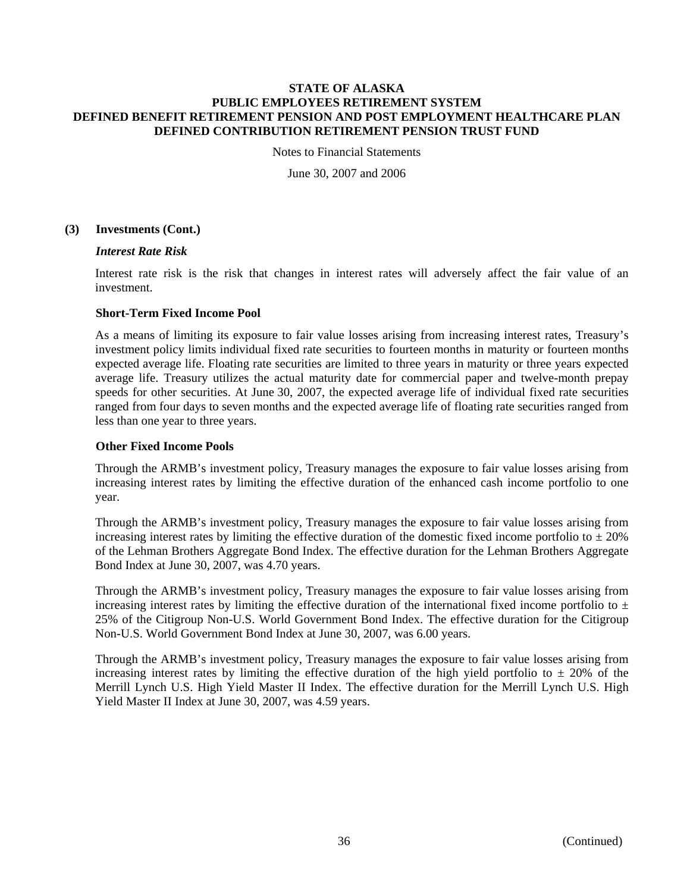Notes to Financial Statements

June 30, 2007 and 2006

# **(3) Investments (Cont.)**

## *Interest Rate Risk*

Interest rate risk is the risk that changes in interest rates will adversely affect the fair value of an investment.

## **Short-Term Fixed Income Pool**

As a means of limiting its exposure to fair value losses arising from increasing interest rates, Treasury's investment policy limits individual fixed rate securities to fourteen months in maturity or fourteen months expected average life. Floating rate securities are limited to three years in maturity or three years expected average life. Treasury utilizes the actual maturity date for commercial paper and twelve-month prepay speeds for other securities. At June 30, 2007, the expected average life of individual fixed rate securities ranged from four days to seven months and the expected average life of floating rate securities ranged from less than one year to three years.

## **Other Fixed Income Pools**

Through the ARMB's investment policy, Treasury manages the exposure to fair value losses arising from increasing interest rates by limiting the effective duration of the enhanced cash income portfolio to one year.

Through the ARMB's investment policy, Treasury manages the exposure to fair value losses arising from increasing interest rates by limiting the effective duration of the domestic fixed income portfolio to  $\pm 20\%$ of the Lehman Brothers Aggregate Bond Index. The effective duration for the Lehman Brothers Aggregate Bond Index at June 30, 2007, was 4.70 years.

Through the ARMB's investment policy, Treasury manages the exposure to fair value losses arising from increasing interest rates by limiting the effective duration of the international fixed income portfolio to  $\pm$ 25% of the Citigroup Non-U.S. World Government Bond Index. The effective duration for the Citigroup Non-U.S. World Government Bond Index at June 30, 2007, was 6.00 years.

Through the ARMB's investment policy, Treasury manages the exposure to fair value losses arising from increasing interest rates by limiting the effective duration of the high yield portfolio to  $\pm$  20% of the Merrill Lynch U.S. High Yield Master II Index. The effective duration for the Merrill Lynch U.S. High Yield Master II Index at June 30, 2007, was 4.59 years.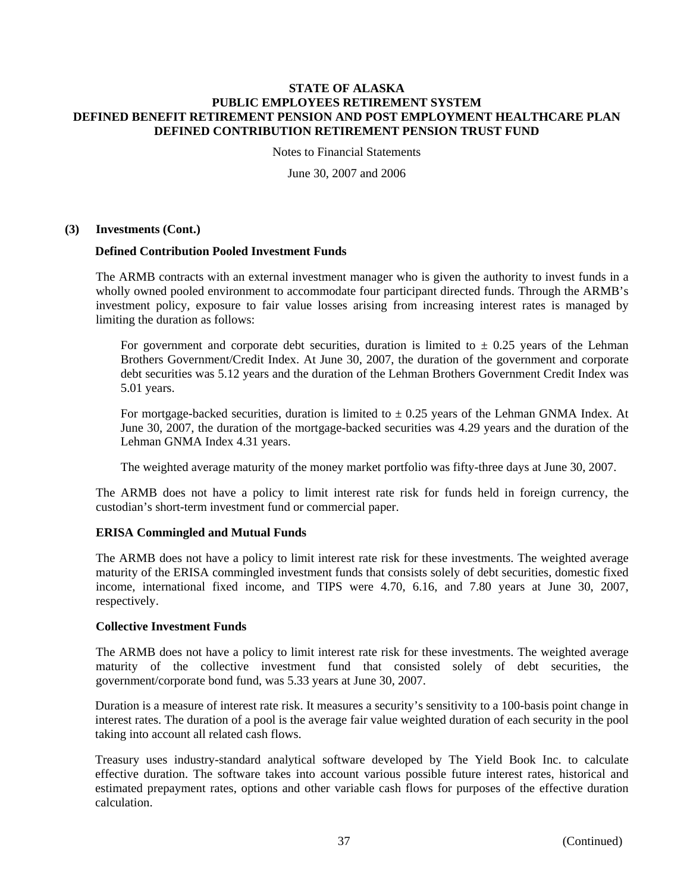Notes to Financial Statements

June 30, 2007 and 2006

# **(3) Investments (Cont.)**

## **Defined Contribution Pooled Investment Funds**

The ARMB contracts with an external investment manager who is given the authority to invest funds in a wholly owned pooled environment to accommodate four participant directed funds. Through the ARMB's investment policy, exposure to fair value losses arising from increasing interest rates is managed by limiting the duration as follows:

For government and corporate debt securities, duration is limited to  $\pm$  0.25 years of the Lehman Brothers Government/Credit Index. At June 30, 2007, the duration of the government and corporate debt securities was 5.12 years and the duration of the Lehman Brothers Government Credit Index was 5.01 years.

For mortgage-backed securities, duration is limited to  $\pm$  0.25 years of the Lehman GNMA Index. At June 30, 2007, the duration of the mortgage-backed securities was 4.29 years and the duration of the Lehman GNMA Index 4.31 years.

The weighted average maturity of the money market portfolio was fifty-three days at June 30, 2007.

The ARMB does not have a policy to limit interest rate risk for funds held in foreign currency, the custodian's short-term investment fund or commercial paper.

# **ERISA Commingled and Mutual Funds**

The ARMB does not have a policy to limit interest rate risk for these investments. The weighted average maturity of the ERISA commingled investment funds that consists solely of debt securities, domestic fixed income, international fixed income, and TIPS were 4.70, 6.16, and 7.80 years at June 30, 2007, respectively.

## **Collective Investment Funds**

The ARMB does not have a policy to limit interest rate risk for these investments. The weighted average maturity of the collective investment fund that consisted solely of debt securities, the government/corporate bond fund, was 5.33 years at June 30, 2007.

Duration is a measure of interest rate risk. It measures a security's sensitivity to a 100-basis point change in interest rates. The duration of a pool is the average fair value weighted duration of each security in the pool taking into account all related cash flows.

Treasury uses industry-standard analytical software developed by The Yield Book Inc. to calculate effective duration. The software takes into account various possible future interest rates, historical and estimated prepayment rates, options and other variable cash flows for purposes of the effective duration calculation.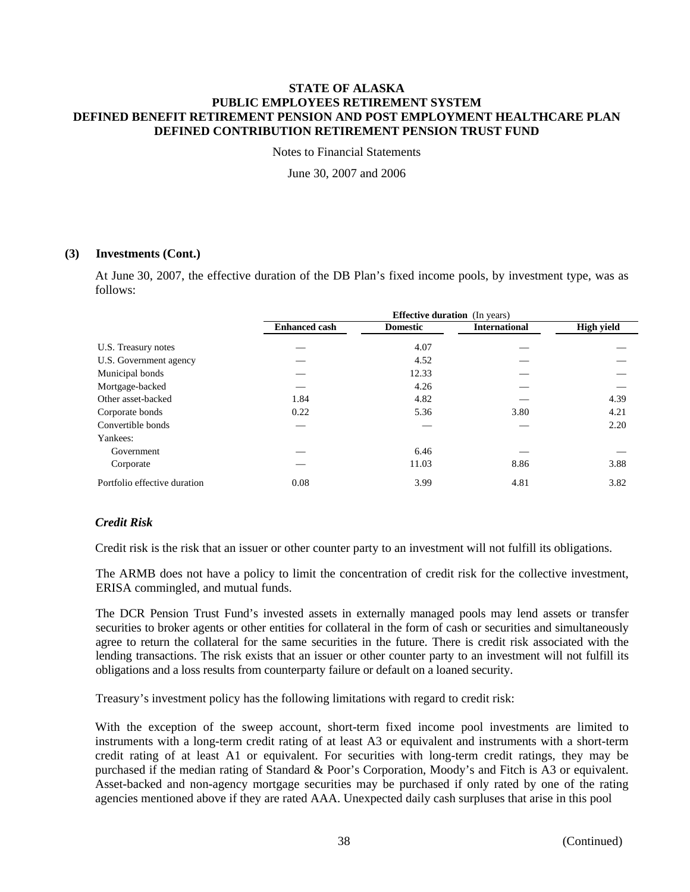Notes to Financial Statements

June 30, 2007 and 2006

# **(3) Investments (Cont.)**

At June 30, 2007, the effective duration of the DB Plan's fixed income pools, by investment type, was as follows:

|                              | <b>Effective duration</b> (In years) |                 |                      |                   |  |  |
|------------------------------|--------------------------------------|-----------------|----------------------|-------------------|--|--|
|                              | <b>Enhanced cash</b>                 | <b>Domestic</b> | <b>International</b> | <b>High yield</b> |  |  |
| U.S. Treasury notes          |                                      | 4.07            |                      |                   |  |  |
| U.S. Government agency       |                                      | 4.52            |                      |                   |  |  |
| Municipal bonds              |                                      | 12.33           |                      |                   |  |  |
| Mortgage-backed              |                                      | 4.26            |                      |                   |  |  |
| Other asset-backed           | 1.84                                 | 4.82            |                      | 4.39              |  |  |
| Corporate bonds              | 0.22                                 | 5.36            | 3.80                 | 4.21              |  |  |
| Convertible bonds            |                                      |                 |                      | 2.20              |  |  |
| Yankees:                     |                                      |                 |                      |                   |  |  |
| Government                   |                                      | 6.46            |                      |                   |  |  |
| Corporate                    |                                      | 11.03           | 8.86                 | 3.88              |  |  |
| Portfolio effective duration | 0.08                                 | 3.99            | 4.81                 | 3.82              |  |  |

# *Credit Risk*

Credit risk is the risk that an issuer or other counter party to an investment will not fulfill its obligations.

The ARMB does not have a policy to limit the concentration of credit risk for the collective investment, ERISA commingled, and mutual funds.

The DCR Pension Trust Fund's invested assets in externally managed pools may lend assets or transfer securities to broker agents or other entities for collateral in the form of cash or securities and simultaneously agree to return the collateral for the same securities in the future. There is credit risk associated with the lending transactions. The risk exists that an issuer or other counter party to an investment will not fulfill its obligations and a loss results from counterparty failure or default on a loaned security.

Treasury's investment policy has the following limitations with regard to credit risk:

With the exception of the sweep account, short-term fixed income pool investments are limited to instruments with a long-term credit rating of at least A3 or equivalent and instruments with a short-term credit rating of at least A1 or equivalent. For securities with long-term credit ratings, they may be purchased if the median rating of Standard & Poor's Corporation, Moody's and Fitch is A3 or equivalent. Asset-backed and non-agency mortgage securities may be purchased if only rated by one of the rating agencies mentioned above if they are rated AAA. Unexpected daily cash surpluses that arise in this pool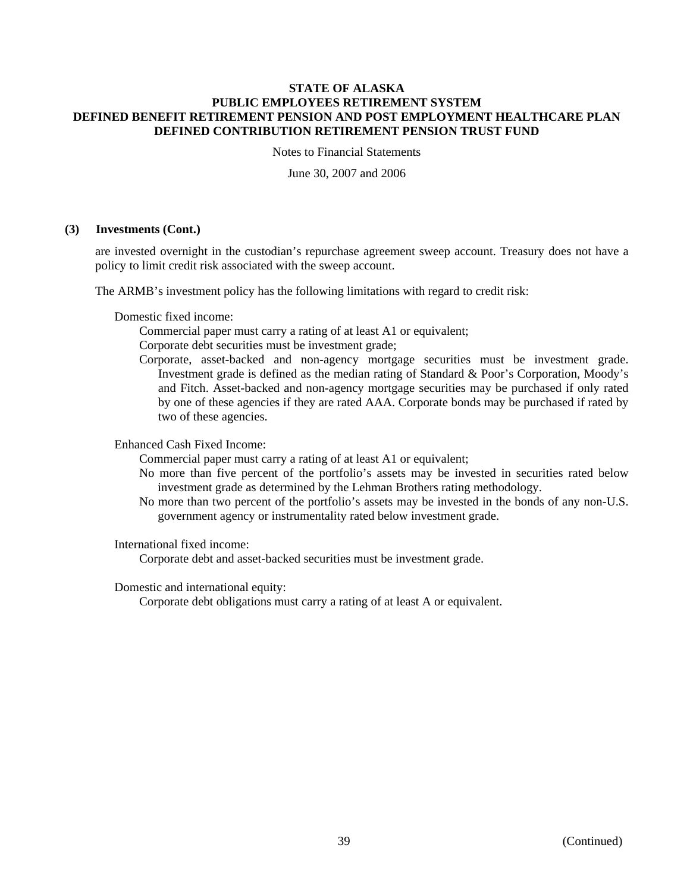Notes to Financial Statements

June 30, 2007 and 2006

## **(3) Investments (Cont.)**

are invested overnight in the custodian's repurchase agreement sweep account. Treasury does not have a policy to limit credit risk associated with the sweep account.

The ARMB's investment policy has the following limitations with regard to credit risk:

Domestic fixed income:

Commercial paper must carry a rating of at least A1 or equivalent;

Corporate debt securities must be investment grade;

Corporate, asset-backed and non-agency mortgage securities must be investment grade. Investment grade is defined as the median rating of Standard & Poor's Corporation, Moody's and Fitch. Asset-backed and non-agency mortgage securities may be purchased if only rated by one of these agencies if they are rated AAA. Corporate bonds may be purchased if rated by two of these agencies.

Enhanced Cash Fixed Income:

Commercial paper must carry a rating of at least A1 or equivalent;

- No more than five percent of the portfolio's assets may be invested in securities rated below investment grade as determined by the Lehman Brothers rating methodology.
- No more than two percent of the portfolio's assets may be invested in the bonds of any non-U.S. government agency or instrumentality rated below investment grade.

International fixed income:

Corporate debt and asset-backed securities must be investment grade.

Domestic and international equity:

Corporate debt obligations must carry a rating of at least A or equivalent.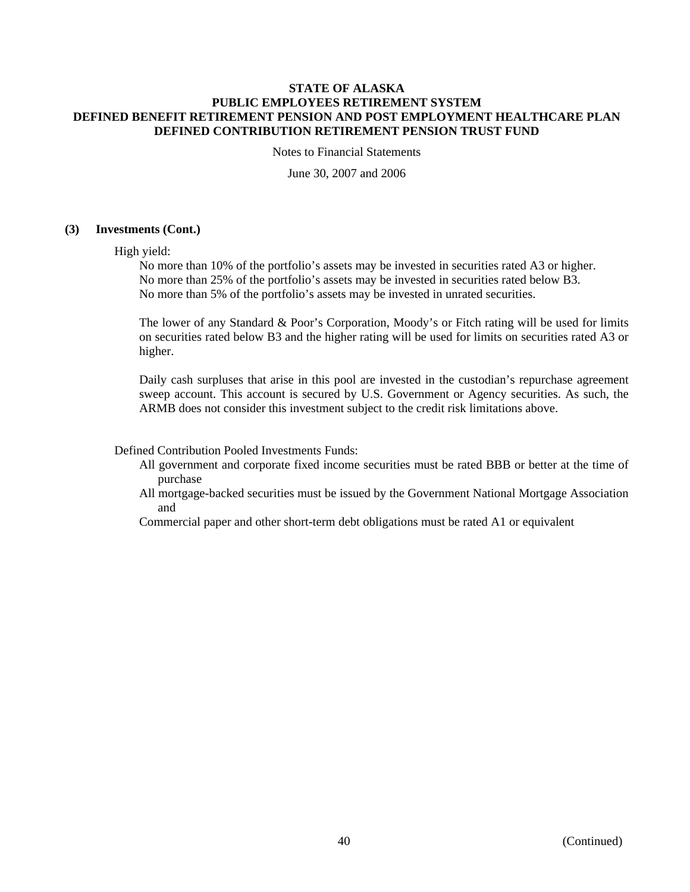Notes to Financial Statements

June 30, 2007 and 2006

# **(3) Investments (Cont.)**

High yield:

No more than 10% of the portfolio's assets may be invested in securities rated A3 or higher. No more than 25% of the portfolio's assets may be invested in securities rated below B3. No more than 5% of the portfolio's assets may be invested in unrated securities.

The lower of any Standard & Poor's Corporation, Moody's or Fitch rating will be used for limits on securities rated below B3 and the higher rating will be used for limits on securities rated A3 or higher.

Daily cash surpluses that arise in this pool are invested in the custodian's repurchase agreement sweep account. This account is secured by U.S. Government or Agency securities. As such, the ARMB does not consider this investment subject to the credit risk limitations above.

Defined Contribution Pooled Investments Funds:

- All government and corporate fixed income securities must be rated BBB or better at the time of purchase
- All mortgage-backed securities must be issued by the Government National Mortgage Association and

Commercial paper and other short-term debt obligations must be rated A1 or equivalent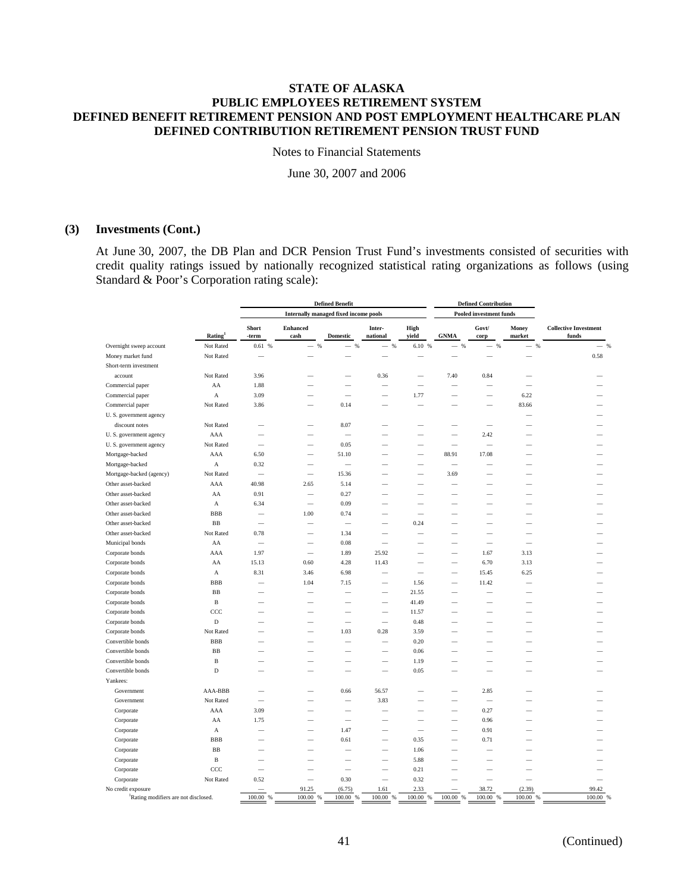Notes to Financial Statements

June 30, 2007 and 2006

# **(3) Investments (Cont.)**

At June 30, 2007, the DB Plan and DCR Pension Trust Fund's investments consisted of securities with credit quality ratings issued by nationally recognized statistical rating organizations as follows (using Standard & Poor's Corporation rating scale):

| <b>Internally managed fixed income pools</b><br><b>Pooled investment funds</b><br><b>Collective Investment</b><br>Short<br><b>Enhanced</b><br>Inter-<br>High<br>Govt/<br>Money<br>Rating <sup>1</sup><br>cash<br><b>Domestic</b><br>national<br>yield<br><b>GNMA</b><br>market<br>funds<br>-term<br>corp<br>Overnight sweep account<br>Not Rated<br>0.61%<br>$\frac{96}{6}$<br>$-$ %<br>$\frac{9}{6}$<br>6.10 %<br>$\frac{96}{6}$<br>$\frac{96}{6}$<br>$-$ %<br>$\overline{\phantom{a}}$<br>$\overline{\phantom{a}}$<br>$\overline{\phantom{0}}$<br>Money market fund<br>Not Rated<br>Short-term investment<br>Not Rated<br>account<br>3.96<br>0.36<br>7.40<br>0.84<br>AA<br>1.88<br>Commercial paper<br>Commercial paper<br>A<br>3.09<br>1.77<br>6.22<br>$\overline{\phantom{a}}$<br>$\overline{\phantom{a}}$<br>-<br>Not Rated<br>Commercial paper<br>3.86<br>0.14<br>83.66<br>U.S. government agency<br>discount notes<br>Not Rated<br>8.07<br>AAA<br>2.42<br>U.S. government agency<br>U.S. government agency<br>Not Rated<br>0.05<br>6.50<br>88.91<br>17.08<br>Mortgage-backed<br>AAA<br>51.10 |                   |  |
|-----------------------------------------------------------------------------------------------------------------------------------------------------------------------------------------------------------------------------------------------------------------------------------------------------------------------------------------------------------------------------------------------------------------------------------------------------------------------------------------------------------------------------------------------------------------------------------------------------------------------------------------------------------------------------------------------------------------------------------------------------------------------------------------------------------------------------------------------------------------------------------------------------------------------------------------------------------------------------------------------------------------------------------------------------------------------------------------------------|-------------------|--|
|                                                                                                                                                                                                                                                                                                                                                                                                                                                                                                                                                                                                                                                                                                                                                                                                                                                                                                                                                                                                                                                                                                     |                   |  |
|                                                                                                                                                                                                                                                                                                                                                                                                                                                                                                                                                                                                                                                                                                                                                                                                                                                                                                                                                                                                                                                                                                     |                   |  |
|                                                                                                                                                                                                                                                                                                                                                                                                                                                                                                                                                                                                                                                                                                                                                                                                                                                                                                                                                                                                                                                                                                     | $-$ %             |  |
|                                                                                                                                                                                                                                                                                                                                                                                                                                                                                                                                                                                                                                                                                                                                                                                                                                                                                                                                                                                                                                                                                                     | 0.58              |  |
|                                                                                                                                                                                                                                                                                                                                                                                                                                                                                                                                                                                                                                                                                                                                                                                                                                                                                                                                                                                                                                                                                                     |                   |  |
|                                                                                                                                                                                                                                                                                                                                                                                                                                                                                                                                                                                                                                                                                                                                                                                                                                                                                                                                                                                                                                                                                                     |                   |  |
|                                                                                                                                                                                                                                                                                                                                                                                                                                                                                                                                                                                                                                                                                                                                                                                                                                                                                                                                                                                                                                                                                                     |                   |  |
|                                                                                                                                                                                                                                                                                                                                                                                                                                                                                                                                                                                                                                                                                                                                                                                                                                                                                                                                                                                                                                                                                                     |                   |  |
|                                                                                                                                                                                                                                                                                                                                                                                                                                                                                                                                                                                                                                                                                                                                                                                                                                                                                                                                                                                                                                                                                                     |                   |  |
|                                                                                                                                                                                                                                                                                                                                                                                                                                                                                                                                                                                                                                                                                                                                                                                                                                                                                                                                                                                                                                                                                                     |                   |  |
|                                                                                                                                                                                                                                                                                                                                                                                                                                                                                                                                                                                                                                                                                                                                                                                                                                                                                                                                                                                                                                                                                                     |                   |  |
|                                                                                                                                                                                                                                                                                                                                                                                                                                                                                                                                                                                                                                                                                                                                                                                                                                                                                                                                                                                                                                                                                                     |                   |  |
|                                                                                                                                                                                                                                                                                                                                                                                                                                                                                                                                                                                                                                                                                                                                                                                                                                                                                                                                                                                                                                                                                                     |                   |  |
|                                                                                                                                                                                                                                                                                                                                                                                                                                                                                                                                                                                                                                                                                                                                                                                                                                                                                                                                                                                                                                                                                                     |                   |  |
| Mortgage-backed<br>A<br>0.32<br>$\equiv$<br>$\overline{\phantom{a}}$                                                                                                                                                                                                                                                                                                                                                                                                                                                                                                                                                                                                                                                                                                                                                                                                                                                                                                                                                                                                                                |                   |  |
| Not Rated<br>Mortgage-backed (agency)<br>15.36<br>3.69<br>$\overline{\phantom{a}}$<br>$\equiv$                                                                                                                                                                                                                                                                                                                                                                                                                                                                                                                                                                                                                                                                                                                                                                                                                                                                                                                                                                                                      |                   |  |
| Other asset-backed<br>AAA<br>40.98<br>2.65<br>5.14                                                                                                                                                                                                                                                                                                                                                                                                                                                                                                                                                                                                                                                                                                                                                                                                                                                                                                                                                                                                                                                  |                   |  |
| Other asset-backed<br>AA<br>0.91<br>0.27<br>$\overline{\phantom{0}}$                                                                                                                                                                                                                                                                                                                                                                                                                                                                                                                                                                                                                                                                                                                                                                                                                                                                                                                                                                                                                                |                   |  |
| Other asset-backed<br>$\boldsymbol{A}$<br>6.34<br>0.09                                                                                                                                                                                                                                                                                                                                                                                                                                                                                                                                                                                                                                                                                                                                                                                                                                                                                                                                                                                                                                              |                   |  |
| <b>BBB</b><br>$1.00\,$<br>Other asset-backed<br>0.74                                                                                                                                                                                                                                                                                                                                                                                                                                                                                                                                                                                                                                                                                                                                                                                                                                                                                                                                                                                                                                                |                   |  |
| B <sub>B</sub><br>Other asset-backed<br>0.24<br>$\overline{\phantom{a}}$<br>$\overline{\phantom{a}}$<br>$\overline{\phantom{a}}$<br>$\overline{\phantom{a}}$                                                                                                                                                                                                                                                                                                                                                                                                                                                                                                                                                                                                                                                                                                                                                                                                                                                                                                                                        |                   |  |
| Other asset-backed<br>Not Rated<br>0.78<br>1.34<br>-                                                                                                                                                                                                                                                                                                                                                                                                                                                                                                                                                                                                                                                                                                                                                                                                                                                                                                                                                                                                                                                |                   |  |
| Municipal bonds<br>AA<br>0.08<br>$\overline{\phantom{a}}$<br>-                                                                                                                                                                                                                                                                                                                                                                                                                                                                                                                                                                                                                                                                                                                                                                                                                                                                                                                                                                                                                                      |                   |  |
| Corporate bonds<br>AAA<br>1.97<br>1.89<br>25.92<br>1.67<br>3.13                                                                                                                                                                                                                                                                                                                                                                                                                                                                                                                                                                                                                                                                                                                                                                                                                                                                                                                                                                                                                                     |                   |  |
| Corporate bonds<br>AA<br>15.13<br>0.60<br>4.28<br>11.43<br>6.70<br>3.13<br>$\overline{\phantom{0}}$                                                                                                                                                                                                                                                                                                                                                                                                                                                                                                                                                                                                                                                                                                                                                                                                                                                                                                                                                                                                 |                   |  |
| Corporate bonds<br>A<br>8.31<br>3.46<br>6.98<br>15.45<br>6.25<br>$\equiv$                                                                                                                                                                                                                                                                                                                                                                                                                                                                                                                                                                                                                                                                                                                                                                                                                                                                                                                                                                                                                           |                   |  |
| <b>BBB</b><br>1.04<br>1.56<br>11.42<br>Corporate bonds<br>7.15<br>$\overline{\phantom{0}}$<br>$\overline{\phantom{0}}$<br>$\overline{\phantom{a}}$                                                                                                                                                                                                                                                                                                                                                                                                                                                                                                                                                                                                                                                                                                                                                                                                                                                                                                                                                  |                   |  |
| $_{\rm BB}$<br>Corporate bonds<br>21.55<br>-                                                                                                                                                                                                                                                                                                                                                                                                                                                                                                                                                                                                                                                                                                                                                                                                                                                                                                                                                                                                                                                        |                   |  |
| B<br>41.49<br>Corporate bonds                                                                                                                                                                                                                                                                                                                                                                                                                                                                                                                                                                                                                                                                                                                                                                                                                                                                                                                                                                                                                                                                       |                   |  |
| Corporate bonds<br>CCC<br>11.57<br>$\overline{\phantom{0}}$                                                                                                                                                                                                                                                                                                                                                                                                                                                                                                                                                                                                                                                                                                                                                                                                                                                                                                                                                                                                                                         |                   |  |
| $\mathbf D$<br>Corporate bonds<br>0.48                                                                                                                                                                                                                                                                                                                                                                                                                                                                                                                                                                                                                                                                                                                                                                                                                                                                                                                                                                                                                                                              |                   |  |
| Not Rated<br>Corporate bonds<br>1.03<br>0.28<br>3.59                                                                                                                                                                                                                                                                                                                                                                                                                                                                                                                                                                                                                                                                                                                                                                                                                                                                                                                                                                                                                                                |                   |  |
| <b>BBB</b><br>Convertible bonds<br>0.20<br>$\overline{\phantom{a}}$                                                                                                                                                                                                                                                                                                                                                                                                                                                                                                                                                                                                                                                                                                                                                                                                                                                                                                                                                                                                                                 |                   |  |
| $_{\rm BB}$<br>Convertible bonds<br>0.06<br>$\overline{\phantom{a}}$                                                                                                                                                                                                                                                                                                                                                                                                                                                                                                                                                                                                                                                                                                                                                                                                                                                                                                                                                                                                                                |                   |  |
| Convertible bonds<br>$\, {\bf B}$<br>1.19                                                                                                                                                                                                                                                                                                                                                                                                                                                                                                                                                                                                                                                                                                                                                                                                                                                                                                                                                                                                                                                           |                   |  |
| D<br>Convertible bonds<br>0.05<br>-                                                                                                                                                                                                                                                                                                                                                                                                                                                                                                                                                                                                                                                                                                                                                                                                                                                                                                                                                                                                                                                                 |                   |  |
| Yankees:                                                                                                                                                                                                                                                                                                                                                                                                                                                                                                                                                                                                                                                                                                                                                                                                                                                                                                                                                                                                                                                                                            |                   |  |
| AAA-BBB<br>Government<br>0.66<br>56.57<br>2.85                                                                                                                                                                                                                                                                                                                                                                                                                                                                                                                                                                                                                                                                                                                                                                                                                                                                                                                                                                                                                                                      |                   |  |
| Not Rated<br>3.83<br>Government<br>$\overline{\phantom{a}}$                                                                                                                                                                                                                                                                                                                                                                                                                                                                                                                                                                                                                                                                                                                                                                                                                                                                                                                                                                                                                                         |                   |  |
| AAA<br>3.09<br>0.27<br>Corporate<br>$\equiv$                                                                                                                                                                                                                                                                                                                                                                                                                                                                                                                                                                                                                                                                                                                                                                                                                                                                                                                                                                                                                                                        |                   |  |
| 1.75<br>0.96<br>Corporate<br>AA<br>$\overline{\phantom{a}}$                                                                                                                                                                                                                                                                                                                                                                                                                                                                                                                                                                                                                                                                                                                                                                                                                                                                                                                                                                                                                                         |                   |  |
| 1.47<br>0.91<br>Corporate<br>$\mathbf A$<br>$\overline{\phantom{0}}$<br>$\overline{\phantom{0}}$                                                                                                                                                                                                                                                                                                                                                                                                                                                                                                                                                                                                                                                                                                                                                                                                                                                                                                                                                                                                    |                   |  |
| <b>BBB</b><br>Corporate<br>0.61<br>0.35<br>0.71                                                                                                                                                                                                                                                                                                                                                                                                                                                                                                                                                                                                                                                                                                                                                                                                                                                                                                                                                                                                                                                     |                   |  |
| $_{\rm BB}$<br>Corporate<br>1.06                                                                                                                                                                                                                                                                                                                                                                                                                                                                                                                                                                                                                                                                                                                                                                                                                                                                                                                                                                                                                                                                    |                   |  |
| $\, {\bf B}$<br>Corporate<br>5.88                                                                                                                                                                                                                                                                                                                                                                                                                                                                                                                                                                                                                                                                                                                                                                                                                                                                                                                                                                                                                                                                   |                   |  |
| ccc<br>0.21<br>Corporate<br>-                                                                                                                                                                                                                                                                                                                                                                                                                                                                                                                                                                                                                                                                                                                                                                                                                                                                                                                                                                                                                                                                       |                   |  |
| Not Rated<br>0.52<br>0.30<br>0.32<br>Corporate<br>$\overline{\phantom{m}}$<br>-                                                                                                                                                                                                                                                                                                                                                                                                                                                                                                                                                                                                                                                                                                                                                                                                                                                                                                                                                                                                                     |                   |  |
| (6.75)<br>2.33<br>38.72<br>(2.39)<br>No credit exposure<br>91.25<br>1.61<br>100.00 %<br>100.00 %<br>100.00<br>100.00<br>100.00 %<br>100.00 %<br>100.00 %<br>100.00 %<br>Rating modifiers are not disclosed.<br>%<br>%                                                                                                                                                                                                                                                                                                                                                                                                                                                                                                                                                                                                                                                                                                                                                                                                                                                                               | 99.42<br>100.00 % |  |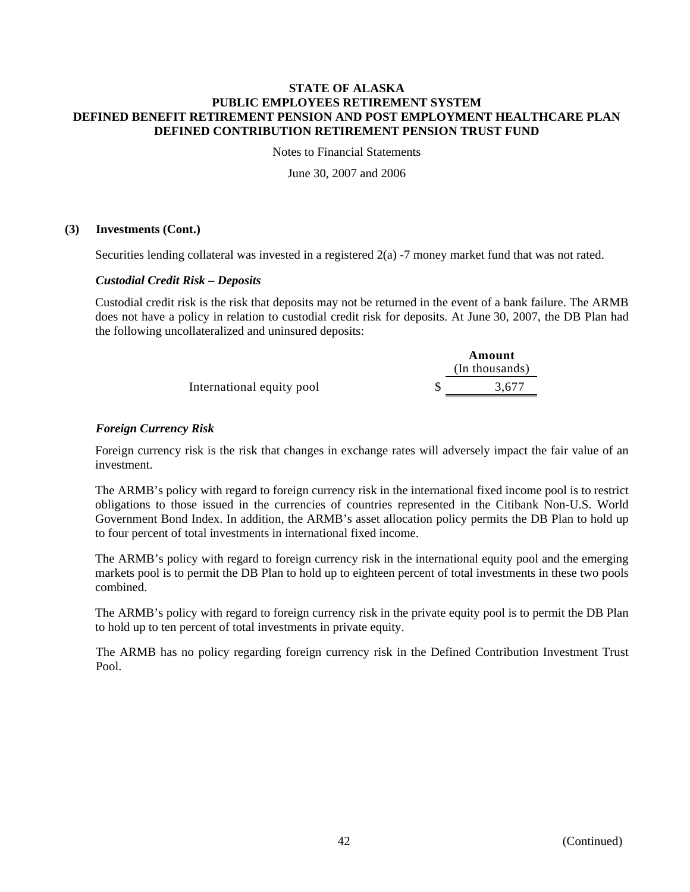Notes to Financial Statements

June 30, 2007 and 2006

# **(3) Investments (Cont.)**

Securities lending collateral was invested in a registered 2(a) -7 money market fund that was not rated.

# *Custodial Credit Risk – Deposits*

Custodial credit risk is the risk that deposits may not be returned in the event of a bank failure. The ARMB does not have a policy in relation to custodial credit risk for deposits. At June 30, 2007, the DB Plan had the following uncollateralized and uninsured deposits:

|                           | Amount<br>(In thousands) |
|---------------------------|--------------------------|
| International equity pool | 3.677                    |

# *Foreign Currency Risk*

Foreign currency risk is the risk that changes in exchange rates will adversely impact the fair value of an investment.

The ARMB's policy with regard to foreign currency risk in the international fixed income pool is to restrict obligations to those issued in the currencies of countries represented in the Citibank Non-U.S. World Government Bond Index. In addition, the ARMB's asset allocation policy permits the DB Plan to hold up to four percent of total investments in international fixed income.

The ARMB's policy with regard to foreign currency risk in the international equity pool and the emerging markets pool is to permit the DB Plan to hold up to eighteen percent of total investments in these two pools combined.

The ARMB's policy with regard to foreign currency risk in the private equity pool is to permit the DB Plan to hold up to ten percent of total investments in private equity.

The ARMB has no policy regarding foreign currency risk in the Defined Contribution Investment Trust Pool.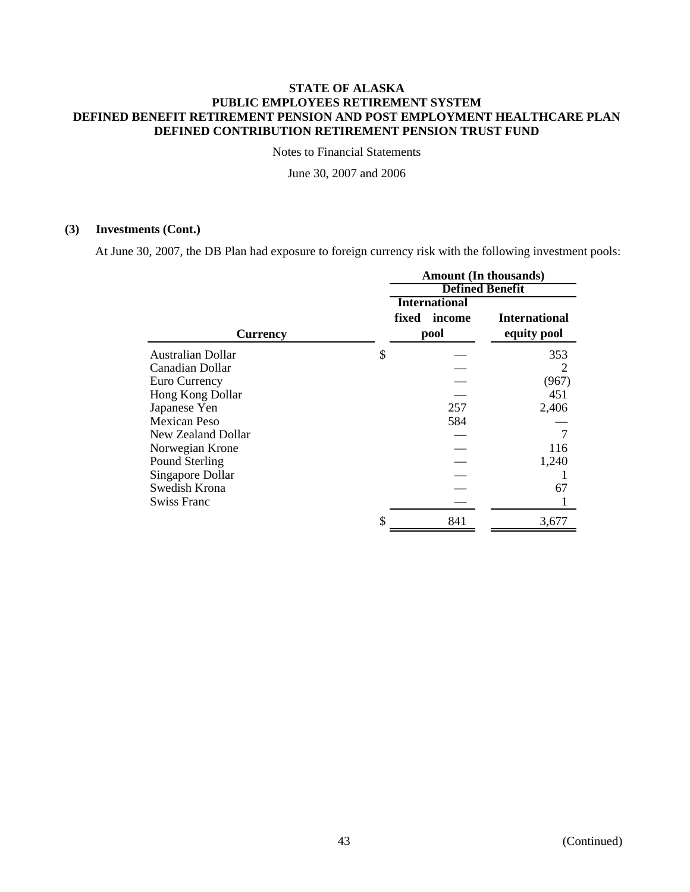Notes to Financial Statements

June 30, 2007 and 2006

## **(3) Investments (Cont.)**

At June 30, 2007, the DB Plan had exposure to foreign currency risk with the following investment pools:

|                     | <b>Amount (In thousands)</b> |                      |                        |  |  |
|---------------------|------------------------------|----------------------|------------------------|--|--|
|                     |                              |                      | <b>Defined Benefit</b> |  |  |
|                     |                              | <b>International</b> |                        |  |  |
|                     | fixed                        | income               | <b>International</b>   |  |  |
| Currency            |                              | pool                 | equity pool            |  |  |
| Australian Dollar   | \$                           |                      | 353                    |  |  |
| Canadian Dollar     |                              |                      |                        |  |  |
| Euro Currency       |                              |                      | (967)                  |  |  |
| Hong Kong Dollar    |                              |                      | 451                    |  |  |
| Japanese Yen        |                              | 257                  | 2,406                  |  |  |
| <b>Mexican Peso</b> |                              | 584                  |                        |  |  |
| New Zealand Dollar  |                              |                      | $\tau$                 |  |  |
| Norwegian Krone     |                              |                      | 116                    |  |  |
| Pound Sterling      |                              |                      | 1,240                  |  |  |
| Singapore Dollar    |                              |                      |                        |  |  |
| Swedish Krona       |                              |                      | 67                     |  |  |
| <b>Swiss Franc</b>  |                              |                      |                        |  |  |
|                     | \$                           | 841                  | 3,677                  |  |  |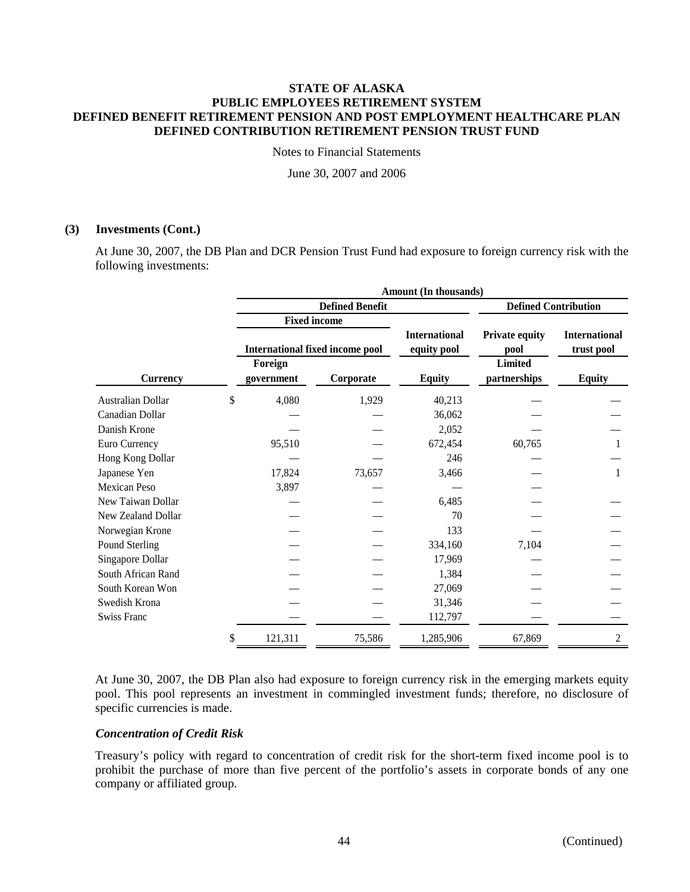Notes to Financial Statements

June 30, 2007 and 2006

# **(3) Investments (Cont.)**

At June 30, 2007, the DB Plan and DCR Pension Trust Fund had exposure to foreign currency risk with the following investments:

|                    |    | Amount (In thousands) |                                        |                      |                             |                      |  |  |
|--------------------|----|-----------------------|----------------------------------------|----------------------|-----------------------------|----------------------|--|--|
|                    |    |                       | <b>Defined Benefit</b>                 |                      | <b>Defined Contribution</b> |                      |  |  |
|                    |    |                       | <b>Fixed income</b>                    |                      |                             |                      |  |  |
|                    |    |                       |                                        | <b>International</b> | <b>Private equity</b>       | <b>International</b> |  |  |
|                    |    |                       | <b>International fixed income pool</b> | equity pool          | pool                        | trust pool           |  |  |
|                    |    | Foreign               |                                        |                      | <b>Limited</b>              |                      |  |  |
| <b>Currency</b>    |    | government            | Corporate                              | <b>Equity</b>        | partnerships                | <b>Equity</b>        |  |  |
| Australian Dollar  | \$ | 4,080                 | 1,929                                  | 40,213               |                             |                      |  |  |
| Canadian Dollar    |    |                       |                                        | 36,062               |                             |                      |  |  |
| Danish Krone       |    |                       |                                        | 2,052                |                             |                      |  |  |
| Euro Currency      |    | 95,510                |                                        | 672,454              | 60,765                      |                      |  |  |
| Hong Kong Dollar   |    |                       |                                        | 246                  |                             |                      |  |  |
| Japanese Yen       |    | 17,824                | 73,657                                 | 3,466                |                             | 1                    |  |  |
| Mexican Peso       |    | 3,897                 |                                        |                      |                             |                      |  |  |
| New Taiwan Dollar  |    |                       |                                        | 6,485                |                             |                      |  |  |
| New Zealand Dollar |    |                       |                                        | 70                   |                             |                      |  |  |
| Norwegian Krone    |    |                       |                                        | 133                  |                             |                      |  |  |
| Pound Sterling     |    |                       |                                        | 334,160              | 7,104                       |                      |  |  |
| Singapore Dollar   |    |                       |                                        | 17,969               |                             |                      |  |  |
| South African Rand |    |                       |                                        | 1,384                |                             |                      |  |  |
| South Korean Won   |    |                       |                                        | 27,069               |                             |                      |  |  |
| Swedish Krona      |    |                       |                                        | 31,346               |                             |                      |  |  |
| <b>Swiss Franc</b> |    |                       |                                        | 112,797              |                             |                      |  |  |
|                    | \$ | 121,311               | 75,586                                 | 1,285,906            | 67,869                      | $\mathbf{2}$         |  |  |

At June 30, 2007, the DB Plan also had exposure to foreign currency risk in the emerging markets equity pool. This pool represents an investment in commingled investment funds; therefore, no disclosure of specific currencies is made.

## *Concentration of Credit Risk*

Treasury's policy with regard to concentration of credit risk for the short-term fixed income pool is to prohibit the purchase of more than five percent of the portfolio's assets in corporate bonds of any one company or affiliated group.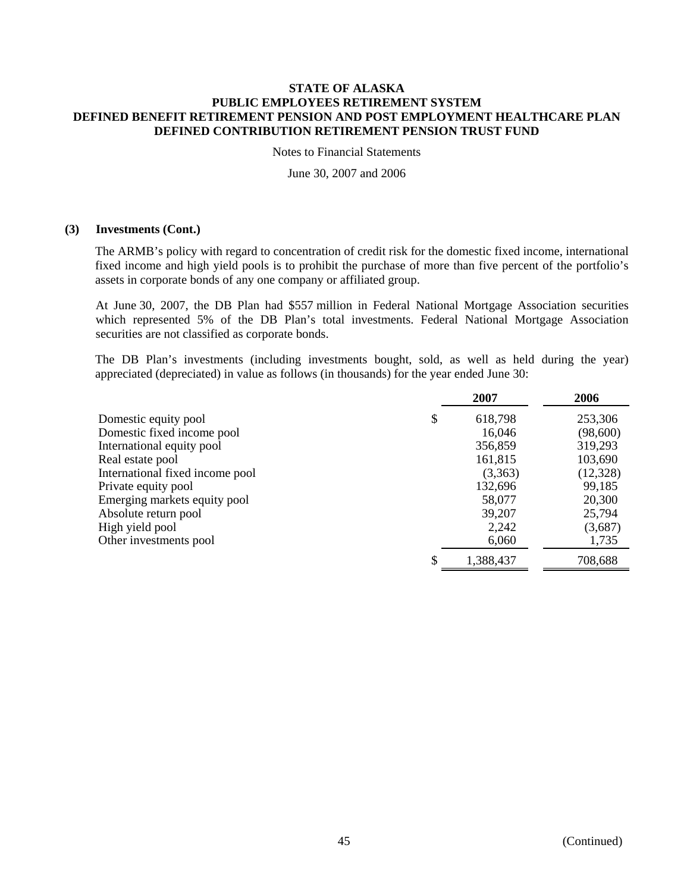Notes to Financial Statements

June 30, 2007 and 2006

## **(3) Investments (Cont.)**

The ARMB's policy with regard to concentration of credit risk for the domestic fixed income, international fixed income and high yield pools is to prohibit the purchase of more than five percent of the portfolio's assets in corporate bonds of any one company or affiliated group.

At June 30, 2007, the DB Plan had \$557 million in Federal National Mortgage Association securities which represented 5% of the DB Plan's total investments. Federal National Mortgage Association securities are not classified as corporate bonds.

The DB Plan's investments (including investments bought, sold, as well as held during the year) appreciated (depreciated) in value as follows (in thousands) for the year ended June 30:

|                                 | 2007          | 2006      |
|---------------------------------|---------------|-----------|
| Domestic equity pool            | \$<br>618,798 | 253,306   |
| Domestic fixed income pool      | 16,046        | (98,600)  |
| International equity pool       | 356,859       | 319,293   |
| Real estate pool                | 161,815       | 103,690   |
| International fixed income pool | (3,363)       | (12, 328) |
| Private equity pool             | 132,696       | 99,185    |
| Emerging markets equity pool    | 58,077        | 20,300    |
| Absolute return pool            | 39,207        | 25,794    |
| High yield pool                 | 2,242         | (3,687)   |
| Other investments pool          | 6,060         | 1,735     |
|                                 | 1,388,437     | 708,688   |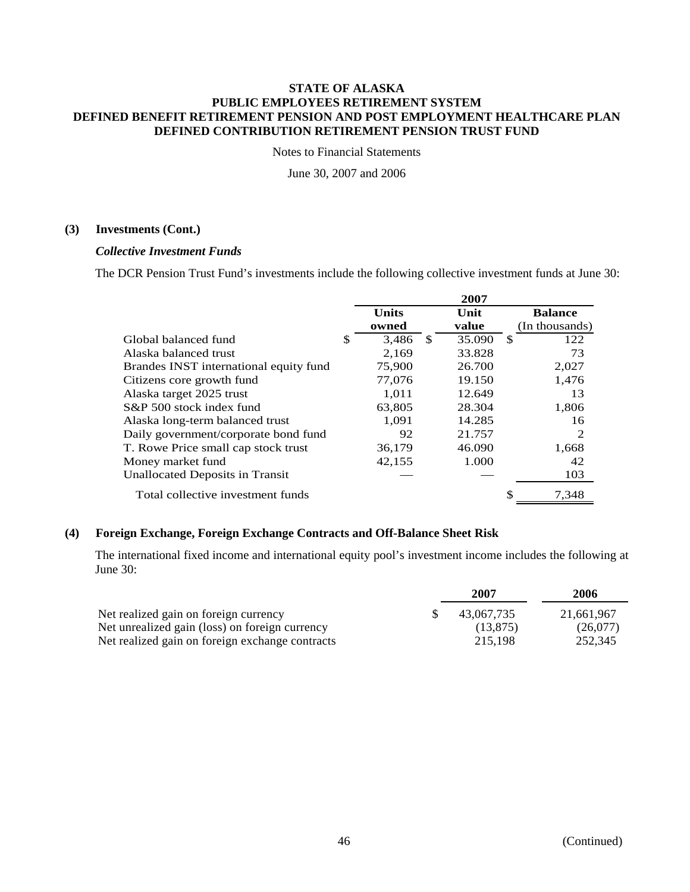Notes to Financial Statements

June 30, 2007 and 2006

# **(3) Investments (Cont.)**

## *Collective Investment Funds*

The DCR Pension Trust Fund's investments include the following collective investment funds at June 30:

|                                        |              |    | 2007   |    |                |
|----------------------------------------|--------------|----|--------|----|----------------|
|                                        | <b>Units</b> |    | Unit   |    | <b>Balance</b> |
|                                        | owned        |    | value  |    | (In thousands) |
| Global balanced fund                   | \$<br>3,486  | -S | 35.090 | -S | 122            |
| Alaska balanced trust                  | 2.169        |    | 33.828 |    | 73             |
| Brandes INST international equity fund | 75,900       |    | 26.700 |    | 2,027          |
| Citizens core growth fund              | 77,076       |    | 19.150 |    | 1,476          |
| Alaska target 2025 trust               | 1.011        |    | 12.649 |    | 13             |
| S&P 500 stock index fund               | 63,805       |    | 28.304 |    | 1,806          |
| Alaska long-term balanced trust        | 1.091        |    | 14.285 |    | 16             |
| Daily government/corporate bond fund   | 92           |    | 21.757 |    | $\mathcal{D}$  |
| T. Rowe Price small cap stock trust    | 36,179       |    | 46.090 |    | 1,668          |
| Money market fund                      | 42,155       |    | 1.000  |    | 42             |
| Unallocated Deposits in Transit        |              |    |        |    | 103            |
| Total collective investment funds      |              |    |        |    | 7,348          |

# **(4) Foreign Exchange, Foreign Exchange Contracts and Off-Balance Sheet Risk**

The international fixed income and international equity pool's investment income includes the following at June 30:

|                                                 | 2007       | 2006       |
|-------------------------------------------------|------------|------------|
| Net realized gain on foreign currency           | 43.067.735 | 21.661.967 |
| Net unrealized gain (loss) on foreign currency  | (13.875)   | (26.077)   |
| Net realized gain on foreign exchange contracts | 215.198    | 252,345    |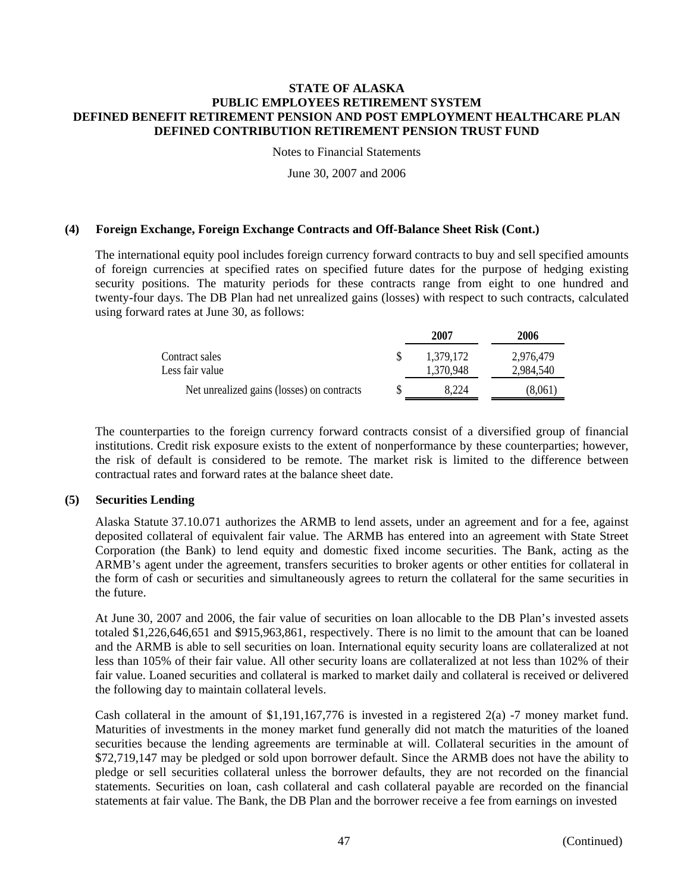Notes to Financial Statements

June 30, 2007 and 2006

# **(4) Foreign Exchange, Foreign Exchange Contracts and Off-Balance Sheet Risk (Cont.)**

The international equity pool includes foreign currency forward contracts to buy and sell specified amounts of foreign currencies at specified rates on specified future dates for the purpose of hedging existing security positions. The maturity periods for these contracts range from eight to one hundred and twenty-four days. The DB Plan had net unrealized gains (losses) with respect to such contracts, calculated using forward rates at June 30, as follows:

|                                            |   | 2007      | 2006      |
|--------------------------------------------|---|-----------|-----------|
| Contract sales                             |   | 1.379.172 | 2,976,479 |
| Less fair value                            |   | 1.370.948 | 2,984,540 |
| Net unrealized gains (losses) on contracts | S | 8.224     | (8.061    |
|                                            |   |           |           |

The counterparties to the foreign currency forward contracts consist of a diversified group of financial institutions. Credit risk exposure exists to the extent of nonperformance by these counterparties; however, the risk of default is considered to be remote. The market risk is limited to the difference between contractual rates and forward rates at the balance sheet date.

## **(5) Securities Lending**

Alaska Statute 37.10.071 authorizes the ARMB to lend assets, under an agreement and for a fee, against deposited collateral of equivalent fair value. The ARMB has entered into an agreement with State Street Corporation (the Bank) to lend equity and domestic fixed income securities. The Bank, acting as the ARMB's agent under the agreement, transfers securities to broker agents or other entities for collateral in the form of cash or securities and simultaneously agrees to return the collateral for the same securities in the future.

At June 30, 2007 and 2006, the fair value of securities on loan allocable to the DB Plan's invested assets totaled \$1,226,646,651 and \$915,963,861, respectively. There is no limit to the amount that can be loaned and the ARMB is able to sell securities on loan. International equity security loans are collateralized at not less than 105% of their fair value. All other security loans are collateralized at not less than 102% of their fair value. Loaned securities and collateral is marked to market daily and collateral is received or delivered the following day to maintain collateral levels.

Cash collateral in the amount of \$1,191,167,776 is invested in a registered 2(a) -7 money market fund. Maturities of investments in the money market fund generally did not match the maturities of the loaned securities because the lending agreements are terminable at will. Collateral securities in the amount of \$72,719,147 may be pledged or sold upon borrower default. Since the ARMB does not have the ability to pledge or sell securities collateral unless the borrower defaults, they are not recorded on the financial statements. Securities on loan, cash collateral and cash collateral payable are recorded on the financial statements at fair value. The Bank, the DB Plan and the borrower receive a fee from earnings on invested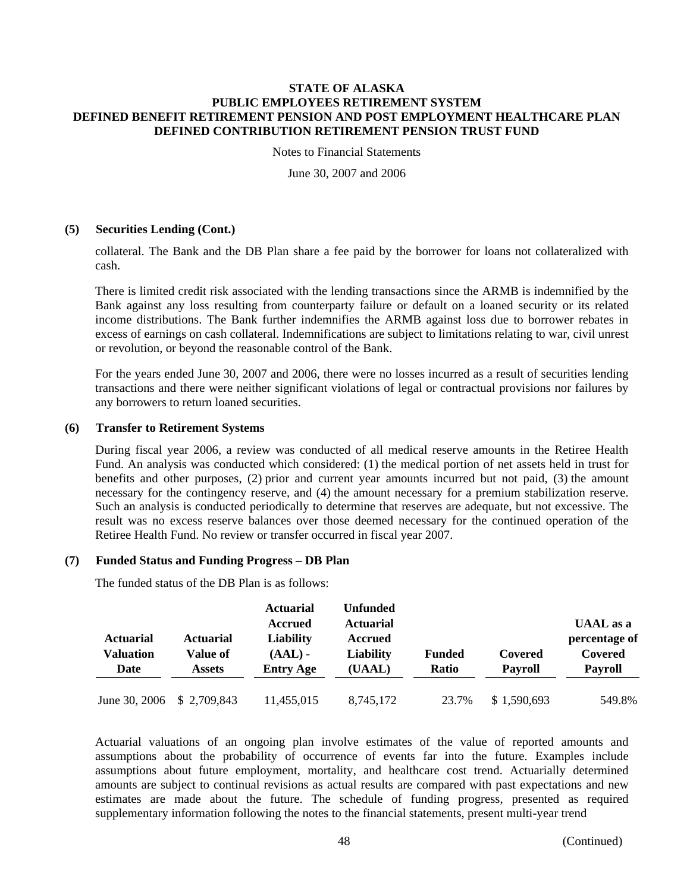Notes to Financial Statements

June 30, 2007 and 2006

# **(5) Securities Lending (Cont.)**

collateral. The Bank and the DB Plan share a fee paid by the borrower for loans not collateralized with cash.

There is limited credit risk associated with the lending transactions since the ARMB is indemnified by the Bank against any loss resulting from counterparty failure or default on a loaned security or its related income distributions. The Bank further indemnifies the ARMB against loss due to borrower rebates in excess of earnings on cash collateral. Indemnifications are subject to limitations relating to war, civil unrest or revolution, or beyond the reasonable control of the Bank.

For the years ended June 30, 2007 and 2006, there were no losses incurred as a result of securities lending transactions and there were neither significant violations of legal or contractual provisions nor failures by any borrowers to return loaned securities.

# **(6) Transfer to Retirement Systems**

During fiscal year 2006, a review was conducted of all medical reserve amounts in the Retiree Health Fund. An analysis was conducted which considered: (1) the medical portion of net assets held in trust for benefits and other purposes, (2) prior and current year amounts incurred but not paid, (3) the amount necessary for the contingency reserve, and (4) the amount necessary for a premium stabilization reserve. Such an analysis is conducted periodically to determine that reserves are adequate, but not excessive. The result was no excess reserve balances over those deemed necessary for the continued operation of the Retiree Health Fund. No review or transfer occurred in fiscal year 2007.

# **(7) Funded Status and Funding Progress – DB Plan**

The funded status of the DB Plan is as follows:

| <b>Actuarial</b><br>Valuation | Actuarial<br>Value of | <b>Actuarial</b><br>Accrued<br><b>Liability</b><br>$(AAL)$ - | <b>Unfunded</b><br><b>Actuarial</b><br><b>Accrued</b><br><b>Liability</b> | <b>Funded</b> | Covered        | <b>UAAL</b> as a<br>percentage of<br>Covered |
|-------------------------------|-----------------------|--------------------------------------------------------------|---------------------------------------------------------------------------|---------------|----------------|----------------------------------------------|
| Date                          | <b>Assets</b>         | <b>Entry Age</b>                                             | (UAAL)                                                                    | <b>Ratio</b>  | <b>Payroll</b> | <b>Payroll</b>                               |
| June 30, 2006                 | \$2,709,843           | 11,455,015                                                   | 8,745,172                                                                 | 23.7%         | \$1,590,693    | 549.8%                                       |

Actuarial valuations of an ongoing plan involve estimates of the value of reported amounts and assumptions about the probability of occurrence of events far into the future. Examples include assumptions about future employment, mortality, and healthcare cost trend. Actuarially determined amounts are subject to continual revisions as actual results are compared with past expectations and new estimates are made about the future. The schedule of funding progress, presented as required supplementary information following the notes to the financial statements, present multi-year trend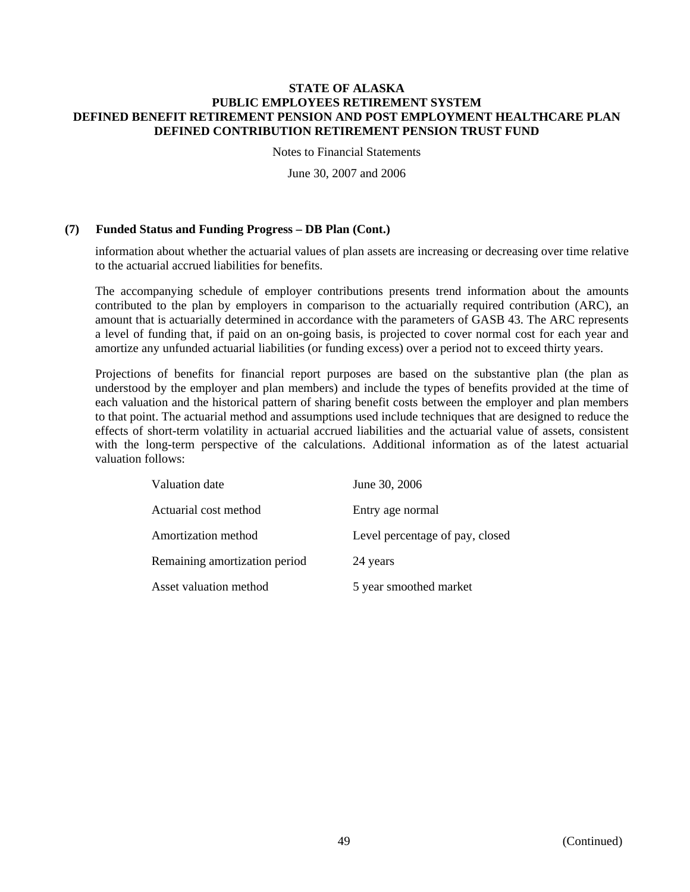Notes to Financial Statements

June 30, 2007 and 2006

# **(7) Funded Status and Funding Progress – DB Plan (Cont.)**

information about whether the actuarial values of plan assets are increasing or decreasing over time relative to the actuarial accrued liabilities for benefits.

The accompanying schedule of employer contributions presents trend information about the amounts contributed to the plan by employers in comparison to the actuarially required contribution (ARC), an amount that is actuarially determined in accordance with the parameters of GASB 43. The ARC represents a level of funding that, if paid on an on-going basis, is projected to cover normal cost for each year and amortize any unfunded actuarial liabilities (or funding excess) over a period not to exceed thirty years.

Projections of benefits for financial report purposes are based on the substantive plan (the plan as understood by the employer and plan members) and include the types of benefits provided at the time of each valuation and the historical pattern of sharing benefit costs between the employer and plan members to that point. The actuarial method and assumptions used include techniques that are designed to reduce the effects of short-term volatility in actuarial accrued liabilities and the actuarial value of assets, consistent with the long-term perspective of the calculations. Additional information as of the latest actuarial valuation follows:

| Valuation date                | June 30, 2006                   |
|-------------------------------|---------------------------------|
| Actuarial cost method         | Entry age normal                |
| Amortization method           | Level percentage of pay, closed |
| Remaining amortization period | 24 years                        |
| Asset valuation method        | 5 year smoothed market          |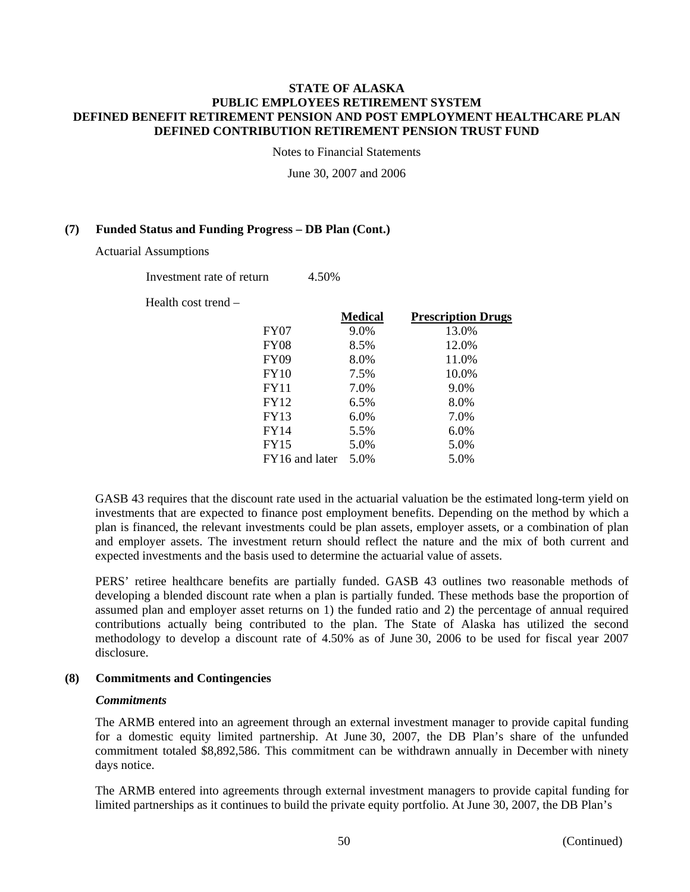Notes to Financial Statements

June 30, 2007 and 2006

# **(7) Funded Status and Funding Progress – DB Plan (Cont.)**

Actuarial Assumptions

Investment rate of return 4.50%

Health cost trend –

|                  | <b>Medical</b> | <b>Prescription Drugs</b> |
|------------------|----------------|---------------------------|
| <b>FY07</b>      | 9.0%           | 13.0%                     |
| <b>FY08</b>      | 8.5%           | 12.0%                     |
| FY <sub>09</sub> | 8.0%           | 11.0%                     |
| <b>FY10</b>      | 7.5%           | 10.0%                     |
| FY11             | 7.0%           | 9.0%                      |
| FY12             | 6.5%           | 8.0%                      |
| <b>FY13</b>      | 6.0%           | 7.0%                      |
| FY14             | 5.5%           | 6.0%                      |
| FY15             | 5.0%           | 5.0%                      |
| FY16 and later   | 5.0%           | 5.0%                      |
|                  |                |                           |

GASB 43 requires that the discount rate used in the actuarial valuation be the estimated long-term yield on investments that are expected to finance post employment benefits. Depending on the method by which a plan is financed, the relevant investments could be plan assets, employer assets, or a combination of plan and employer assets. The investment return should reflect the nature and the mix of both current and expected investments and the basis used to determine the actuarial value of assets.

PERS' retiree healthcare benefits are partially funded. GASB 43 outlines two reasonable methods of developing a blended discount rate when a plan is partially funded. These methods base the proportion of assumed plan and employer asset returns on 1) the funded ratio and 2) the percentage of annual required contributions actually being contributed to the plan. The State of Alaska has utilized the second methodology to develop a discount rate of 4.50% as of June 30, 2006 to be used for fiscal year 2007 disclosure.

## **(8) Commitments and Contingencies**

## *Commitments*

The ARMB entered into an agreement through an external investment manager to provide capital funding for a domestic equity limited partnership. At June 30, 2007, the DB Plan's share of the unfunded commitment totaled \$8,892,586. This commitment can be withdrawn annually in December with ninety days notice.

The ARMB entered into agreements through external investment managers to provide capital funding for limited partnerships as it continues to build the private equity portfolio. At June 30, 2007, the DB Plan's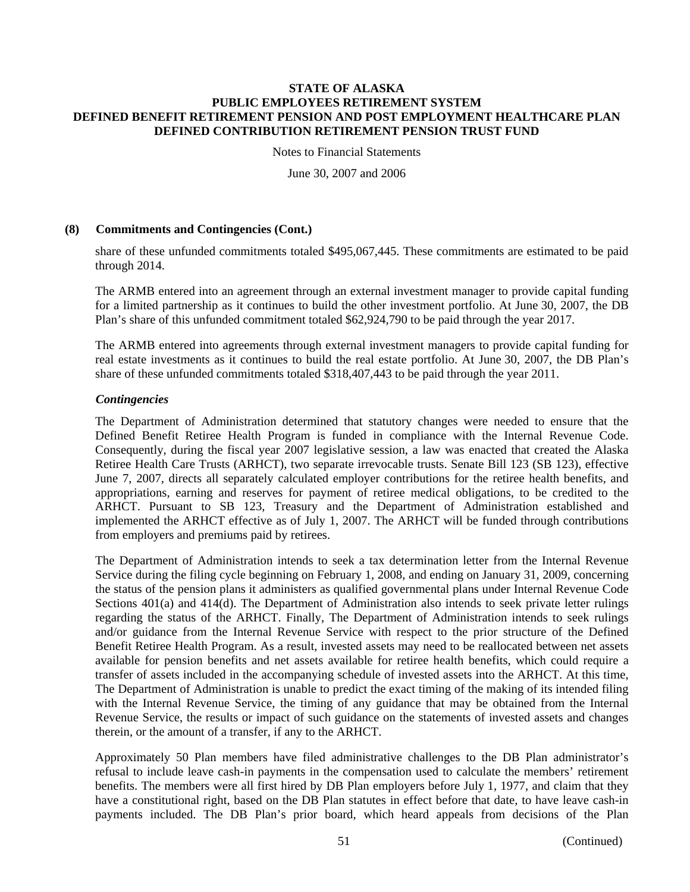Notes to Financial Statements

June 30, 2007 and 2006

# **(8) Commitments and Contingencies (Cont.)**

share of these unfunded commitments totaled \$495,067,445. These commitments are estimated to be paid through 2014.

The ARMB entered into an agreement through an external investment manager to provide capital funding for a limited partnership as it continues to build the other investment portfolio. At June 30, 2007, the DB Plan's share of this unfunded commitment totaled \$62,924,790 to be paid through the year 2017.

The ARMB entered into agreements through external investment managers to provide capital funding for real estate investments as it continues to build the real estate portfolio. At June 30, 2007, the DB Plan's share of these unfunded commitments totaled \$318,407,443 to be paid through the year 2011.

# *Contingencies*

The Department of Administration determined that statutory changes were needed to ensure that the Defined Benefit Retiree Health Program is funded in compliance with the Internal Revenue Code. Consequently, during the fiscal year 2007 legislative session, a law was enacted that created the Alaska Retiree Health Care Trusts (ARHCT), two separate irrevocable trusts. Senate Bill 123 (SB 123), effective June 7, 2007, directs all separately calculated employer contributions for the retiree health benefits, and appropriations, earning and reserves for payment of retiree medical obligations, to be credited to the ARHCT. Pursuant to SB 123, Treasury and the Department of Administration established and implemented the ARHCT effective as of July 1, 2007. The ARHCT will be funded through contributions from employers and premiums paid by retirees.

The Department of Administration intends to seek a tax determination letter from the Internal Revenue Service during the filing cycle beginning on February 1, 2008, and ending on January 31, 2009, concerning the status of the pension plans it administers as qualified governmental plans under Internal Revenue Code Sections 401(a) and 414(d). The Department of Administration also intends to seek private letter rulings regarding the status of the ARHCT. Finally, The Department of Administration intends to seek rulings and/or guidance from the Internal Revenue Service with respect to the prior structure of the Defined Benefit Retiree Health Program. As a result, invested assets may need to be reallocated between net assets available for pension benefits and net assets available for retiree health benefits, which could require a transfer of assets included in the accompanying schedule of invested assets into the ARHCT. At this time, The Department of Administration is unable to predict the exact timing of the making of its intended filing with the Internal Revenue Service, the timing of any guidance that may be obtained from the Internal Revenue Service, the results or impact of such guidance on the statements of invested assets and changes therein, or the amount of a transfer, if any to the ARHCT.

Approximately 50 Plan members have filed administrative challenges to the DB Plan administrator's refusal to include leave cash-in payments in the compensation used to calculate the members' retirement benefits. The members were all first hired by DB Plan employers before July 1, 1977, and claim that they have a constitutional right, based on the DB Plan statutes in effect before that date, to have leave cash-in payments included. The DB Plan's prior board, which heard appeals from decisions of the Plan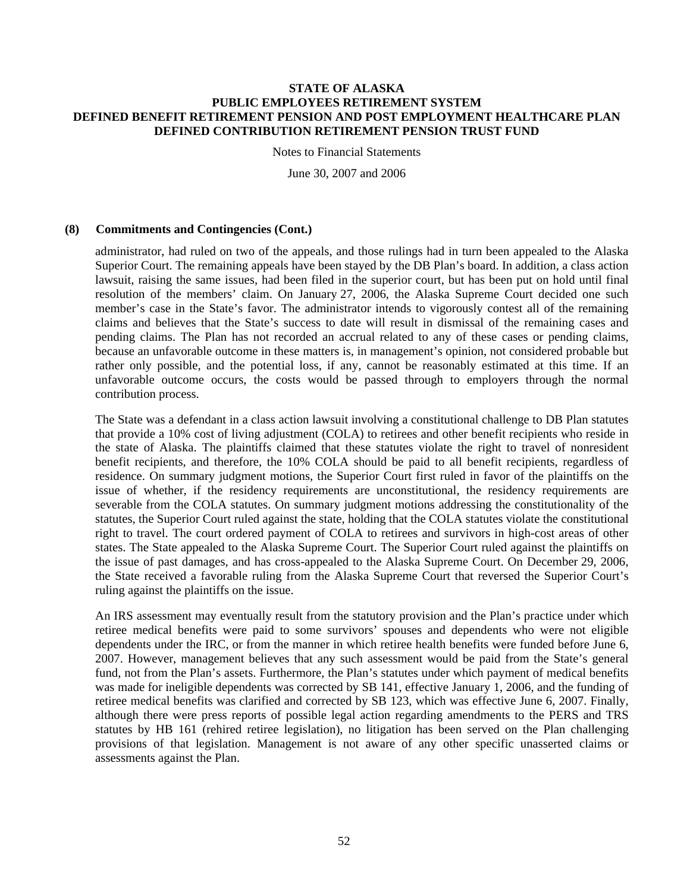Notes to Financial Statements

June 30, 2007 and 2006

## **(8) Commitments and Contingencies (Cont.)**

administrator, had ruled on two of the appeals, and those rulings had in turn been appealed to the Alaska Superior Court. The remaining appeals have been stayed by the DB Plan's board. In addition, a class action lawsuit, raising the same issues, had been filed in the superior court, but has been put on hold until final resolution of the members' claim. On January 27, 2006, the Alaska Supreme Court decided one such member's case in the State's favor. The administrator intends to vigorously contest all of the remaining claims and believes that the State's success to date will result in dismissal of the remaining cases and pending claims. The Plan has not recorded an accrual related to any of these cases or pending claims, because an unfavorable outcome in these matters is, in management's opinion, not considered probable but rather only possible, and the potential loss, if any, cannot be reasonably estimated at this time. If an unfavorable outcome occurs, the costs would be passed through to employers through the normal contribution process.

The State was a defendant in a class action lawsuit involving a constitutional challenge to DB Plan statutes that provide a 10% cost of living adjustment (COLA) to retirees and other benefit recipients who reside in the state of Alaska. The plaintiffs claimed that these statutes violate the right to travel of nonresident benefit recipients, and therefore, the 10% COLA should be paid to all benefit recipients, regardless of residence. On summary judgment motions, the Superior Court first ruled in favor of the plaintiffs on the issue of whether, if the residency requirements are unconstitutional, the residency requirements are severable from the COLA statutes. On summary judgment motions addressing the constitutionality of the statutes, the Superior Court ruled against the state, holding that the COLA statutes violate the constitutional right to travel. The court ordered payment of COLA to retirees and survivors in high-cost areas of other states. The State appealed to the Alaska Supreme Court. The Superior Court ruled against the plaintiffs on the issue of past damages, and has cross-appealed to the Alaska Supreme Court. On December 29, 2006, the State received a favorable ruling from the Alaska Supreme Court that reversed the Superior Court's ruling against the plaintiffs on the issue.

An IRS assessment may eventually result from the statutory provision and the Plan's practice under which retiree medical benefits were paid to some survivors' spouses and dependents who were not eligible dependents under the IRC, or from the manner in which retiree health benefits were funded before June 6, 2007. However, management believes that any such assessment would be paid from the State's general fund, not from the Plan's assets. Furthermore, the Plan's statutes under which payment of medical benefits was made for ineligible dependents was corrected by SB 141, effective January 1, 2006, and the funding of retiree medical benefits was clarified and corrected by SB 123, which was effective June 6, 2007. Finally, although there were press reports of possible legal action regarding amendments to the PERS and TRS statutes by HB 161 (rehired retiree legislation), no litigation has been served on the Plan challenging provisions of that legislation. Management is not aware of any other specific unasserted claims or assessments against the Plan.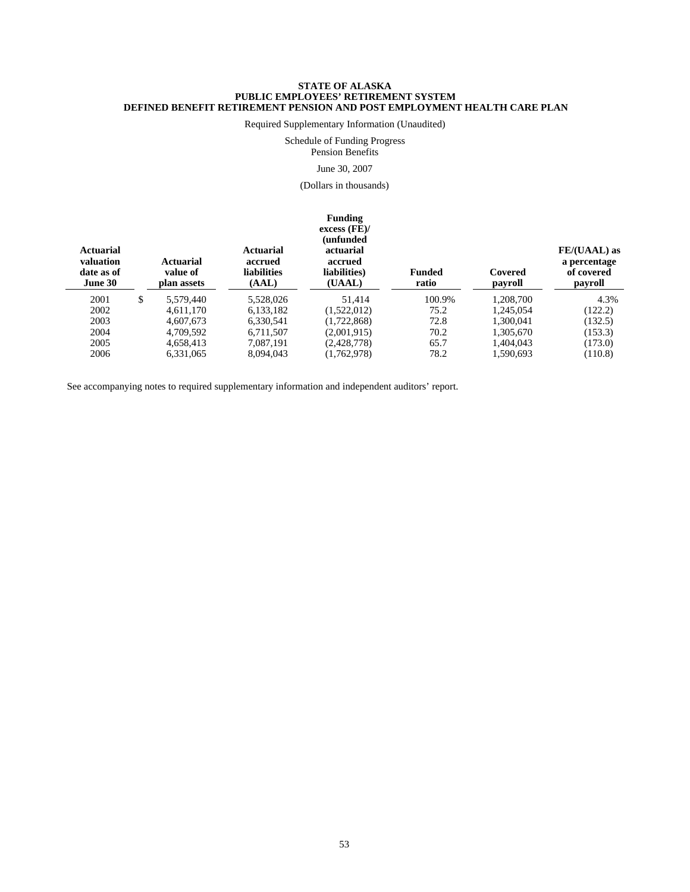Required Supplementary Information (Unaudited)

Schedule of Funding Progress

Pension Benefits

#### June 30, 2007

(Dollars in thousands)

# **Funding**

| <b>Actuarial</b><br>valuation<br>date as of<br>June 30 | Actuarial<br>value of<br>plan assets | <b>Actuarial</b><br>accrued<br>liabilities<br>(AAL) | excess (FE)<br>unfunded)<br>actuarial<br>accrued<br>liabilities)<br>(UAAL) | Funded<br>ratio | Covered<br>payroll | FE/(UAAL) as<br>a percentage<br>of covered<br>payroll |
|--------------------------------------------------------|--------------------------------------|-----------------------------------------------------|----------------------------------------------------------------------------|-----------------|--------------------|-------------------------------------------------------|
| 2001                                                   | \$<br>5,579,440                      | 5.528.026                                           | 51.414                                                                     | 100.9%          | 1.208.700          | 4.3%                                                  |
| 2002                                                   | 4.611.170                            | 6,133,182                                           | (1,522,012)                                                                | 75.2            | 1.245.054          | (122.2)                                               |
| 2003                                                   | 4.607.673                            | 6,330,541                                           | (1,722,868)                                                                | 72.8            | 1.300.041          | (132.5)                                               |
| 2004                                                   | 4,709,592                            | 6.711.507                                           | (2,001,915)                                                                | 70.2            | 1,305,670          | (153.3)                                               |
| 2005                                                   | 4.658.413                            | 7.087.191                                           | (2,428,778)                                                                | 65.7            | 1.404.043          | (173.0)                                               |
| 2006                                                   | 6,331,065                            | 8.094.043                                           | (1,762,978)                                                                | 78.2            | 1.590.693          | (110.8)                                               |

See accompanying notes to required supplementary information and independent auditors' report.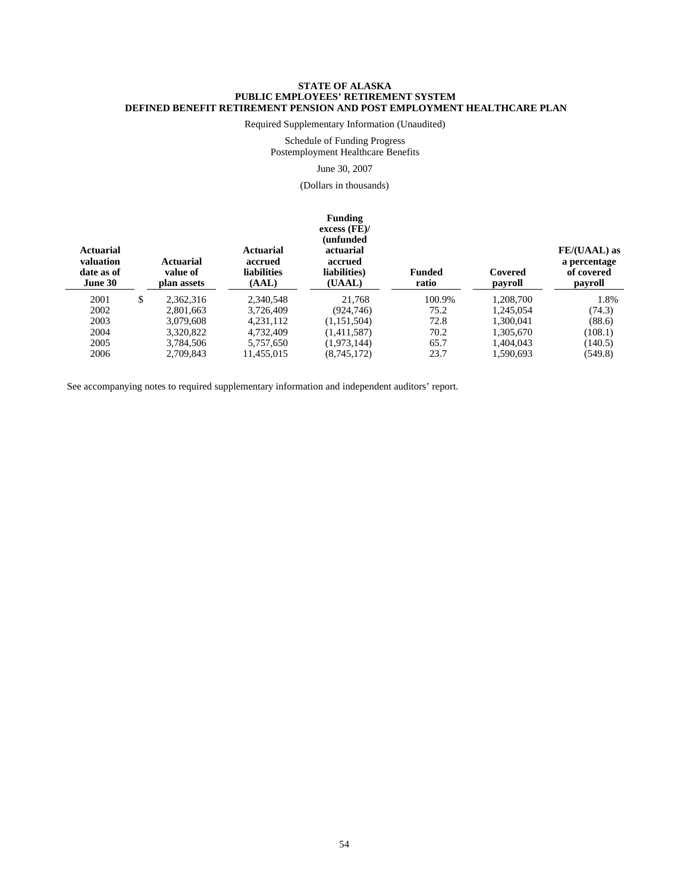Required Supplementary Information (Unaudited)

Schedule of Funding Progress Postemployment Healthcare Benefits

#### June 30, 2007

(Dollars in thousands)

#### **Funding excess (FE)/ (unfunded Actuarial Actuarial actuarial FE/(UAAL) as valuation Actuarial accrued accrued a percentage date as of value of liabilities liabilities) Funded Covered of covered June 30 plan assets (AAL) (UAAL) ratio payroll payroll** 2001 \$ 2,362,316 2,340,548 21,768 100.9% 1,208,700 1.8% 2002 2,801,663 3,726,409 (924,746) 75.2 1,245,054 (74.3) 2003 3,079,608 4,231,112 (1,151,504) 72.8 1,300,041 (88.6) 2004 3,320,822 4,732,409 (1,411,587) 70.2 1,305,670 (108.1) 2005 3,784,506 5,757,650 (1,973,144) 65.7 1,404,043 (140.5) 2006 2,709,843 11,455,015 (8,745,172) 23.7 1,590,693 (549.8)

See accompanying notes to required supplementary information and independent auditors' report.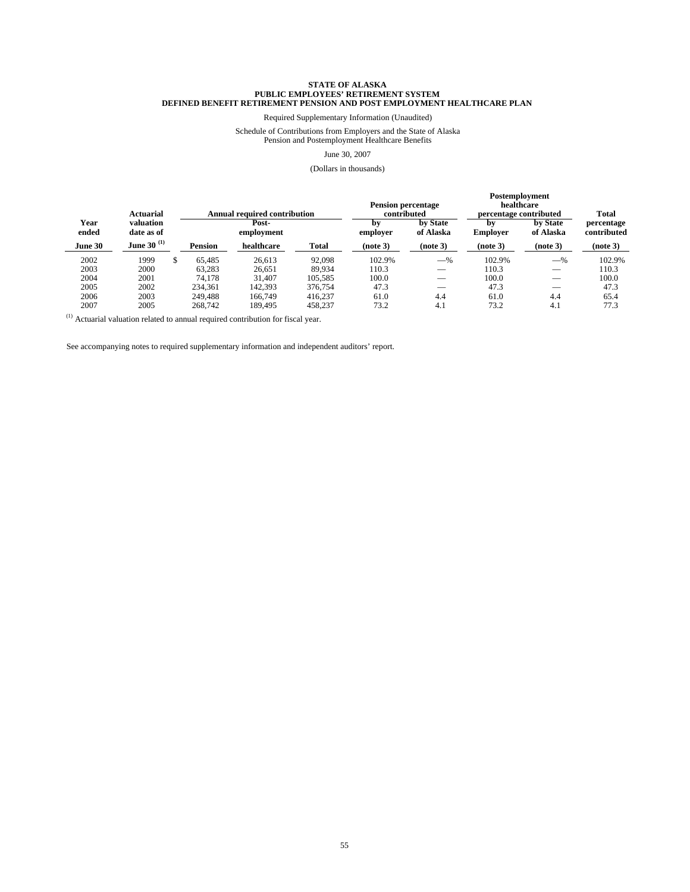Required Supplementary Information (Unaudited)

Schedule of Contributions from Employers and the State of Alaska Pension and Postemployment Healthcare Benefits

June 30, 2007

#### (Dollars in thousands)

|               | <b>Actuarial</b>        |    | <b>Annual required contribution</b> |                     | <b>Pension percentage</b><br>contributed |                | Postemployment<br>percentage contributed | healthcare     | <b>Total</b>          |                           |
|---------------|-------------------------|----|-------------------------------------|---------------------|------------------------------------------|----------------|------------------------------------------|----------------|-----------------------|---------------------------|
| Year<br>ended | valuation<br>date as of |    |                                     | Post-<br>employment |                                          | bv<br>employer | by State<br>of Alaska                    | bv<br>Employer | by State<br>of Alaska | percentage<br>contributed |
| June 30       | June 30 <sup>(1)</sup>  |    | <b>Pension</b>                      | healthcare          | Total                                    | (note 3)       | (note 3)                                 | (note 3)       | (note 3)              | (note 3)                  |
| 2002          | 1999                    | \$ | 65.485                              | 26.613              | 92,098                                   | 102.9%         | $-$ %                                    | 102.9%         | $-$ %                 | 102.9%                    |
| 2003          | 2000                    |    | 63.283                              | 26.651              | 89.934                                   | 110.3          |                                          | 110.3          |                       | 110.3                     |
| 2004          | 2001                    |    | 74.178                              | 31.407              | 105,585                                  | 100.0          |                                          | 100.0          |                       | 100.0                     |
| 2005          | 2002                    |    | 234.361                             | 142,393             | 376,754                                  | 47.3           | $-$                                      | 47.3           | $-$                   | 47.3                      |
| 2006          | 2003                    |    | 249.488                             | 166,749             | 416,237                                  | 61.0           | 4.4                                      | 61.0           | 4.4                   | 65.4                      |
| 2007          | 2005                    |    | 268,742                             | 189.495             | 458,237                                  | 73.2           | 4.1                                      | 73.2           | 4.1                   | 77.3                      |

 $(1)$  Actuarial valuation related to annual required contribution for fiscal year.

See accompanying notes to required supplementary information and independent auditors' report.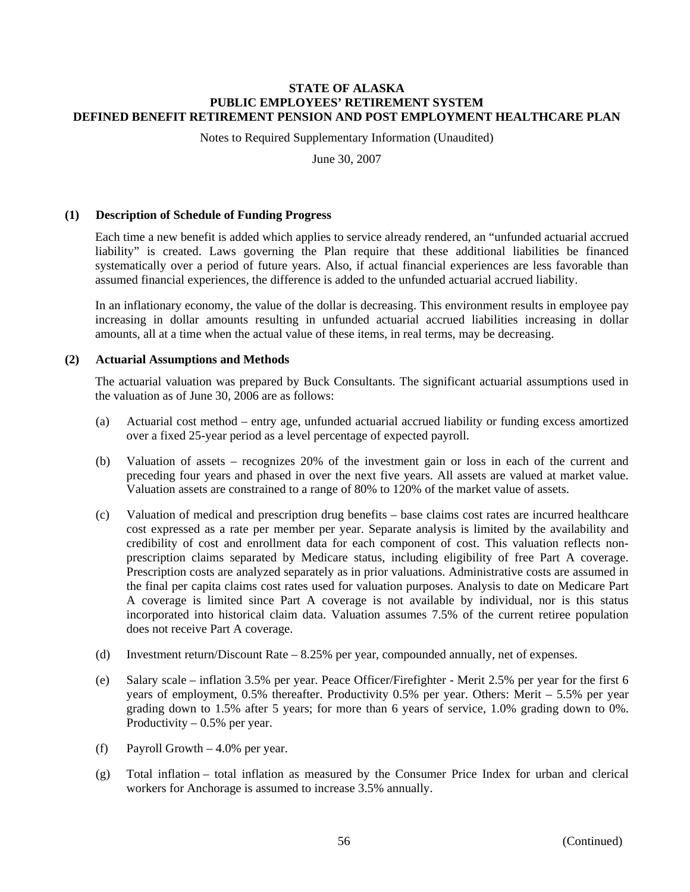Notes to Required Supplementary Information (Unaudited)

June 30, 2007

## **(1) Description of Schedule of Funding Progress**

Each time a new benefit is added which applies to service already rendered, an "unfunded actuarial accrued liability" is created. Laws governing the Plan require that these additional liabilities be financed systematically over a period of future years. Also, if actual financial experiences are less favorable than assumed financial experiences, the difference is added to the unfunded actuarial accrued liability.

In an inflationary economy, the value of the dollar is decreasing. This environment results in employee pay increasing in dollar amounts resulting in unfunded actuarial accrued liabilities increasing in dollar amounts, all at a time when the actual value of these items, in real terms, may be decreasing.

## **(2) Actuarial Assumptions and Methods**

The actuarial valuation was prepared by Buck Consultants. The significant actuarial assumptions used in the valuation as of June 30, 2006 are as follows:

- (a) Actuarial cost method entry age, unfunded actuarial accrued liability or funding excess amortized over a fixed 25-year period as a level percentage of expected payroll.
- (b) Valuation of assets recognizes 20% of the investment gain or loss in each of the current and preceding four years and phased in over the next five years. All assets are valued at market value. Valuation assets are constrained to a range of 80% to 120% of the market value of assets.
- (c) Valuation of medical and prescription drug benefits base claims cost rates are incurred healthcare cost expressed as a rate per member per year. Separate analysis is limited by the availability and credibility of cost and enrollment data for each component of cost. This valuation reflects nonprescription claims separated by Medicare status, including eligibility of free Part A coverage. Prescription costs are analyzed separately as in prior valuations. Administrative costs are assumed in the final per capita claims cost rates used for valuation purposes. Analysis to date on Medicare Part A coverage is limited since Part A coverage is not available by individual, nor is this status incorporated into historical claim data. Valuation assumes 7.5% of the current retiree population does not receive Part A coverage.
- (d) Investment return/Discount Rate 8.25% per year, compounded annually, net of expenses.
- (e) Salary scale inflation 3.5% per year. Peace Officer/Firefighter Merit 2.5% per year for the first 6 years of employment, 0.5% thereafter. Productivity 0.5% per year. Others: Merit – 5.5% per year grading down to 1.5% after 5 years; for more than 6 years of service, 1.0% grading down to 0%. Productivity  $-0.5%$  per year.
- (f) Payroll Growth 4.0% per year.
- (g) Total inflation total inflation as measured by the Consumer Price Index for urban and clerical workers for Anchorage is assumed to increase 3.5% annually.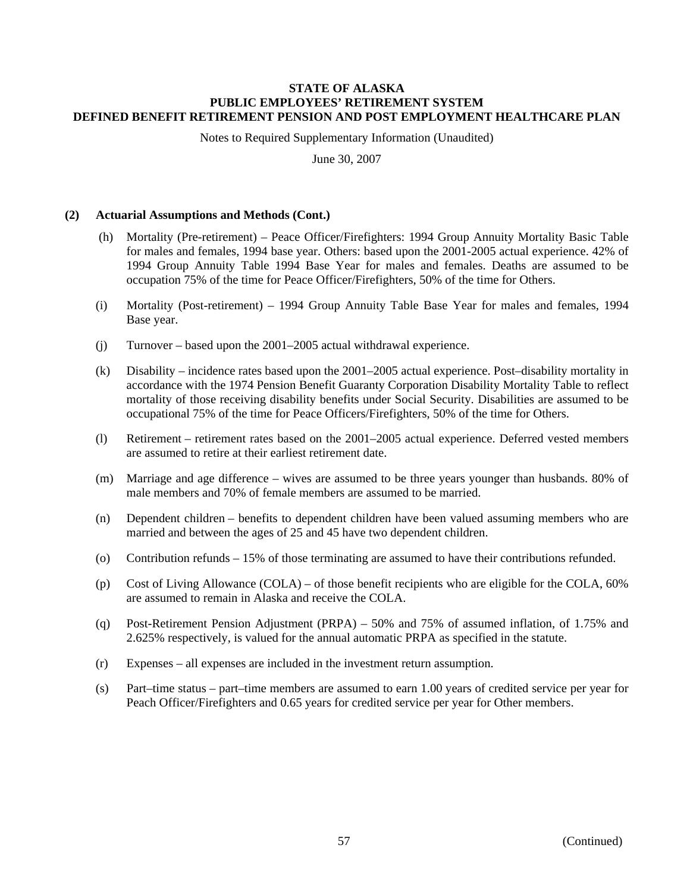Notes to Required Supplementary Information (Unaudited)

June 30, 2007

## **(2) Actuarial Assumptions and Methods (Cont.)**

- (h) Mortality (Pre-retirement) Peace Officer/Firefighters: 1994 Group Annuity Mortality Basic Table for males and females, 1994 base year. Others: based upon the 2001-2005 actual experience. 42% of 1994 Group Annuity Table 1994 Base Year for males and females. Deaths are assumed to be occupation 75% of the time for Peace Officer/Firefighters, 50% of the time for Others.
- (i) Mortality (Post-retirement) 1994 Group Annuity Table Base Year for males and females, 1994 Base year.
- (j) Turnover based upon the 2001–2005 actual withdrawal experience.
- (k) Disability incidence rates based upon the 2001–2005 actual experience. Post–disability mortality in accordance with the 1974 Pension Benefit Guaranty Corporation Disability Mortality Table to reflect mortality of those receiving disability benefits under Social Security. Disabilities are assumed to be occupational 75% of the time for Peace Officers/Firefighters, 50% of the time for Others.
- (l) Retirement retirement rates based on the 2001–2005 actual experience. Deferred vested members are assumed to retire at their earliest retirement date.
- (m) Marriage and age difference wives are assumed to be three years younger than husbands. 80% of male members and 70% of female members are assumed to be married.
- (n) Dependent children benefits to dependent children have been valued assuming members who are married and between the ages of 25 and 45 have two dependent children.
- (o) Contribution refunds 15% of those terminating are assumed to have their contributions refunded.
- (p) Cost of Living Allowance (COLA) of those benefit recipients who are eligible for the COLA, 60% are assumed to remain in Alaska and receive the COLA.
- (q) Post-Retirement Pension Adjustment (PRPA) 50% and 75% of assumed inflation, of 1.75% and 2.625% respectively, is valued for the annual automatic PRPA as specified in the statute.
- (r) Expenses all expenses are included in the investment return assumption.
- (s) Part–time status part–time members are assumed to earn 1.00 years of credited service per year for Peach Officer/Firefighters and 0.65 years for credited service per year for Other members.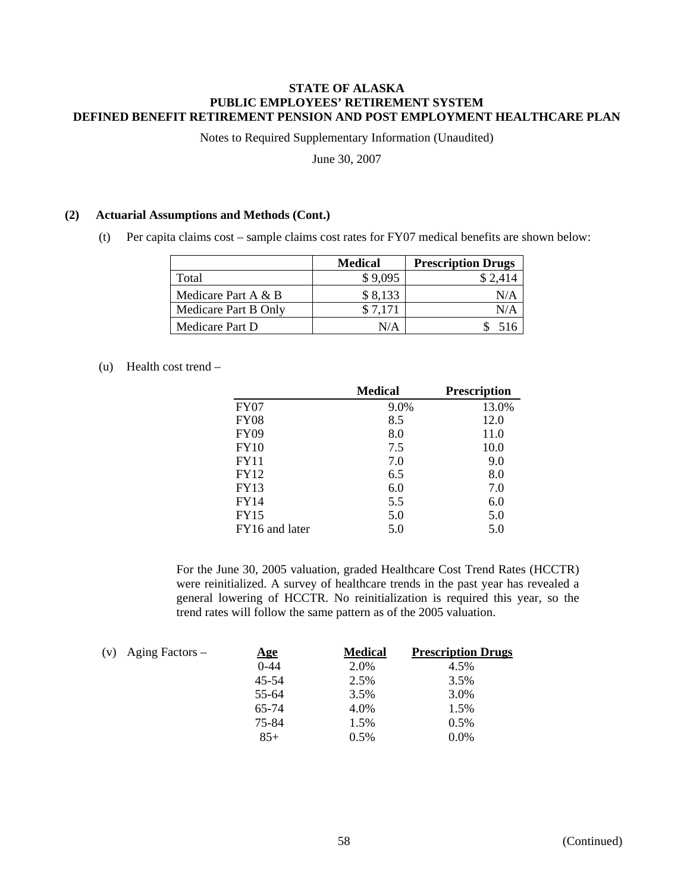Notes to Required Supplementary Information (Unaudited)

June 30, 2007

## **(2) Actuarial Assumptions and Methods (Cont.)**

(t) Per capita claims cost – sample claims cost rates for FY07 medical benefits are shown below:

|                      | <b>Medical</b> | <b>Prescription Drugs</b> |
|----------------------|----------------|---------------------------|
| Total                | \$9,095        | \$2,414                   |
| Medicare Part A & B  | \$8,133        | N/A                       |
| Medicare Part B Only | \$7.171        | N/A                       |
| Medicare Part D      | N/A            | 516                       |

# (u) Health cost trend –

|                | <b>Medical</b> | <b>Prescription</b> |
|----------------|----------------|---------------------|
| FY07           | 9.0%           | 13.0%               |
| <b>FY08</b>    | 8.5            | 12.0                |
| <b>FY09</b>    | 8.0            | 11.0                |
| <b>FY10</b>    | 7.5            | 10.0                |
| <b>FY11</b>    | 7.0            | 9.0                 |
| <b>FY12</b>    | 6.5            | 8.0                 |
| <b>FY13</b>    | 6.0            | 7.0                 |
| FY14           | 5.5            | 6.0                 |
| <b>FY15</b>    | 5.0            | 5.0                 |
| FY16 and later | 5.0            | 5.0                 |

For the June 30, 2005 valuation, graded Healthcare Cost Trend Rates (HCCTR) were reinitialized. A survey of healthcare trends in the past year has revealed a general lowering of HCCTR. No reinitialization is required this year, so the trend rates will follow the same pattern as of the 2005 valuation.

| (v) | Aging Factors – | <u>Age</u> | <b>Medical</b> | <b>Prescription Drugs</b> |
|-----|-----------------|------------|----------------|---------------------------|
|     |                 | $0 - 44$   | 2.0%           | 4.5%                      |
|     |                 | 45-54      | 2.5%           | 3.5%                      |
|     |                 | 55-64      | 3.5%           | 3.0%                      |
|     |                 | 65-74      | 4.0%           | 1.5%                      |
|     |                 | 75-84      | 1.5%           | 0.5%                      |
|     |                 | $85+$      | 0.5%           | $0.0\%$                   |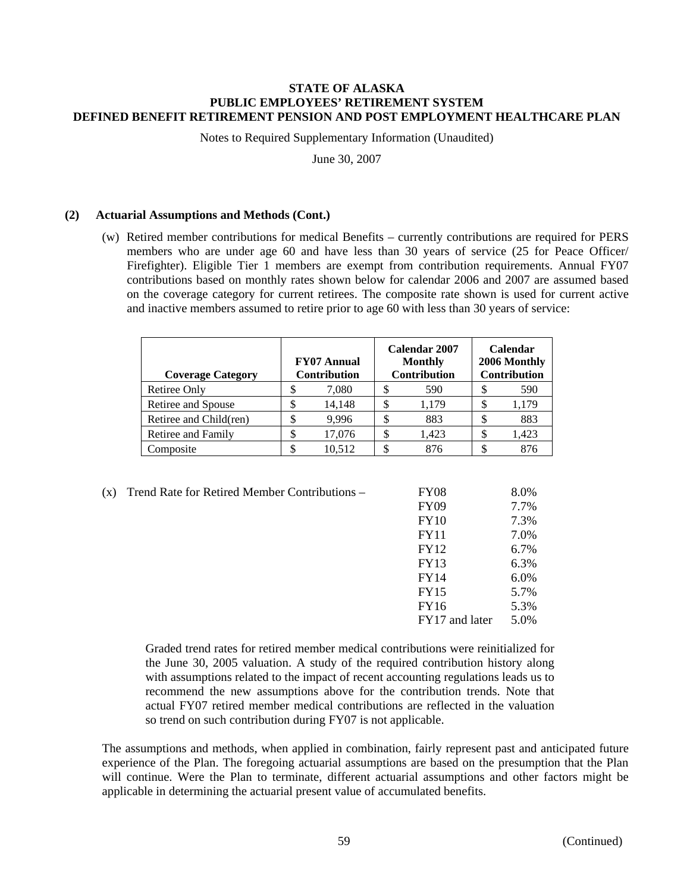Notes to Required Supplementary Information (Unaudited)

June 30, 2007

# **(2) Actuarial Assumptions and Methods (Cont.)**

(w) Retired member contributions for medical Benefits – currently contributions are required for PERS members who are under age 60 and have less than 30 years of service (25 for Peace Officer/ Firefighter). Eligible Tier 1 members are exempt from contribution requirements. Annual FY07 contributions based on monthly rates shown below for calendar 2006 and 2007 are assumed based on the coverage category for current retirees. The composite rate shown is used for current active and inactive members assumed to retire prior to age 60 with less than 30 years of service:

| <b>Coverage Category</b> | Calendar 2007<br><b>FY07 Annual</b><br><b>Monthly</b><br><b>Contribution</b><br><b>Contribution</b> |    |       | Calendar<br>2006 Monthly<br>Contribution |
|--------------------------|-----------------------------------------------------------------------------------------------------|----|-------|------------------------------------------|
| <b>Retiree Only</b>      | 7,080                                                                                               | S  | 590   | 590                                      |
| Retiree and Spouse       | 14,148                                                                                              |    | 1.179 | 1,179                                    |
| Retiree and Child(ren)   | 9.996                                                                                               | J) | 883   | 883                                      |
| Retiree and Family       | 17,076                                                                                              | S  | 1.423 | \$<br>1,423                              |
| Composite                | 10.512                                                                                              |    | 876   | 876                                      |

(x) Trend Rate for Retired Member Contributions  $-$ 

| (x) | Trend Rate for Retired Member Contributions - | <b>FY08</b>    | 8.0% |
|-----|-----------------------------------------------|----------------|------|
|     |                                               | <b>FY09</b>    | 7.7% |
|     |                                               | FY10           | 7.3% |
|     |                                               | <b>FY11</b>    | 7.0% |
|     |                                               | <b>FY12</b>    | 6.7% |
|     |                                               | <b>FY13</b>    | 6.3% |
|     |                                               | <b>FY14</b>    | 6.0% |
|     |                                               | <b>FY15</b>    | 5.7% |
|     |                                               | FY16           | 5.3% |
|     |                                               | FY17 and later | 5.0% |

Graded trend rates for retired member medical contributions were reinitialized for the June 30, 2005 valuation. A study of the required contribution history along with assumptions related to the impact of recent accounting regulations leads us to recommend the new assumptions above for the contribution trends. Note that actual FY07 retired member medical contributions are reflected in the valuation so trend on such contribution during FY07 is not applicable.

The assumptions and methods, when applied in combination, fairly represent past and anticipated future experience of the Plan. The foregoing actuarial assumptions are based on the presumption that the Plan will continue. Were the Plan to terminate, different actuarial assumptions and other factors might be applicable in determining the actuarial present value of accumulated benefits.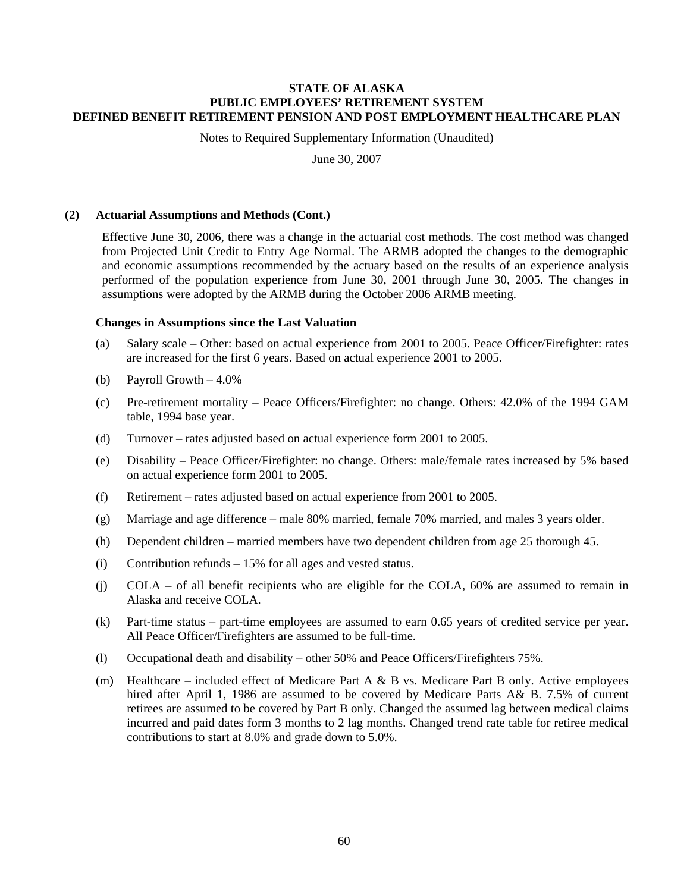Notes to Required Supplementary Information (Unaudited)

June 30, 2007

## **(2) Actuarial Assumptions and Methods (Cont.)**

Effective June 30, 2006, there was a change in the actuarial cost methods. The cost method was changed from Projected Unit Credit to Entry Age Normal. The ARMB adopted the changes to the demographic and economic assumptions recommended by the actuary based on the results of an experience analysis performed of the population experience from June 30, 2001 through June 30, 2005. The changes in assumptions were adopted by the ARMB during the October 2006 ARMB meeting.

## **Changes in Assumptions since the Last Valuation**

- (a) Salary scale Other: based on actual experience from 2001 to 2005. Peace Officer/Firefighter: rates are increased for the first 6 years. Based on actual experience 2001 to 2005.
- (b) Payroll Growth  $-4.0\%$
- (c) Pre-retirement mortality Peace Officers/Firefighter: no change. Others: 42.0% of the 1994 GAM table, 1994 base year.
- (d) Turnover rates adjusted based on actual experience form 2001 to 2005.
- (e) Disability Peace Officer/Firefighter: no change. Others: male/female rates increased by 5% based on actual experience form 2001 to 2005.
- (f) Retirement rates adjusted based on actual experience from 2001 to 2005.
- (g) Marriage and age difference male 80% married, female 70% married, and males 3 years older.
- (h) Dependent children married members have two dependent children from age 25 thorough 45.
- (i) Contribution refunds 15% for all ages and vested status.
- (j) COLA of all benefit recipients who are eligible for the COLA, 60% are assumed to remain in Alaska and receive COLA.
- (k) Part-time status part-time employees are assumed to earn 0.65 years of credited service per year. All Peace Officer/Firefighters are assumed to be full-time.
- (l) Occupational death and disability other 50% and Peace Officers/Firefighters 75%.
- (m) Healthcare included effect of Medicare Part A & B vs. Medicare Part B only. Active employees hired after April 1, 1986 are assumed to be covered by Medicare Parts A& B. 7.5% of current retirees are assumed to be covered by Part B only. Changed the assumed lag between medical claims incurred and paid dates form 3 months to 2 lag months. Changed trend rate table for retiree medical contributions to start at 8.0% and grade down to 5.0%.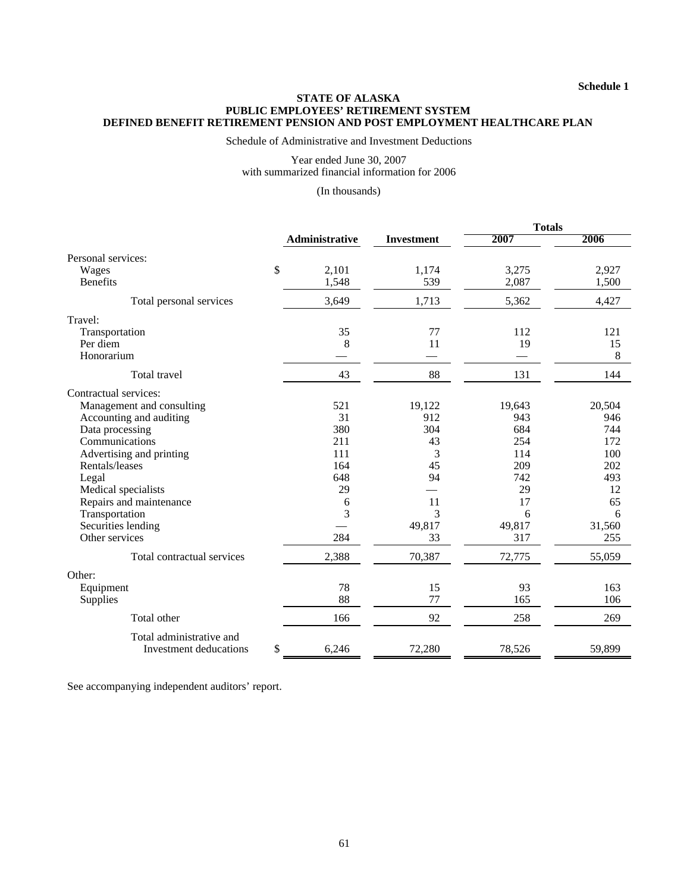Schedule of Administrative and Investment Deductions

Year ended June 30, 2007 with summarized financial information for 2006

(In thousands)

|                              |                |                   | <b>Totals</b> |        |
|------------------------------|----------------|-------------------|---------------|--------|
|                              | Administrative | <b>Investment</b> | 2007          | 2006   |
| Personal services:           |                |                   |               |        |
| \$<br>Wages                  | 2,101          | 1,174             | 3,275         | 2,927  |
| <b>Benefits</b>              | 1,548          | 539               | 2,087         | 1,500  |
| Total personal services      | 3,649          | 1,713             | 5,362         | 4,427  |
| Travel:                      |                |                   |               |        |
| Transportation               | 35             | 77                | 112           | 121    |
| Per diem                     | 8              | 11                | 19            | 15     |
| Honorarium                   |                |                   |               | 8      |
| Total travel                 | 43             | 88                | 131           | 144    |
| Contractual services:        |                |                   |               |        |
| Management and consulting    | 521            | 19,122            | 19,643        | 20,504 |
| Accounting and auditing      | 31             | 912               | 943           | 946    |
| Data processing              | 380            | 304               | 684           | 744    |
| Communications               | 211            | 43                | 254           | 172    |
| Advertising and printing     | 111            | 3                 | 114           | 100    |
| Rentals/leases               | 164            | 45                | 209           | 202    |
| Legal                        | 648            | 94                | 742           | 493    |
| Medical specialists          | 29             |                   | 29            | 12     |
| Repairs and maintenance      | 6              | 11                | 17            | 65     |
| Transportation               | 3              | 3                 | 6             | 6      |
| Securities lending           |                | 49,817            | 49,817        | 31,560 |
| Other services               | 284            | 33                | 317           | 255    |
| Total contractual services   | 2,388          | 70,387            | 72,775        | 55,059 |
| Other:                       |                |                   |               |        |
| Equipment                    | 78             | 15                | 93            | 163    |
| Supplies                     | 88             | 77                | 165           | 106    |
| Total other                  | 166            | 92                | 258           | 269    |
| Total administrative and     |                |                   |               |        |
| \$<br>Investment deducations | 6,246          | 72,280            | 78,526        | 59,899 |

See accompanying independent auditors' report.